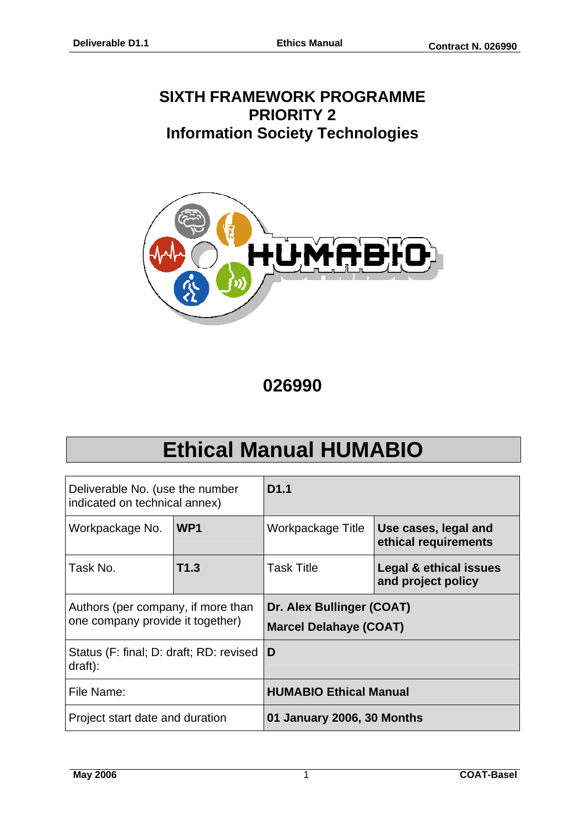# **SIXTH FRAMEWORK PROGRAMME PRIORITY 2 Information Society Technologies**



**026990** 

# **Ethical Manual HUMABIO**

| Deliverable No. (use the number<br>indicated on technical annex)       |                 | D <sub>1.1</sub>                                                  |                                              |  |
|------------------------------------------------------------------------|-----------------|-------------------------------------------------------------------|----------------------------------------------|--|
| Workpackage No.                                                        | WP <sub>1</sub> | Workpackage Title                                                 | Use cases, legal and<br>ethical requirements |  |
| Task No.                                                               | T1.3            | <b>Task Title</b><br>Legal & ethical issues<br>and project policy |                                              |  |
| Authors (per company, if more than<br>one company provide it together) |                 | Dr. Alex Bullinger (COAT)<br><b>Marcel Delahaye (COAT)</b>        |                                              |  |
| Status (F: final; D: draft; RD: revised<br>draff):                     |                 | D                                                                 |                                              |  |
| File Name:                                                             |                 | <b>HUMABIO Ethical Manual</b>                                     |                                              |  |
| Project start date and duration                                        |                 | 01 January 2006, 30 Months                                        |                                              |  |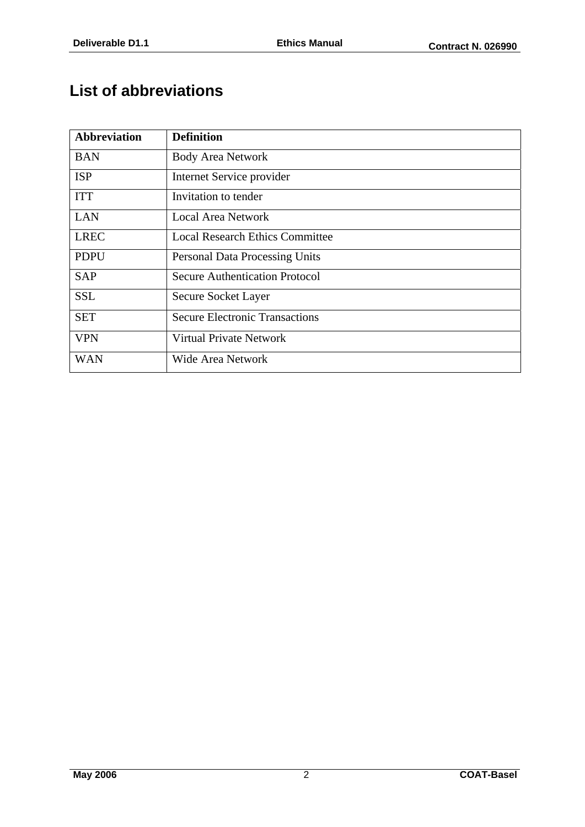# **List of abbreviations**

| <b>Abbreviation</b> | <b>Definition</b>                      |
|---------------------|----------------------------------------|
| <b>BAN</b>          | <b>Body Area Network</b>               |
| <b>ISP</b>          | Internet Service provider              |
| <b>ITT</b>          | Invitation to tender                   |
| <b>LAN</b>          | <b>Local Area Network</b>              |
| <b>LREC</b>         | <b>Local Research Ethics Committee</b> |
| <b>PDPU</b>         | <b>Personal Data Processing Units</b>  |
| <b>SAP</b>          | <b>Secure Authentication Protocol</b>  |
| <b>SSL</b>          | Secure Socket Layer                    |
| <b>SET</b>          | <b>Secure Electronic Transactions</b>  |
| <b>VPN</b>          | <b>Virtual Private Network</b>         |
| <b>WAN</b>          | Wide Area Network                      |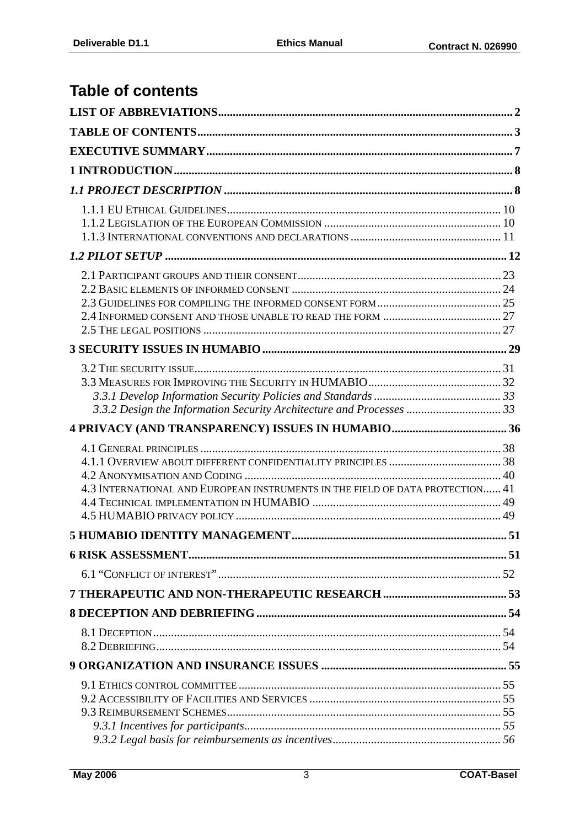# **Table of contents**

| 4.3 INTERNATIONAL AND EUROPEAN INSTRUMENTS IN THE FIELD OF DATA PROTECTION 41 |  |
|-------------------------------------------------------------------------------|--|
|                                                                               |  |
|                                                                               |  |
|                                                                               |  |
|                                                                               |  |
|                                                                               |  |
|                                                                               |  |
|                                                                               |  |
|                                                                               |  |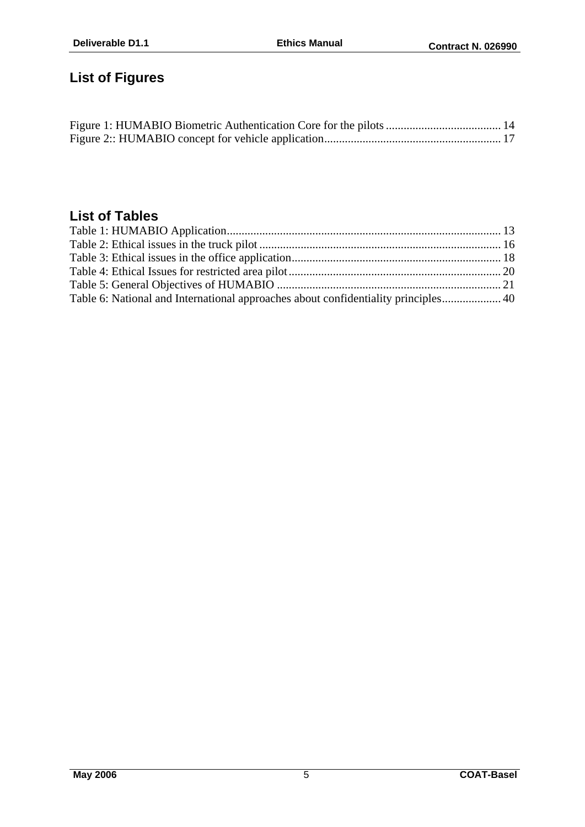# **List of Figures**

# **List of Tables**

| Table 6: National and International approaches about confidentiality principles 40 |  |
|------------------------------------------------------------------------------------|--|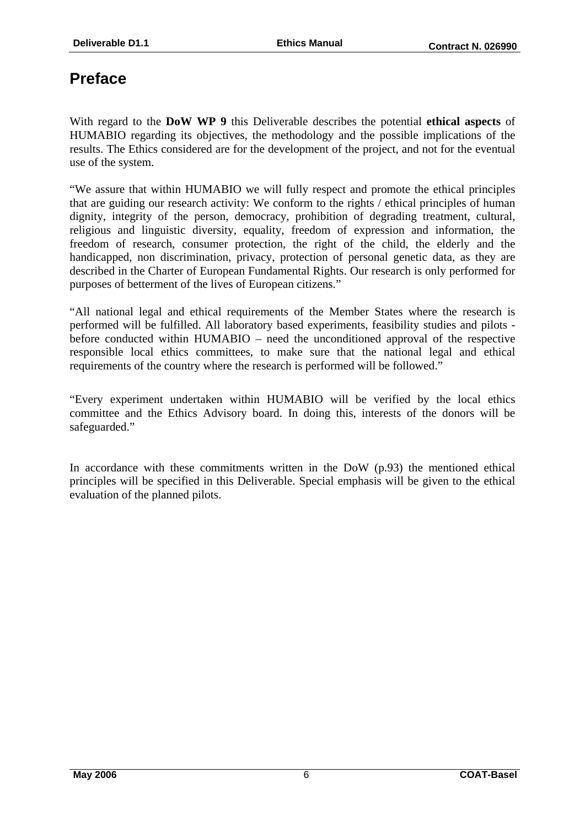# **Preface**

With regard to the **DoW WP 9** this Deliverable describes the potential **ethical aspects** of HUMABIO regarding its objectives, the methodology and the possible implications of the results. The Ethics considered are for the development of the project, and not for the eventual use of the system.

"We assure that within HUMABIO we will fully respect and promote the ethical principles that are guiding our research activity: We conform to the rights / ethical principles of human dignity, integrity of the person, democracy, prohibition of degrading treatment, cultural, religious and linguistic diversity, equality, freedom of expression and information, the freedom of research, consumer protection, the right of the child, the elderly and the handicapped, non discrimination, privacy, protection of personal genetic data, as they are described in the Charter of European Fundamental Rights. Our research is only performed for purposes of betterment of the lives of European citizens."

"All national legal and ethical requirements of the Member States where the research is performed will be fulfilled. All laboratory based experiments, feasibility studies and pilots before conducted within HUMABIO – need the unconditioned approval of the respective responsible local ethics committees, to make sure that the national legal and ethical requirements of the country where the research is performed will be followed."

"Every experiment undertaken within HUMABIO will be verified by the local ethics committee and the Ethics Advisory board. In doing this, interests of the donors will be safeguarded."

In accordance with these commitments written in the DoW (p.93) the mentioned ethical principles will be specified in this Deliverable. Special emphasis will be given to the ethical evaluation of the planned pilots.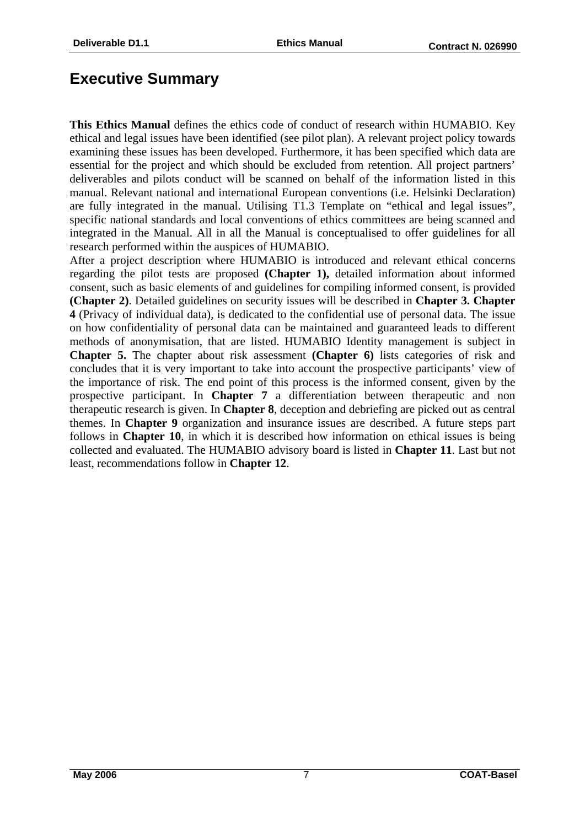# **Executive Summary**

**This Ethics Manual** defines the ethics code of conduct of research within HUMABIO. Key ethical and legal issues have been identified (see pilot plan). A relevant project policy towards examining these issues has been developed. Furthermore, it has been specified which data are essential for the project and which should be excluded from retention. All project partners' deliverables and pilots conduct will be scanned on behalf of the information listed in this manual. Relevant national and international European conventions (i.e. Helsinki Declaration) are fully integrated in the manual. Utilising T1.3 Template on "ethical and legal issues", specific national standards and local conventions of ethics committees are being scanned and integrated in the Manual. All in all the Manual is conceptualised to offer guidelines for all research performed within the auspices of HUMABIO.

After a project description where HUMABIO is introduced and relevant ethical concerns regarding the pilot tests are proposed **(Chapter 1),** detailed information about informed consent, such as basic elements of and guidelines for compiling informed consent, is provided **(Chapter 2)**. Detailed guidelines on security issues will be described in **Chapter 3. Chapter 4** (Privacy of individual data), is dedicated to the confidential use of personal data. The issue on how confidentiality of personal data can be maintained and guaranteed leads to different methods of anonymisation, that are listed. HUMABIO Identity management is subject in **Chapter 5.** The chapter about risk assessment **(Chapter 6)** lists categories of risk and concludes that it is very important to take into account the prospective participants' view of the importance of risk. The end point of this process is the informed consent, given by the prospective participant. In **Chapter 7** a differentiation between therapeutic and non therapeutic research is given. In **Chapter 8**, deception and debriefing are picked out as central themes. In **Chapter 9** organization and insurance issues are described. A future steps part follows in **Chapter 10**, in which it is described how information on ethical issues is being collected and evaluated. The HUMABIO advisory board is listed in **Chapter 11**. Last but not least, recommendations follow in **Chapter 12**.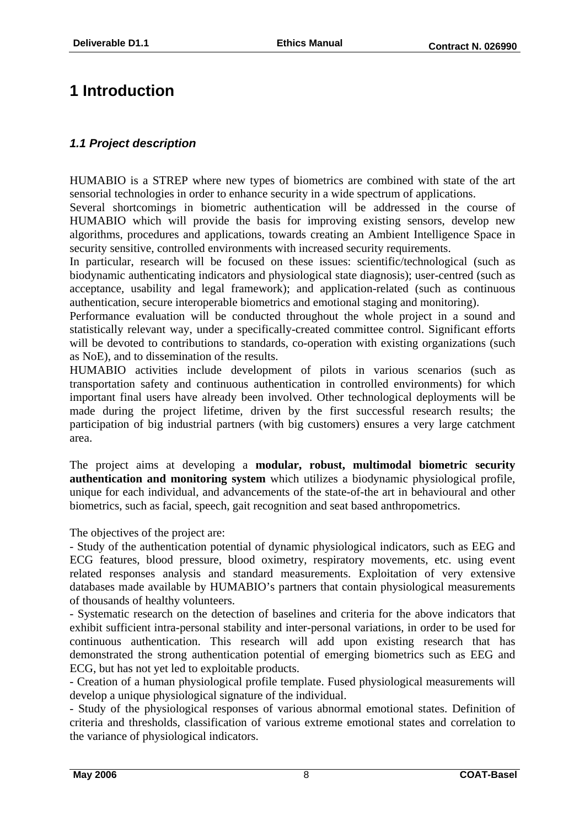# **1 Introduction**

# *1.1 Project description*

HUMABIO is a STREP where new types of biometrics are combined with state of the art sensorial technologies in order to enhance security in a wide spectrum of applications.

Several shortcomings in biometric authentication will be addressed in the course of HUMABIO which will provide the basis for improving existing sensors, develop new algorithms, procedures and applications, towards creating an Ambient Intelligence Space in security sensitive, controlled environments with increased security requirements.

In particular, research will be focused on these issues: scientific/technological (such as biodynamic authenticating indicators and physiological state diagnosis); user-centred (such as acceptance, usability and legal framework); and application-related (such as continuous authentication, secure interoperable biometrics and emotional staging and monitoring).

Performance evaluation will be conducted throughout the whole project in a sound and statistically relevant way, under a specifically-created committee control. Significant efforts will be devoted to contributions to standards, co-operation with existing organizations (such as NoE), and to dissemination of the results.

HUMABIO activities include development of pilots in various scenarios (such as transportation safety and continuous authentication in controlled environments) for which important final users have already been involved. Other technological deployments will be made during the project lifetime, driven by the first successful research results; the participation of big industrial partners (with big customers) ensures a very large catchment area.

The project aims at developing a **modular, robust, multimodal biometric security authentication and monitoring system** which utilizes a biodynamic physiological profile, unique for each individual, and advancements of the state-of-the art in behavioural and other biometrics, such as facial, speech, gait recognition and seat based anthropometrics.

The objectives of the project are:

- Study of the authentication potential of dynamic physiological indicators, such as EEG and ECG features, blood pressure, blood oximetry, respiratory movements, etc. using event related responses analysis and standard measurements. Exploitation of very extensive databases made available by HUMABIO's partners that contain physiological measurements of thousands of healthy volunteers.

- Systematic research on the detection of baselines and criteria for the above indicators that exhibit sufficient intra-personal stability and inter-personal variations, in order to be used for continuous authentication. This research will add upon existing research that has demonstrated the strong authentication potential of emerging biometrics such as EEG and ECG, but has not yet led to exploitable products.

- Creation of a human physiological profile template. Fused physiological measurements will develop a unique physiological signature of the individual.

- Study of the physiological responses of various abnormal emotional states. Definition of criteria and thresholds, classification of various extreme emotional states and correlation to the variance of physiological indicators.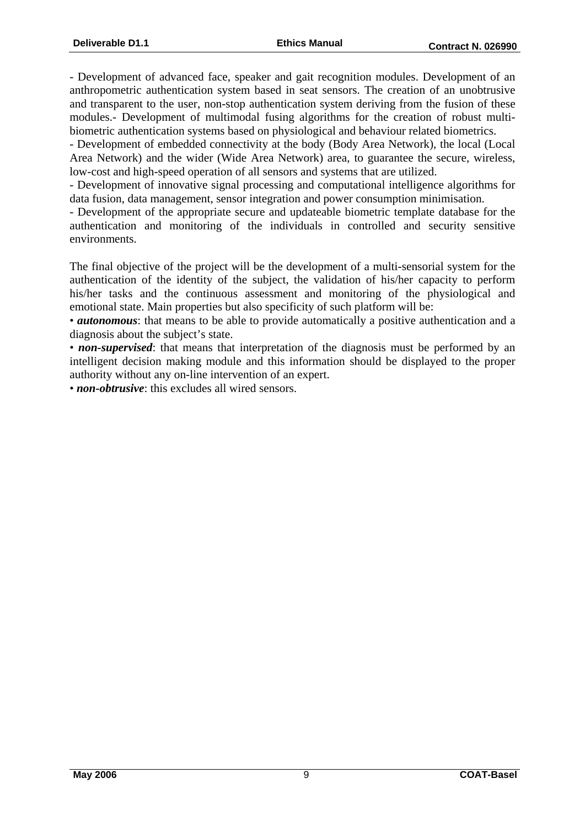- Development of advanced face, speaker and gait recognition modules. Development of an anthropometric authentication system based in seat sensors. The creation of an unobtrusive and transparent to the user, non-stop authentication system deriving from the fusion of these modules.- Development of multimodal fusing algorithms for the creation of robust multibiometric authentication systems based on physiological and behaviour related biometrics.

- Development of embedded connectivity at the body (Body Area Network), the local (Local Area Network) and the wider (Wide Area Network) area, to guarantee the secure, wireless, low-cost and high-speed operation of all sensors and systems that are utilized.

- Development of innovative signal processing and computational intelligence algorithms for data fusion, data management, sensor integration and power consumption minimisation.

- Development of the appropriate secure and updateable biometric template database for the authentication and monitoring of the individuals in controlled and security sensitive environments.

The final objective of the project will be the development of a multi-sensorial system for the authentication of the identity of the subject, the validation of his/her capacity to perform his/her tasks and the continuous assessment and monitoring of the physiological and emotional state. Main properties but also specificity of such platform will be:

• *autonomous*: that means to be able to provide automatically a positive authentication and a diagnosis about the subject's state.

• *non-supervised*: that means that interpretation of the diagnosis must be performed by an intelligent decision making module and this information should be displayed to the proper authority without any on-line intervention of an expert.

• *non-obtrusive*: this excludes all wired sensors.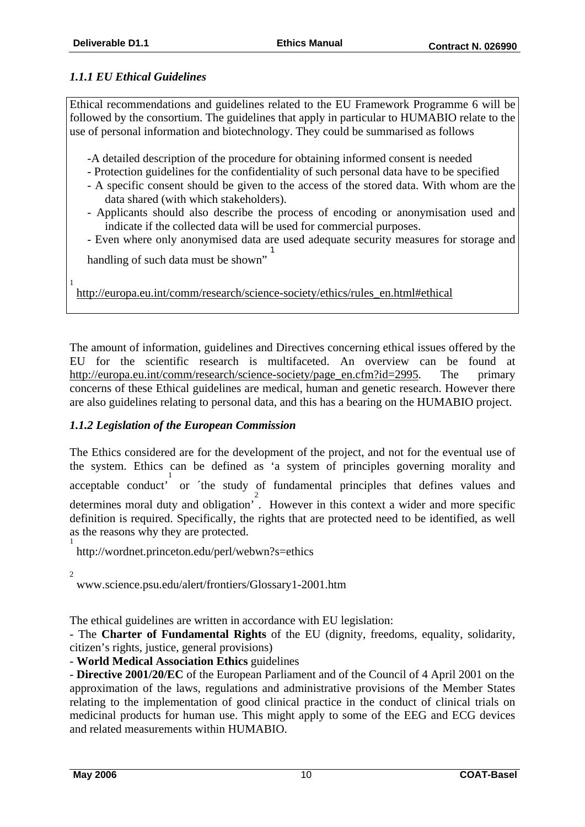# *1.1.1 EU Ethical Guidelines*

Ethical recommendations and guidelines related to the EU Framework Programme 6 will be followed by the consortium. The guidelines that apply in particular to HUMABIO relate to the use of personal information and biotechnology. They could be summarised as follows

-A detailed description of the procedure for obtaining informed consent is needed

- Protection guidelines for the confidentiality of such personal data have to be specified
- A specific consent should be given to the access of the stored data. With whom are the data shared (with which stakeholders).
- Applicants should also describe the process of encoding or anonymisation used and indicate if the collected data will be used for commercial purposes.
- Even where only anonymised data are used adequate security measures for storage and 1

handling of such data must be shown"

http://europa.eu.int/comm/research/science-society/ethics/rules\_en.html#ethical

The amount of information, guidelines and Directives concerning ethical issues offered by the EU for the scientific research is multifaceted. An overview can be found at http://europa.eu.int/comm/research/science-society/page\_en.cfm?id=2995. The primary concerns of these Ethical guidelines are medical, human and genetic research. However there are also guidelines relating to personal data, and this has a bearing on the HUMABIO project.

# *1.1.2 Legislation of the European Commission*

The Ethics considered are for the development of the project, and not for the eventual use of the system. Ethics can be defined as 'a system of principles governing morality and acceptable conduct' 1 or ´the study of fundamental principles that defines values and 2 determines moral duty and obligation' . However in this context a wider and more specific definition is required. Specifically, the rights that are protected need to be identified, as well as the reasons why they are protected. 1

http://wordnet.princeton.edu/perl/webwn?s=ethics

 $\overline{2}$ 

1

www.science.psu.edu/alert/frontiers/Glossary1-2001.htm

The ethical guidelines are written in accordance with EU legislation:

- The **Charter of Fundamental Rights** of the EU (dignity, freedoms, equality, solidarity, citizen's rights, justice, general provisions)

- **World Medical Association Ethics** guidelines

- **Directive 2001/20/EC** of the European Parliament and of the Council of 4 April 2001 on the approximation of the laws, regulations and administrative provisions of the Member States relating to the implementation of good clinical practice in the conduct of clinical trials on medicinal products for human use. This might apply to some of the EEG and ECG devices and related measurements within HUMABIO.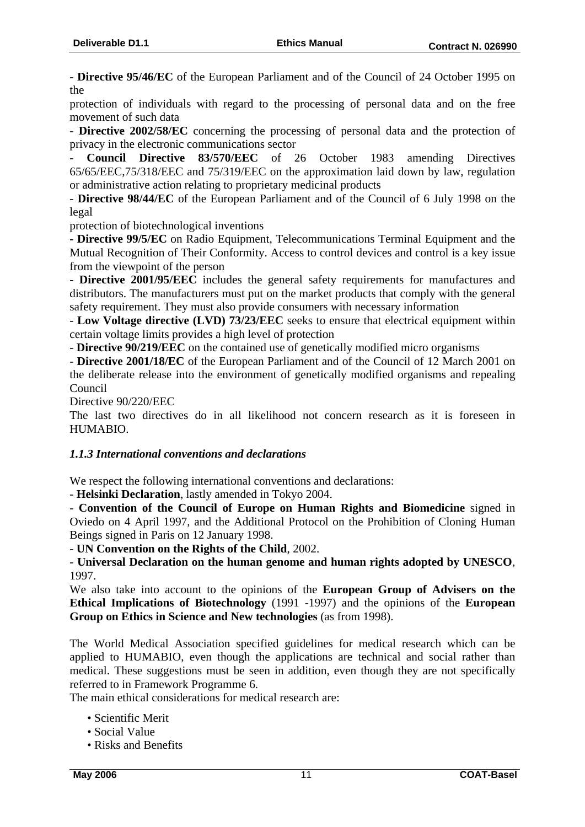- **Directive 95/46/EC** of the European Parliament and of the Council of 24 October 1995 on the

protection of individuals with regard to the processing of personal data and on the free movement of such data

- **Directive 2002/58/EC** concerning the processing of personal data and the protection of privacy in the electronic communications sector

- **Council Directive 83/570/EEC** of 26 October 1983 amending Directives 65/65/EEC,75/318/EEC and 75/319/EEC on the approximation laid down by law, regulation or administrative action relating to proprietary medicinal products

- **Directive 98/44/EC** of the European Parliament and of the Council of 6 July 1998 on the legal

protection of biotechnological inventions

**- Directive 99/5/EC** on Radio Equipment, Telecommunications Terminal Equipment and the Mutual Recognition of Their Conformity. Access to control devices and control is a key issue from the viewpoint of the person

**- Directive 2001/95/EEC** includes the general safety requirements for manufactures and distributors. The manufacturers must put on the market products that comply with the general safety requirement. They must also provide consumers with necessary information

- **Low Voltage directive (LVD) 73/23/EEC** seeks to ensure that electrical equipment within certain voltage limits provides a high level of protection

- **Directive 90/219/EEC** on the contained use of genetically modified micro organisms

- **Directive 2001/18/EC** of the European Parliament and of the Council of 12 March 2001 on the deliberate release into the environment of genetically modified organisms and repealing Council

Directive 90/220/EEC

The last two directives do in all likelihood not concern research as it is foreseen in HUMABIO.

#### *1.1.3 International conventions and declarations*

We respect the following international conventions and declarations:

- **Helsinki Declaration**, lastly amended in Tokyo 2004.

- **Convention of the Council of Europe on Human Rights and Biomedicine** signed in Oviedo on 4 April 1997, and the Additional Protocol on the Prohibition of Cloning Human Beings signed in Paris on 12 January 1998.

- **UN Convention on the Rights of the Child**, 2002.

- **Universal Declaration on the human genome and human rights adopted by UNESCO**, 1997.

We also take into account to the opinions of the **European Group of Advisers on the Ethical Implications of Biotechnology** (1991 -1997) and the opinions of the **European Group on Ethics in Science and New technologies** (as from 1998).

The World Medical Association specified guidelines for medical research which can be applied to HUMABIO, even though the applications are technical and social rather than medical. These suggestions must be seen in addition, even though they are not specifically referred to in Framework Programme 6.

The main ethical considerations for medical research are:

- Scientific Merit
- Social Value
- Risks and Benefits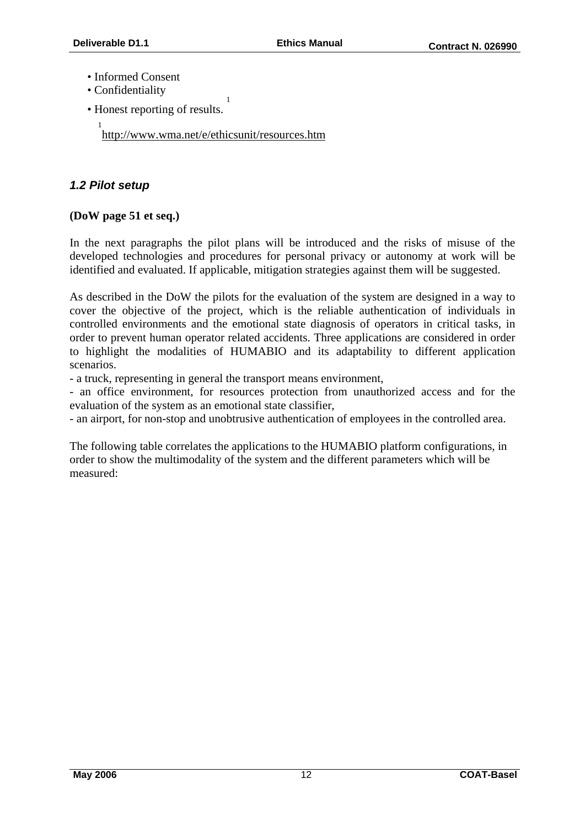- Informed Consent
- Confidentiality
- Honest reporting of results.

1 http://www.wma.net/e/ethicsunit/resources.htm

1

# *1.2 Pilot setup*

# **(DoW page 51 et seq.)**

In the next paragraphs the pilot plans will be introduced and the risks of misuse of the developed technologies and procedures for personal privacy or autonomy at work will be identified and evaluated. If applicable, mitigation strategies against them will be suggested.

As described in the DoW the pilots for the evaluation of the system are designed in a way to cover the objective of the project, which is the reliable authentication of individuals in controlled environments and the emotional state diagnosis of operators in critical tasks, in order to prevent human operator related accidents. Three applications are considered in order to highlight the modalities of HUMABIO and its adaptability to different application scenarios.

- a truck, representing in general the transport means environment,

- an office environment, for resources protection from unauthorized access and for the evaluation of the system as an emotional state classifier,

- an airport, for non-stop and unobtrusive authentication of employees in the controlled area.

The following table correlates the applications to the HUMABIO platform configurations, in order to show the multimodality of the system and the different parameters which will be measured: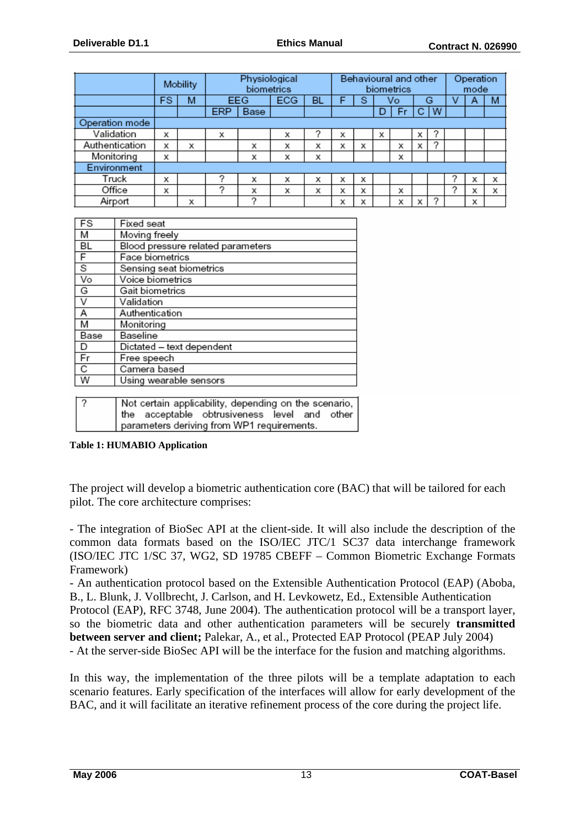|                | Mobility |   | Physiological<br>biometrics |      | Behavioural and other<br>biometrics |    |   |   | Operation<br>mode |    |   |   |  |   |   |
|----------------|----------|---|-----------------------------|------|-------------------------------------|----|---|---|-------------------|----|---|---|--|---|---|
|                | FS       | м |                             | EEG  | ECG                                 | BL |   | S |                   | Vo |   | G |  | A | M |
|                |          |   | <b>ERP</b>                  | Base |                                     |    |   |   |                   | Fr |   | W |  |   |   |
| Operation mode |          |   |                             |      |                                     |    |   |   |                   |    |   |   |  |   |   |
| Validation     | х        |   | х                           |      | x                                   |    | х |   | х                 |    | х |   |  |   |   |
| Authentication | х        | x |                             | х    | х                                   | х  | х | х |                   | x  | х |   |  |   |   |
| Monitoring     | х        |   |                             | х    | x                                   | х  |   |   |                   | х  |   |   |  |   |   |
| Environment    |          |   |                             |      |                                     |    |   |   |                   |    |   |   |  |   |   |
| Truck          | x        |   |                             | х    | х                                   | х  | х | х |                   |    |   |   |  | x | х |
| Office         | х        |   | っ                           | х    | х                                   | х  | х | х |                   | х  |   |   |  | х | X |
| Airport        |          | х |                             | Ω    |                                     |    | х | x |                   | х  |   | ◠ |  | х |   |

| FS        | Fixed seat                        |
|-----------|-----------------------------------|
| M         | Moving freely                     |
| <b>BL</b> | Blood pressure related parameters |
| F         | Face biometrics                   |
| s         | Sensing seat biometrics           |
| Vo        | Voice biometrics                  |
| G         | Gait biometrics                   |
| V         | Validation                        |
| A         | Authentication                    |
| M         | Monitoring                        |
| Base      | Baseline                          |
| D         | Dictated - text dependent         |
| Fr        | Free speech                       |
| C         | Camera based                      |
| W         | Using wearable sensors            |
|           |                                   |
| 「⌒        | $\blacksquare$                    |

| ? |  | Not certain applicability, depending on the scenario, |  |  |
|---|--|-------------------------------------------------------|--|--|
|   |  | the acceptable obtrusiveness level and other          |  |  |
|   |  | parameters deriving from WP1 requirements.            |  |  |
|   |  |                                                       |  |  |

**Table 1: HUMABIO Application** 

The project will develop a biometric authentication core (BAC) that will be tailored for each pilot. The core architecture comprises:

- The integration of BioSec API at the client-side. It will also include the description of the common data formats based on the ISO/IEC JTC/1 SC37 data interchange framework (ISO/IEC JTC 1/SC 37, WG2, SD 19785 CBEFF – Common Biometric Exchange Formats Framework)

- An authentication protocol based on the Extensible Authentication Protocol (EAP) (Aboba, B., L. Blunk, J. Vollbrecht, J. Carlson, and H. Levkowetz, Ed., Extensible Authentication Protocol (EAP), RFC 3748, June 2004). The authentication protocol will be a transport layer, so the biometric data and other authentication parameters will be securely **transmitted between server and client;** Palekar, A., et al., Protected EAP Protocol (PEAP July 2004) - At the server-side BioSec API will be the interface for the fusion and matching algorithms.

In this way, the implementation of the three pilots will be a template adaptation to each scenario features. Early specification of the interfaces will allow for early development of the BAC, and it will facilitate an iterative refinement process of the core during the project life.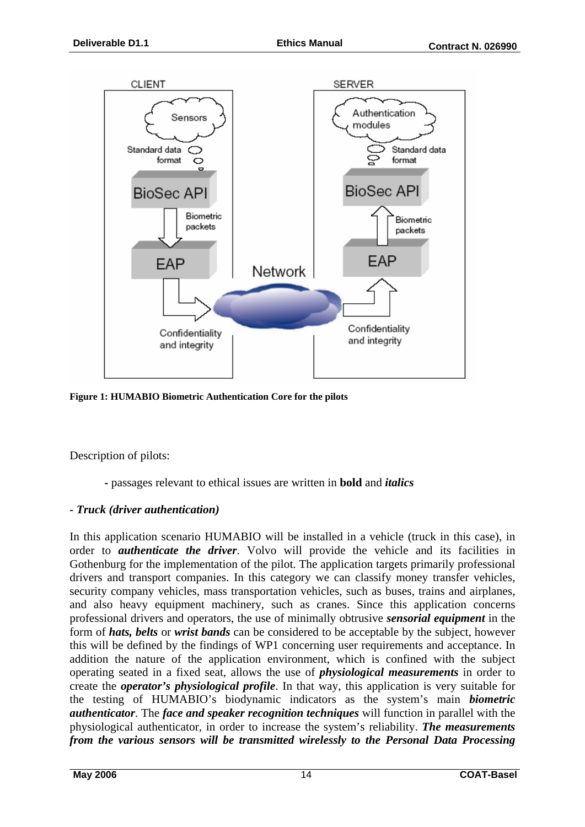

**Figure 1: HUMABIO Biometric Authentication Core for the pilots**

Description of pilots:

**-** passages relevant to ethical issues are written in **bold** and *italics*

#### *- Truck (driver authentication)*

In this application scenario HUMABIO will be installed in a vehicle (truck in this case), in order to *authenticate the driver*. Volvo will provide the vehicle and its facilities in Gothenburg for the implementation of the pilot. The application targets primarily professional drivers and transport companies. In this category we can classify money transfer vehicles, security company vehicles, mass transportation vehicles, such as buses, trains and airplanes, and also heavy equipment machinery, such as cranes. Since this application concerns professional drivers and operators, the use of minimally obtrusive *sensorial equipment* in the form of *hats, belts* or *wrist bands* can be considered to be acceptable by the subject, however this will be defined by the findings of WP1 concerning user requirements and acceptance. In addition the nature of the application environment, which is confined with the subject operating seated in a fixed seat, allows the use of *physiological measurements* in order to create the *operator's physiological profile*. In that way, this application is very suitable for the testing of HUMABIO's biodynamic indicators as the system's main *biometric authenticator*. The *face and speaker recognition techniques* will function in parallel with the physiological authenticator, in order to increase the system's reliability. *The measurements from the various sensors will be transmitted wirelessly to the Personal Data Processing*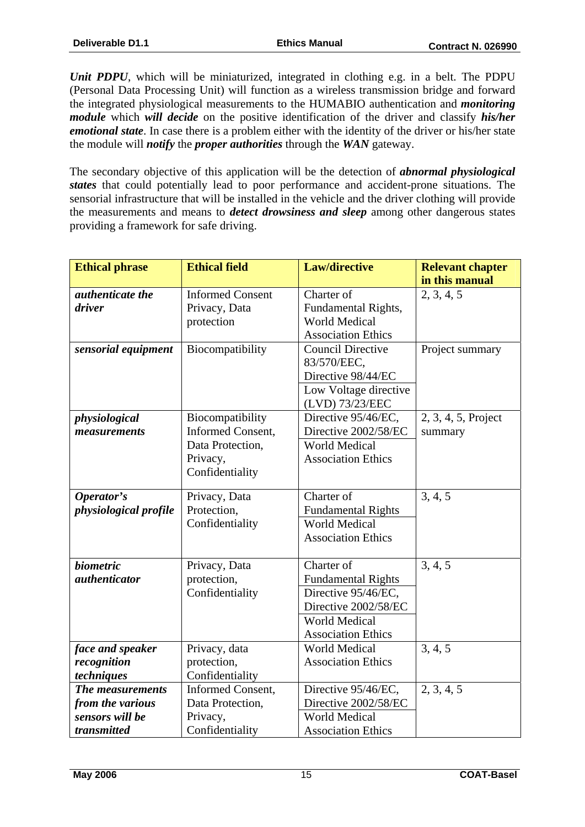*Unit PDPU*, which will be miniaturized, integrated in clothing e.g. in a belt. The PDPU (Personal Data Processing Unit) will function as a wireless transmission bridge and forward the integrated physiological measurements to the HUMABIO authentication and *monitoring module* which *will decide* on the positive identification of the driver and classify *his/her emotional state*. In case there is a problem either with the identity of the driver or his/her state the module will *notify* the *proper authorities* through the *WAN* gateway.

The secondary objective of this application will be the detection of *abnormal physiological states* that could potentially lead to poor performance and accident-prone situations. The sensorial infrastructure that will be installed in the vehicle and the driver clothing will provide the measurements and means to *detect drowsiness and sleep* among other dangerous states providing a framework for safe driving.

| <b>Ethical phrase</b>        | <b>Ethical field</b>    | <b>Law/directive</b>      | <b>Relevant chapter</b> |
|------------------------------|-------------------------|---------------------------|-------------------------|
|                              |                         |                           | in this manual          |
| authenticate the             | <b>Informed Consent</b> | Charter of                | 2, 3, 4, 5              |
| driver                       | Privacy, Data           | Fundamental Rights,       |                         |
|                              | protection              | <b>World Medical</b>      |                         |
|                              |                         | <b>Association Ethics</b> |                         |
| sensorial equipment          | Biocompatibility        | <b>Council Directive</b>  | Project summary         |
|                              |                         | 83/570/EEC,               |                         |
|                              |                         | Directive 98/44/EC        |                         |
|                              |                         | Low Voltage directive     |                         |
|                              |                         | (LVD) 73/23/EEC           |                         |
| physiological                | Biocompatibility        | Directive 95/46/EC,       | 2, 3, 4, 5, Project     |
| measurements                 | Informed Consent,       | Directive 2002/58/EC      | summary                 |
|                              | Data Protection,        | <b>World Medical</b>      |                         |
|                              | Privacy,                | <b>Association Ethics</b> |                         |
|                              | Confidentiality         |                           |                         |
| Operator's                   | Privacy, Data           | Charter of                | 3, 4, 5                 |
| <i>physiological profile</i> | Protection,             | <b>Fundamental Rights</b> |                         |
|                              | Confidentiality         | <b>World Medical</b>      |                         |
|                              |                         | <b>Association Ethics</b> |                         |
|                              |                         |                           |                         |
| <i>biometric</i>             | Privacy, Data           | Charter of                | 3, 4, 5                 |
| <i>authenticator</i>         | protection,             | <b>Fundamental Rights</b> |                         |
|                              | Confidentiality         | Directive 95/46/EC,       |                         |
|                              |                         | Directive 2002/58/EC      |                         |
|                              |                         | World Medical             |                         |
|                              |                         | <b>Association Ethics</b> |                         |
| face and speaker             | Privacy, data           | <b>World Medical</b>      | 3, 4, 5                 |
| recognition                  | protection,             | <b>Association Ethics</b> |                         |
| techniques                   | Confidentiality         |                           |                         |
| The measurements             | Informed Consent,       | Directive 95/46/EC,       | 2, 3, 4, 5              |
| from the various             | Data Protection,        | Directive 2002/58/EC      |                         |
| sensors will be              | Privacy,                | <b>World Medical</b>      |                         |
| transmitted                  | Confidentiality         | <b>Association Ethics</b> |                         |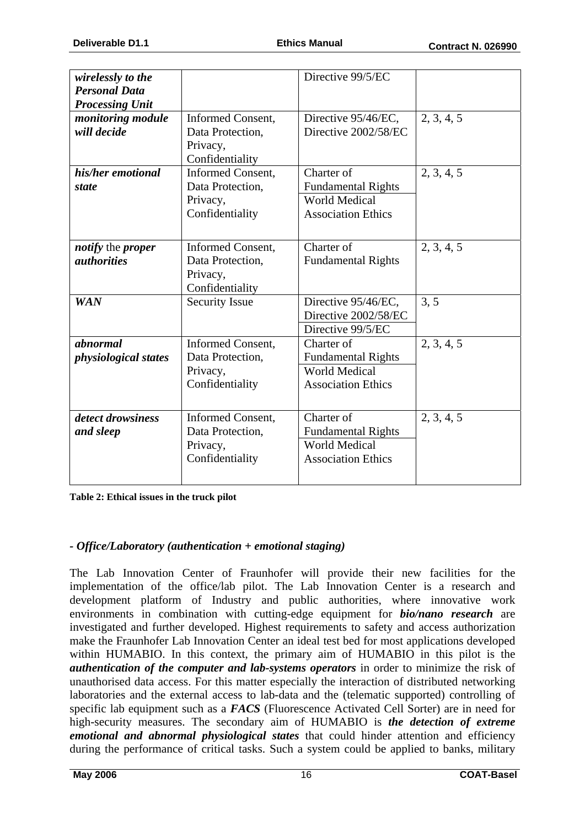| wirelessly to the                       |                          | Directive 99/5/EC         |            |
|-----------------------------------------|--------------------------|---------------------------|------------|
| <b>Personal Data</b>                    |                          |                           |            |
| <b>Processing Unit</b>                  |                          |                           |            |
| monitoring module                       | Informed Consent,        | Directive 95/46/EC,       | 2, 3, 4, 5 |
| will decide                             | Data Protection,         | Directive 2002/58/EC      |            |
|                                         | Privacy,                 |                           |            |
|                                         | Confidentiality          |                           |            |
| his/her emotional                       | <b>Informed Consent,</b> | Charter of                | 2, 3, 4, 5 |
| <i>state</i>                            | Data Protection,         | <b>Fundamental Rights</b> |            |
|                                         | Privacy,                 | <b>World Medical</b>      |            |
|                                         | Confidentiality          | <b>Association Ethics</b> |            |
|                                         |                          |                           |            |
|                                         |                          | Charter of                | 2, 3, 4, 5 |
| notify the proper<br><i>authorities</i> | Informed Consent,        |                           |            |
|                                         | Data Protection,         | <b>Fundamental Rights</b> |            |
|                                         | Privacy,                 |                           |            |
|                                         | Confidentiality          |                           |            |
| <b>WAN</b>                              | <b>Security Issue</b>    | Directive 95/46/EC,       | 3, 5       |
|                                         |                          | Directive 2002/58/EC      |            |
|                                         |                          | Directive 99/5/EC         |            |
| abnormal                                | Informed Consent,        | Charter of                | 2, 3, 4, 5 |
| <i>physiological states</i>             | Data Protection,         | <b>Fundamental Rights</b> |            |
|                                         | Privacy,                 | <b>World Medical</b>      |            |
|                                         | Confidentiality          | <b>Association Ethics</b> |            |
|                                         |                          |                           |            |
| detect drowsiness                       | Informed Consent,        | Charter of                | 2, 3, 4, 5 |
| and sleep                               | Data Protection,         | <b>Fundamental Rights</b> |            |
|                                         | Privacy,                 | <b>World Medical</b>      |            |
|                                         | Confidentiality          | <b>Association Ethics</b> |            |
|                                         |                          |                           |            |
|                                         |                          |                           |            |

**Table 2: Ethical issues in the truck pilot** 

# *- Office/Laboratory (authentication + emotional staging)*

The Lab Innovation Center of Fraunhofer will provide their new facilities for the implementation of the office/lab pilot. The Lab Innovation Center is a research and development platform of Industry and public authorities, where innovative work environments in combination with cutting-edge equipment for *bio/nano research* are investigated and further developed. Highest requirements to safety and access authorization make the Fraunhofer Lab Innovation Center an ideal test bed for most applications developed within HUMABIO. In this context, the primary aim of HUMABIO in this pilot is the *authentication of the computer and lab-systems operators* in order to minimize the risk of unauthorised data access. For this matter especially the interaction of distributed networking laboratories and the external access to lab-data and the (telematic supported) controlling of specific lab equipment such as a *FACS* (Fluorescence Activated Cell Sorter) are in need for high-security measures. The secondary aim of HUMABIO is *the detection of extreme emotional and abnormal physiological states* that could hinder attention and efficiency during the performance of critical tasks. Such a system could be applied to banks, military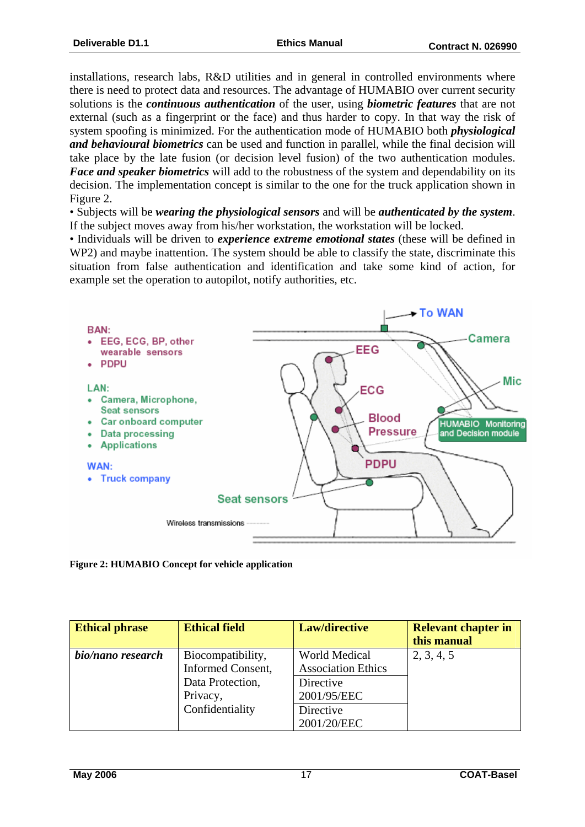installations, research labs, R&D utilities and in general in controlled environments where there is need to protect data and resources. The advantage of HUMABIO over current security solutions is the *continuous authentication* of the user, using *biometric features* that are not external (such as a fingerprint or the face) and thus harder to copy. In that way the risk of system spoofing is minimized. For the authentication mode of HUMABIO both *physiological and behavioural biometrics* can be used and function in parallel, while the final decision will take place by the late fusion (or decision level fusion) of the two authentication modules. *Face and speaker biometrics* will add to the robustness of the system and dependability on its decision. The implementation concept is similar to the one for the truck application shown in Figure 2.

• Subjects will be *wearing the physiological sensors* and will be *authenticated by the system*. If the subject moves away from his/her workstation, the workstation will be locked.

• Individuals will be driven to *experience extreme emotional states* (these will be defined in WP2) and maybe inattention. The system should be able to classify the state, discriminate this situation from false authentication and identification and take some kind of action, for example set the operation to autopilot, notify authorities, etc.



**Figure 2: HUMABIO Concept for vehicle application** 

| <b>Ethical phrase</b> | <b>Ethical field</b> | Law/directive             | <b>Relevant chapter in</b> |
|-----------------------|----------------------|---------------------------|----------------------------|
|                       |                      |                           | this manual                |
| bio/nano research     | Biocompatibility,    | <b>World Medical</b>      | 2, 3, 4, 5                 |
|                       | Informed Consent,    | <b>Association Ethics</b> |                            |
|                       | Data Protection,     | Directive                 |                            |
|                       | Privacy,             | 2001/95/EEC               |                            |
|                       | Confidentiality      | Directive                 |                            |
|                       |                      | 2001/20/EEC               |                            |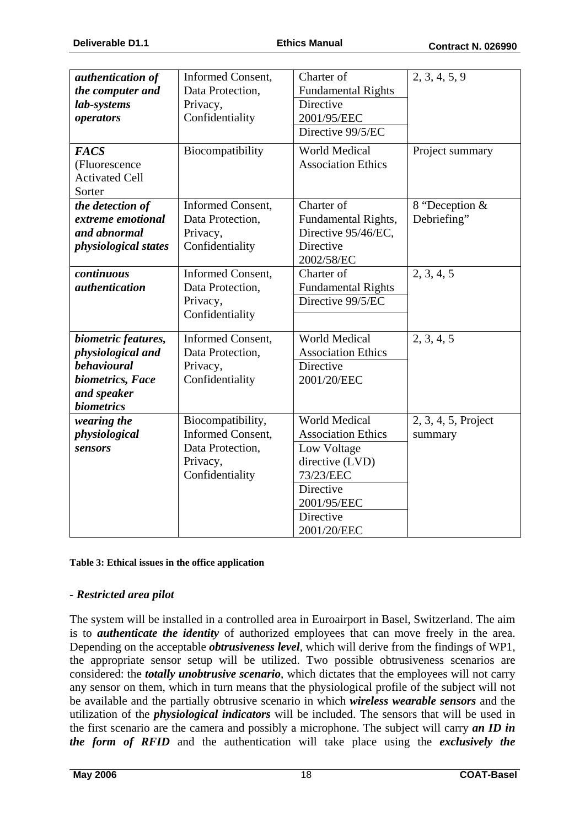| authentication of<br>the computer and<br>lab-systems<br>operators<br><b>FACS</b><br>(Fluorescence               | Informed Consent,<br>Data Protection,<br>Privacy,<br>Confidentiality<br>Biocompatibility         | Charter of<br><b>Fundamental Rights</b><br><b>Directive</b><br>2001/95/EEC<br>Directive 99/5/EC<br><b>World Medical</b><br><b>Association Ethics</b>     | 2, 3, 4, 5, 9<br>Project summary |
|-----------------------------------------------------------------------------------------------------------------|--------------------------------------------------------------------------------------------------|----------------------------------------------------------------------------------------------------------------------------------------------------------|----------------------------------|
| <b>Activated Cell</b><br>Sorter                                                                                 |                                                                                                  |                                                                                                                                                          |                                  |
| the detection of<br>extreme emotional<br>and abnormal<br><i>physiological states</i>                            | <b>Informed Consent,</b><br>Data Protection,<br>Privacy,<br>Confidentiality                      | Charter of<br>Fundamental Rights,<br>Directive 95/46/EC,<br>Directive<br>2002/58/EC                                                                      | 8 "Deception &<br>Debriefing"    |
| continuous<br><i>authentication</i>                                                                             | Informed Consent,<br>Data Protection,<br>Privacy,<br>Confidentiality                             | Charter of<br><b>Fundamental Rights</b><br>Directive 99/5/EC                                                                                             | 2, 3, 4, 5                       |
| biometric features,<br>physiological and<br>behavioural<br>biometrics, Face<br>and speaker<br><b>biometrics</b> | Informed Consent,<br>Data Protection,<br>Privacy,<br>Confidentiality                             | <b>World Medical</b><br><b>Association Ethics</b><br>Directive<br>2001/20/EEC                                                                            | 2, 3, 4, 5                       |
| wearing the<br>physiological<br>sensors                                                                         | Biocompatibility,<br><b>Informed Consent,</b><br>Data Protection,<br>Privacy,<br>Confidentiality | <b>World Medical</b><br><b>Association Ethics</b><br>Low Voltage<br>directive (LVD)<br>73/23/EEC<br>Directive<br>2001/95/EEC<br>Directive<br>2001/20/EEC | 2, 3, 4, 5, Project<br>summary   |

**Table 3: Ethical issues in the office application** 

#### *- Restricted area pilot*

The system will be installed in a controlled area in Euroairport in Basel, Switzerland. The aim is to *authenticate the identity* of authorized employees that can move freely in the area. Depending on the acceptable *obtrusiveness level*, which will derive from the findings of WP1, the appropriate sensor setup will be utilized. Two possible obtrusiveness scenarios are considered: the *totally unobtrusive scenario*, which dictates that the employees will not carry any sensor on them, which in turn means that the physiological profile of the subject will not be available and the partially obtrusive scenario in which *wireless wearable sensors* and the utilization of the *physiological indicators* will be included. The sensors that will be used in the first scenario are the camera and possibly a microphone. The subject will carry *an ID in the form of RFID* and the authentication will take place using the *exclusively the*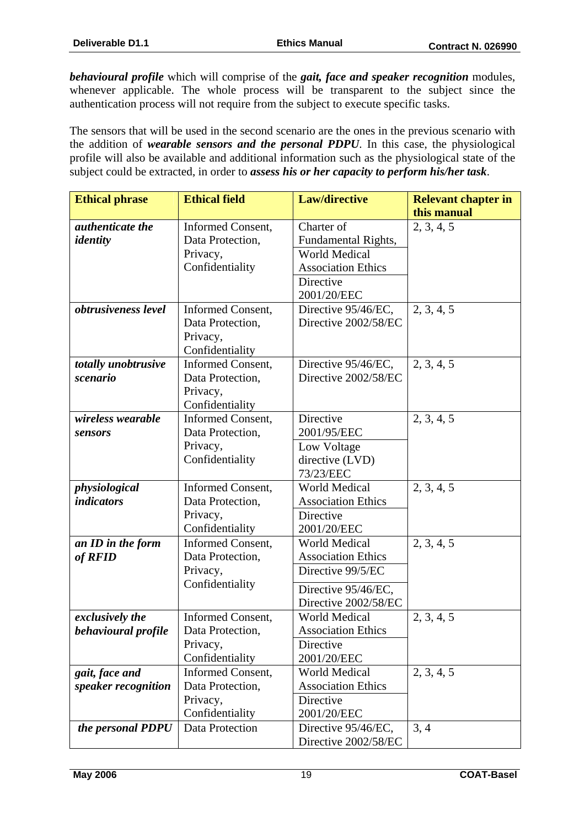*behavioural profile* which will comprise of the *gait, face and speaker recognition* modules, whenever applicable. The whole process will be transparent to the subject since the authentication process will not require from the subject to execute specific tasks.

The sensors that will be used in the second scenario are the ones in the previous scenario with the addition of *wearable sensors and the personal PDPU*. In this case, the physiological profile will also be available and additional information such as the physiological state of the subject could be extracted, in order to *assess his or her capacity to perform his/her task*.

| <b>Ethical phrase</b>   | <b>Ethical field</b>         | <b>Law/directive</b>                           | <b>Relevant chapter in</b> |
|-------------------------|------------------------------|------------------------------------------------|----------------------------|
|                         |                              |                                                | this manual                |
| <i>authenticate the</i> | Informed Consent,            | Charter of                                     | 2, 3, 4, 5                 |
| identity                | Data Protection,             | Fundamental Rights,                            |                            |
|                         | Privacy,                     | <b>World Medical</b>                           |                            |
|                         | Confidentiality              | <b>Association Ethics</b>                      |                            |
|                         |                              | Directive                                      |                            |
|                         |                              | 2001/20/EEC                                    |                            |
| obtrusiveness level     | Informed Consent,            | Directive 95/46/EC,                            | 2, 3, 4, 5                 |
|                         | Data Protection,             | Directive 2002/58/EC                           |                            |
|                         | Privacy,                     |                                                |                            |
|                         | Confidentiality              |                                                |                            |
| totally unobtrusive     | Informed Consent,            | Directive 95/46/EC,                            | 2, 3, 4, 5                 |
| scenario                | Data Protection,             | Directive 2002/58/EC                           |                            |
|                         | Privacy,                     |                                                |                            |
|                         | Confidentiality              |                                                |                            |
| wireless wearable       | Informed Consent,            | Directive                                      | 2, 3, 4, 5                 |
| sensors                 | Data Protection,             | 2001/95/EEC                                    |                            |
|                         | Privacy,                     | Low Voltage                                    |                            |
|                         | Confidentiality              | directive (LVD)                                |                            |
|                         |                              | 73/23/EEC                                      |                            |
| physiological           | Informed Consent,            | <b>World Medical</b>                           | 2, 3, 4, 5                 |
| <i>indicators</i>       | Data Protection,             | <b>Association Ethics</b>                      |                            |
|                         | Privacy,                     | Directive                                      |                            |
|                         | Confidentiality              | 2001/20/EEC                                    |                            |
| an ID in the form       | Informed Consent,            | <b>World Medical</b>                           | 2, 3, 4, 5                 |
| of RFID                 | Data Protection,<br>Privacy, | <b>Association Ethics</b><br>Directive 99/5/EC |                            |
|                         | Confidentiality              |                                                |                            |
|                         |                              | Directive 95/46/EC,                            |                            |
|                         |                              | Directive 2002/58/EC                           |                            |
| exclusively the         | Informed Consent,            | <b>World Medical</b>                           | 2, 3, 4, 5                 |
| behavioural profile     | Data Protection,             | <b>Association Ethics</b>                      |                            |
|                         | Privacy,                     | Directive                                      |                            |
|                         | Confidentiality              | 2001/20/EEC                                    |                            |
| gait, face and          | Informed Consent,            | <b>World Medical</b>                           | 2, 3, 4, 5                 |
| speaker recognition     | Data Protection,             | <b>Association Ethics</b>                      |                            |
|                         | Privacy,                     | Directive                                      |                            |
|                         | Confidentiality              | 2001/20/EEC                                    |                            |
| the personal PDPU       | Data Protection              | Directive 95/46/EC,                            | 3, 4                       |
|                         |                              | Directive 2002/58/EC                           |                            |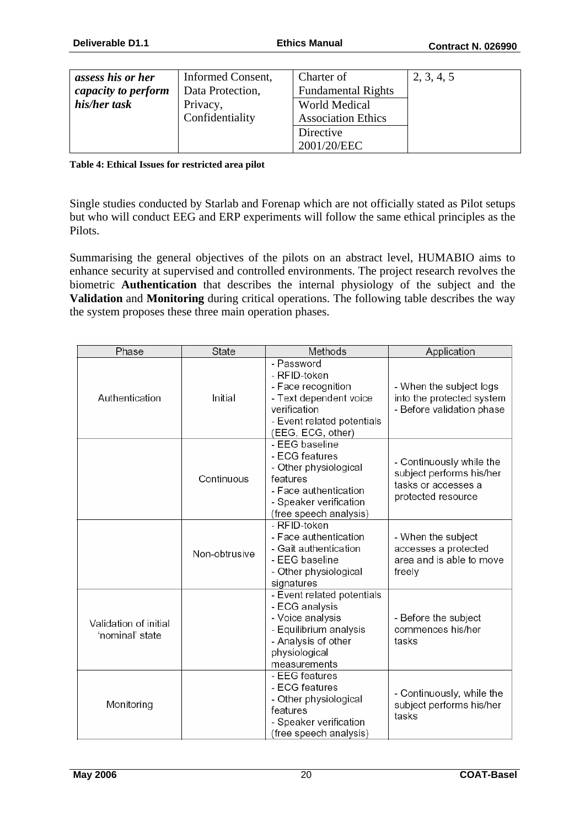| assess his or her   | Informed Consent, | Charter of                | 2, 3, 4, 5 |
|---------------------|-------------------|---------------------------|------------|
| capacity to perform | Data Protection,  | <b>Fundamental Rights</b> |            |
| his/her task        | Privacy,          | <b>World Medical</b>      |            |
|                     | Confidentiality   | <b>Association Ethics</b> |            |
|                     |                   | Directive                 |            |
|                     |                   | 2001/20/EEC               |            |

#### **Table 4: Ethical Issues for restricted area pilot**

Single studies conducted by Starlab and Forenap which are not officially stated as Pilot setups but who will conduct EEG and ERP experiments will follow the same ethical principles as the Pilots.

Summarising the general objectives of the pilots on an abstract level, HUMABIO aims to enhance security at supervised and controlled environments. The project research revolves the biometric **Authentication** that describes the internal physiology of the subject and the **Validation** and **Monitoring** during critical operations. The following table describes the way the system proposes these three main operation phases.

| Phase                                    | State         | Methods                                                                                                                                            | Application                                                                                       |
|------------------------------------------|---------------|----------------------------------------------------------------------------------------------------------------------------------------------------|---------------------------------------------------------------------------------------------------|
| Authentication                           | Initial       | - Password<br>- RFID-token<br>- Face recognition<br>- Text dependent voice<br>verification<br>- Event related potentials<br>(EEG, ECG, other)      | - When the subject logs<br>into the protected system<br>- Before validation phase                 |
|                                          | Continuous    | - EEG baseline<br>- ECG features<br>- Other physiological<br>features<br>- Face authentication<br>- Speaker verification<br>(free speech analysis) | - Continuously while the<br>subject performs his/her<br>tasks or accesses a<br>protected resource |
|                                          | Non-obtrusive | - RFID-token<br>- Face authentication<br>- Gait authentication<br>- EEG baseline<br>- Other physiological<br>signatures                            | - When the subject<br>accesses a protected<br>area and is able to move<br>freely                  |
| Validation of initial<br>'nominal' state |               | - Event related potentials<br>- ECG analysis<br>- Voice analysis<br>- Equilibrium analysis<br>- Analysis of other<br>physiological<br>measurements | - Before the subject<br>commences his/her<br>tasks                                                |
| Monitoring                               |               | - EEG features<br>- ECG features<br>- Other physiological<br>features<br>- Speaker verification<br>(free speech analysis)                          | - Continuously, while the<br>subject performs his/her<br>tasks                                    |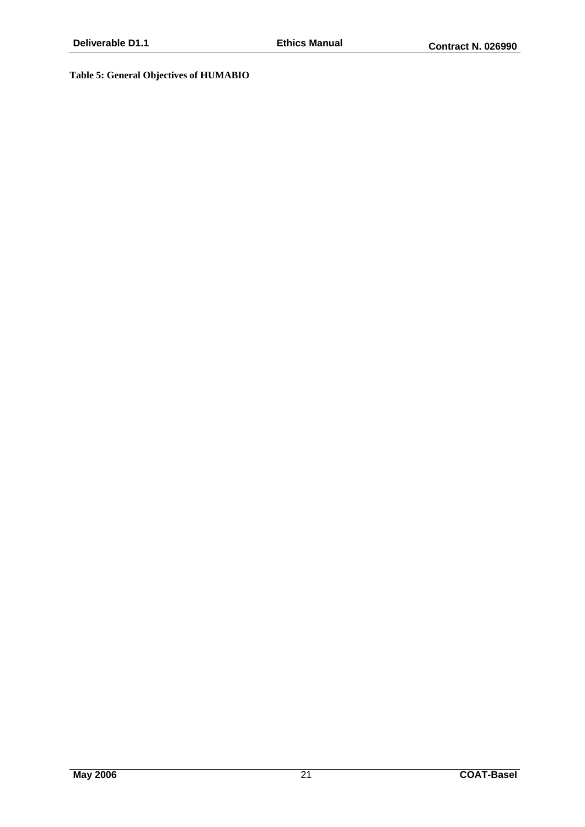#### **Table 5: General Objectives of HUMABIO**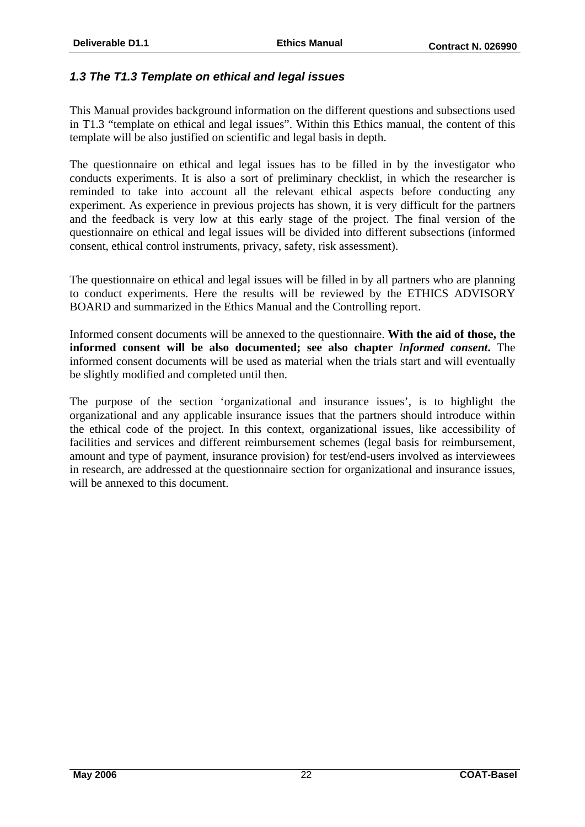# *1.3 The T1.3 Template on ethical and legal issues*

This Manual provides background information on the different questions and subsections used in T1.3 "template on ethical and legal issues". Within this Ethics manual, the content of this template will be also justified on scientific and legal basis in depth.

The questionnaire on ethical and legal issues has to be filled in by the investigator who conducts experiments. It is also a sort of preliminary checklist, in which the researcher is reminded to take into account all the relevant ethical aspects before conducting any experiment. As experience in previous projects has shown, it is very difficult for the partners and the feedback is very low at this early stage of the project. The final version of the questionnaire on ethical and legal issues will be divided into different subsections (informed consent, ethical control instruments, privacy, safety, risk assessment).

The questionnaire on ethical and legal issues will be filled in by all partners who are planning to conduct experiments. Here the results will be reviewed by the ETHICS ADVISORY BOARD and summarized in the Ethics Manual and the Controlling report.

Informed consent documents will be annexed to the questionnaire. **With the aid of those, the informed consent will be also documented; see also chapter** *Informed consent***.** The informed consent documents will be used as material when the trials start and will eventually be slightly modified and completed until then.

The purpose of the section 'organizational and insurance issues', is to highlight the organizational and any applicable insurance issues that the partners should introduce within the ethical code of the project. In this context, organizational issues, like accessibility of facilities and services and different reimbursement schemes (legal basis for reimbursement, amount and type of payment, insurance provision) for test/end-users involved as interviewees in research, are addressed at the questionnaire section for organizational and insurance issues, will be annexed to this document.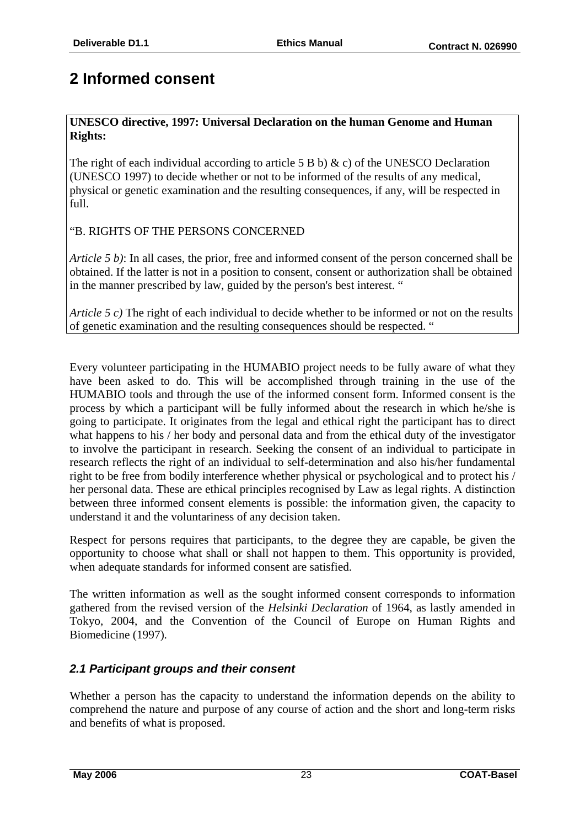# **2 Informed consent**

### **UNESCO directive, 1997: Universal Declaration on the human Genome and Human Rights:**

The right of each individual according to article 5 B b)  $\& c$  of the UNESCO Declaration (UNESCO 1997) to decide whether or not to be informed of the results of any medical, physical or genetic examination and the resulting consequences, if any, will be respected in full.

"B. RIGHTS OF THE PERSONS CONCERNED

*Article 5 b)*: In all cases, the prior, free and informed consent of the person concerned shall be obtained. If the latter is not in a position to consent, consent or authorization shall be obtained in the manner prescribed by law, guided by the person's best interest. "

*Article 5 c)* The right of each individual to decide whether to be informed or not on the results of genetic examination and the resulting consequences should be respected. "

Every volunteer participating in the HUMABIO project needs to be fully aware of what they have been asked to do. This will be accomplished through training in the use of the HUMABIO tools and through the use of the informed consent form. Informed consent is the process by which a participant will be fully informed about the research in which he/she is going to participate. It originates from the legal and ethical right the participant has to direct what happens to his / her body and personal data and from the ethical duty of the investigator to involve the participant in research. Seeking the consent of an individual to participate in research reflects the right of an individual to self-determination and also his/her fundamental right to be free from bodily interference whether physical or psychological and to protect his / her personal data. These are ethical principles recognised by Law as legal rights. A distinction between three informed consent elements is possible: the information given, the capacity to understand it and the voluntariness of any decision taken.

Respect for persons requires that participants, to the degree they are capable, be given the opportunity to choose what shall or shall not happen to them. This opportunity is provided, when adequate standards for informed consent are satisfied.

The written information as well as the sought informed consent corresponds to information gathered from the revised version of the *Helsinki Declaration* of 1964, as lastly amended in Tokyo, 2004, and the Convention of the Council of Europe on Human Rights and Biomedicine (1997)*.* 

# *2.1 Participant groups and their consent*

Whether a person has the capacity to understand the information depends on the ability to comprehend the nature and purpose of any course of action and the short and long-term risks and benefits of what is proposed.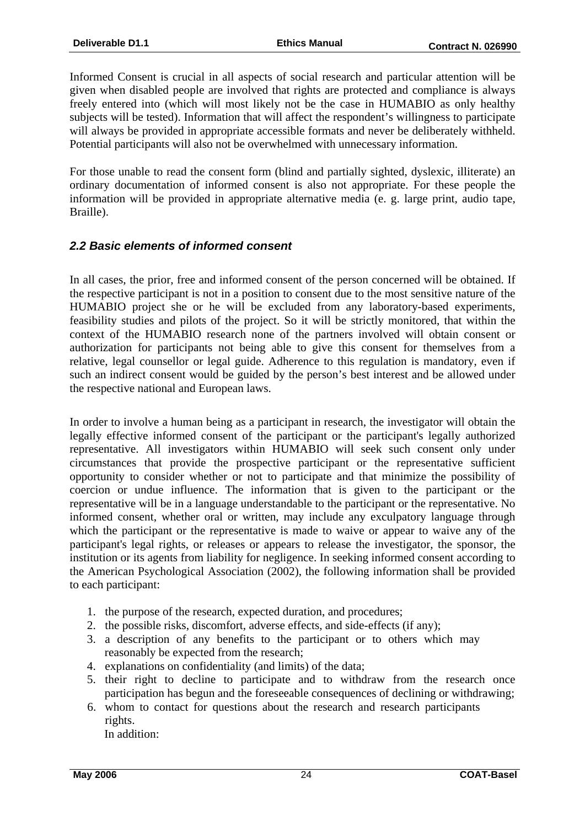Informed Consent is crucial in all aspects of social research and particular attention will be given when disabled people are involved that rights are protected and compliance is always freely entered into (which will most likely not be the case in HUMABIO as only healthy subjects will be tested). Information that will affect the respondent's willingness to participate will always be provided in appropriate accessible formats and never be deliberately withheld. Potential participants will also not be overwhelmed with unnecessary information.

For those unable to read the consent form (blind and partially sighted, dyslexic, illiterate) an ordinary documentation of informed consent is also not appropriate. For these people the information will be provided in appropriate alternative media (e. g. large print, audio tape, Braille).

### *2.2 Basic elements of informed consent*

In all cases, the prior, free and informed consent of the person concerned will be obtained. If the respective participant is not in a position to consent due to the most sensitive nature of the HUMABIO project she or he will be excluded from any laboratory-based experiments, feasibility studies and pilots of the project. So it will be strictly monitored, that within the context of the HUMABIO research none of the partners involved will obtain consent or authorization for participants not being able to give this consent for themselves from a relative, legal counsellor or legal guide. Adherence to this regulation is mandatory, even if such an indirect consent would be guided by the person's best interest and be allowed under the respective national and European laws.

In order to involve a human being as a participant in research, the investigator will obtain the legally effective informed consent of the participant or the participant's legally authorized representative. All investigators within HUMABIO will seek such consent only under circumstances that provide the prospective participant or the representative sufficient opportunity to consider whether or not to participate and that minimize the possibility of coercion or undue influence. The information that is given to the participant or the representative will be in a language understandable to the participant or the representative. No informed consent, whether oral or written, may include any exculpatory language through which the participant or the representative is made to waive or appear to waive any of the participant's legal rights, or releases or appears to release the investigator, the sponsor, the institution or its agents from liability for negligence. In seeking informed consent according to the American Psychological Association (2002), the following information shall be provided to each participant:

- 1. the purpose of the research, expected duration, and procedures;
- 2. the possible risks, discomfort, adverse effects, and side-effects (if any);
- 3. a description of any benefits to the participant or to others which may reasonably be expected from the research;
- 4. explanations on confidentiality (and limits) of the data;
- 5. their right to decline to participate and to withdraw from the research once participation has begun and the foreseeable consequences of declining or withdrawing;
- 6. whom to contact for questions about the research and research participants rights. In addition: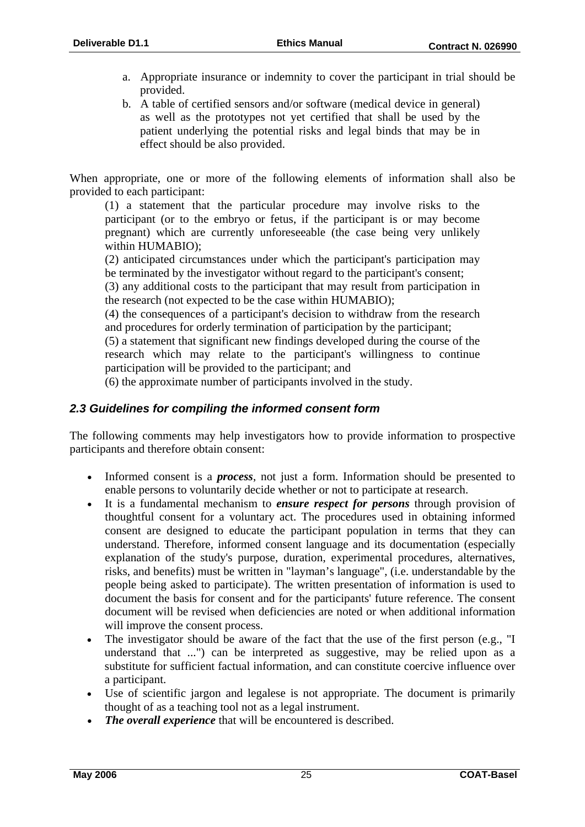- a. Appropriate insurance or indemnity to cover the participant in trial should be provided.
- b. A table of certified sensors and/or software (medical device in general) as well as the prototypes not yet certified that shall be used by the patient underlying the potential risks and legal binds that may be in effect should be also provided.

When appropriate, one or more of the following elements of information shall also be provided to each participant:

(1) a statement that the particular procedure may involve risks to the participant (or to the embryo or fetus, if the participant is or may become pregnant) which are currently unforeseeable (the case being very unlikely within HUMABIO);

(2) anticipated circumstances under which the participant's participation may be terminated by the investigator without regard to the participant's consent;

(3) any additional costs to the participant that may result from participation in the research (not expected to be the case within HUMABIO);

(4) the consequences of a participant's decision to withdraw from the research and procedures for orderly termination of participation by the participant;

(5) a statement that significant new findings developed during the course of the research which may relate to the participant's willingness to continue participation will be provided to the participant; and

(6) the approximate number of participants involved in the study.

### *2.3 Guidelines for compiling the informed consent form*

The following comments may help investigators how to provide information to prospective participants and therefore obtain consent:

- Informed consent is a *process*, not just a form. Information should be presented to enable persons to voluntarily decide whether or not to participate at research.
- It is a fundamental mechanism to *ensure respect for persons* through provision of thoughtful consent for a voluntary act. The procedures used in obtaining informed consent are designed to educate the participant population in terms that they can understand. Therefore, informed consent language and its documentation (especially explanation of the study's purpose, duration, experimental procedures, alternatives, risks, and benefits) must be written in "layman's language", (i.e. understandable by the people being asked to participate). The written presentation of information is used to document the basis for consent and for the participants' future reference. The consent document will be revised when deficiencies are noted or when additional information will improve the consent process.
- The investigator should be aware of the fact that the use of the first person (e.g., "I understand that ...") can be interpreted as suggestive, may be relied upon as a substitute for sufficient factual information, and can constitute coercive influence over a participant.
- Use of scientific jargon and legalese is not appropriate. The document is primarily thought of as a teaching tool not as a legal instrument.
- *The overall experience* that will be encountered is described.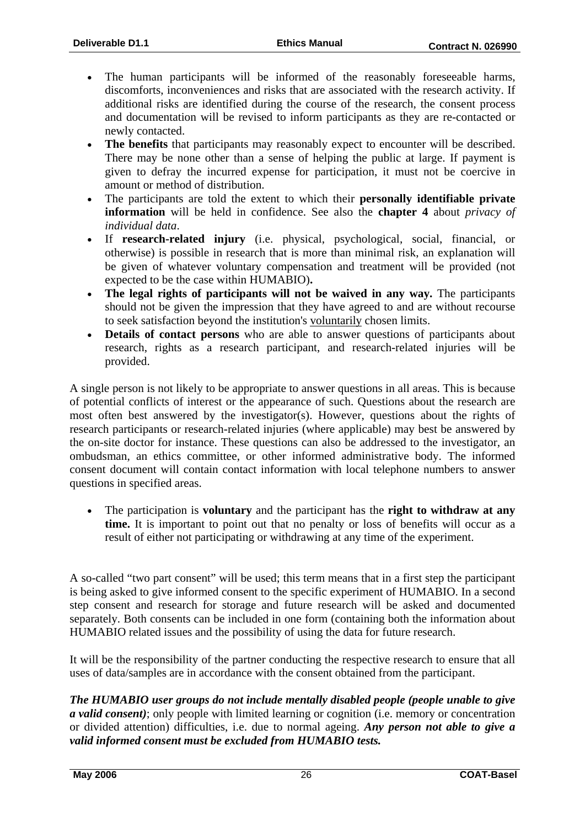- The human participants will be informed of the reasonably foreseeable harms, discomforts, inconveniences and risks that are associated with the research activity. If additional risks are identified during the course of the research, the consent process and documentation will be revised to inform participants as they are re-contacted or newly contacted.
- The benefits that participants may reasonably expect to encounter will be described. There may be none other than a sense of helping the public at large. If payment is given to defray the incurred expense for participation, it must not be coercive in amount or method of distribution.
- The participants are told the extent to which their **personally identifiable private information** will be held in confidence. See also the **chapter 4** about *privacy of individual data*.
- If **research-related injury** (i.e. physical, psychological, social, financial, or otherwise) is possible in research that is more than minimal risk, an explanation will be given of whatever voluntary compensation and treatment will be provided (not expected to be the case within HUMABIO)**.**
- **The legal rights of participants will not be waived in any way.** The participants should not be given the impression that they have agreed to and are without recourse to seek satisfaction beyond the institution's voluntarily chosen limits.
- **Details of contact persons** who are able to answer questions of participants about research, rights as a research participant, and research-related injuries will be provided.

A single person is not likely to be appropriate to answer questions in all areas. This is because of potential conflicts of interest or the appearance of such. Questions about the research are most often best answered by the investigator(s). However, questions about the rights of research participants or research-related injuries (where applicable) may best be answered by the on-site doctor for instance. These questions can also be addressed to the investigator, an ombudsman, an ethics committee, or other informed administrative body. The informed consent document will contain contact information with local telephone numbers to answer questions in specified areas.

• The participation is **voluntary** and the participant has the **right to withdraw at any**  time. It is important to point out that no penalty or loss of benefits will occur as a result of either not participating or withdrawing at any time of the experiment.

A so-called "two part consent" will be used; this term means that in a first step the participant is being asked to give informed consent to the specific experiment of HUMABIO. In a second step consent and research for storage and future research will be asked and documented separately. Both consents can be included in one form (containing both the information about HUMABIO related issues and the possibility of using the data for future research.

It will be the responsibility of the partner conducting the respective research to ensure that all uses of data/samples are in accordance with the consent obtained from the participant.

*The HUMABIO user groups do not include mentally disabled people (people unable to give a valid consent)*; only people with limited learning or cognition (i.e. memory or concentration or divided attention) difficulties, i.e. due to normal ageing. *Any person not able to give a valid informed consent must be excluded from HUMABIO tests.*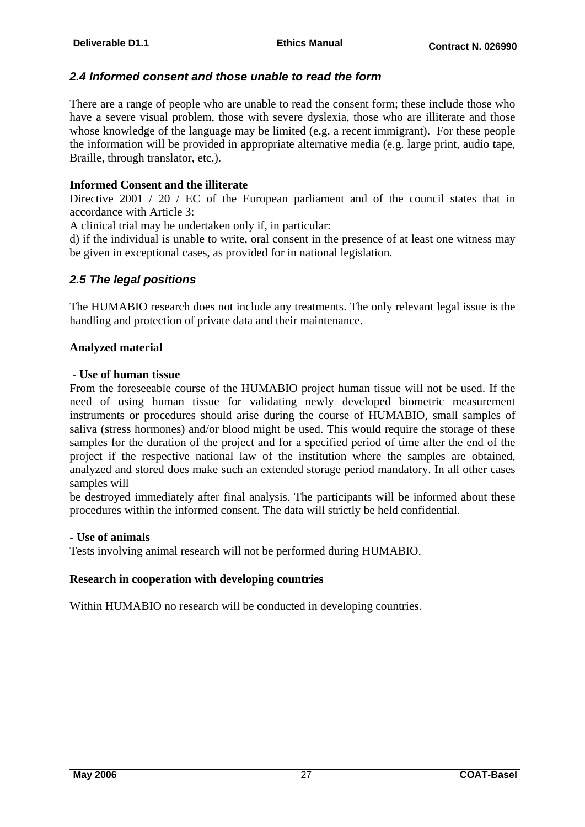### *2.4 Informed consent and those unable to read the form*

There are a range of people who are unable to read the consent form; these include those who have a severe visual problem, those with severe dyslexia, those who are illiterate and those whose knowledge of the language may be limited (e.g. a recent immigrant). For these people the information will be provided in appropriate alternative media (e.g. large print, audio tape, Braille, through translator, etc.).

#### **Informed Consent and the illiterate**

Directive 2001 / 20 / EC of the European parliament and of the council states that in accordance with Article 3:

A clinical trial may be undertaken only if, in particular:

d) if the individual is unable to write, oral consent in the presence of at least one witness may be given in exceptional cases, as provided for in national legislation.

### *2.5 The legal positions*

The HUMABIO research does not include any treatments. The only relevant legal issue is the handling and protection of private data and their maintenance.

#### **Analyzed material**

#### **- Use of human tissue**

From the foreseeable course of the HUMABIO project human tissue will not be used. If the need of using human tissue for validating newly developed biometric measurement instruments or procedures should arise during the course of HUMABIO, small samples of saliva (stress hormones) and/or blood might be used. This would require the storage of these samples for the duration of the project and for a specified period of time after the end of the project if the respective national law of the institution where the samples are obtained, analyzed and stored does make such an extended storage period mandatory. In all other cases samples will

be destroyed immediately after final analysis. The participants will be informed about these procedures within the informed consent. The data will strictly be held confidential.

#### **- Use of animals**

Tests involving animal research will not be performed during HUMABIO.

#### **Research in cooperation with developing countries**

Within HUMABIO no research will be conducted in developing countries.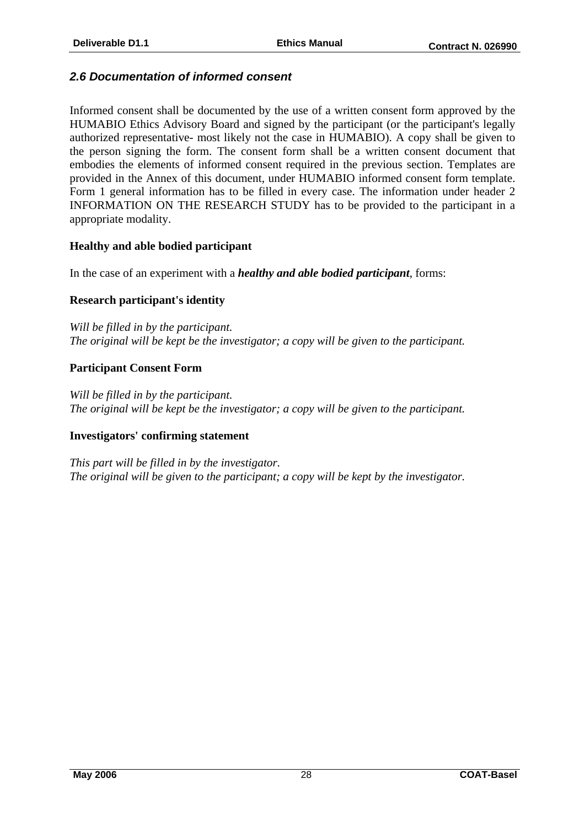### *2.6 Documentation of informed consent*

Informed consent shall be documented by the use of a written consent form approved by the HUMABIO Ethics Advisory Board and signed by the participant (or the participant's legally authorized representative- most likely not the case in HUMABIO). A copy shall be given to the person signing the form. The consent form shall be a written consent document that embodies the elements of informed consent required in the previous section. Templates are provided in the Annex of this document, under HUMABIO informed consent form template. Form 1 general information has to be filled in every case. The information under header 2 INFORMATION ON THE RESEARCH STUDY has to be provided to the participant in a appropriate modality.

#### **Healthy and able bodied participant**

In the case of an experiment with a *healthy and able bodied participant*, forms:

#### **Research participant's identity**

*Will be filled in by the participant. The original will be kept be the investigator; a copy will be given to the participant.* 

### **Participant Consent Form**

*Will be filled in by the participant. The original will be kept be the investigator; a copy will be given to the participant.* 

#### **Investigators' confirming statement**

*This part will be filled in by the investigator. The original will be given to the participant; a copy will be kept by the investigator.*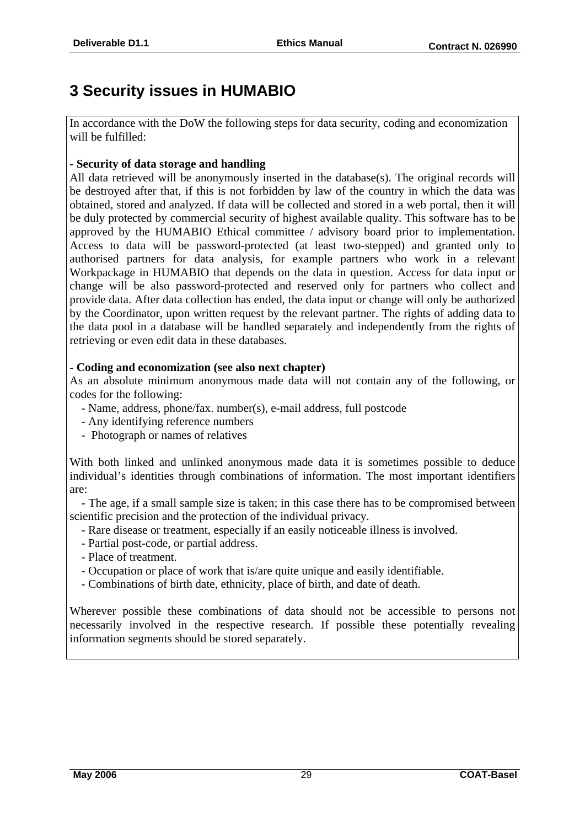# **3 Security issues in HUMABIO**

In accordance with the DoW the following steps for data security, coding and economization will be fulfilled:

### **- Security of data storage and handling**

All data retrieved will be anonymously inserted in the database(s). The original records will be destroyed after that, if this is not forbidden by law of the country in which the data was obtained, stored and analyzed. If data will be collected and stored in a web portal, then it will be duly protected by commercial security of highest available quality. This software has to be approved by the HUMABIO Ethical committee / advisory board prior to implementation. Access to data will be password-protected (at least two-stepped) and granted only to authorised partners for data analysis, for example partners who work in a relevant Workpackage in HUMABIO that depends on the data in question. Access for data input or change will be also password-protected and reserved only for partners who collect and provide data. After data collection has ended, the data input or change will only be authorized by the Coordinator, upon written request by the relevant partner. The rights of adding data to the data pool in a database will be handled separately and independently from the rights of retrieving or even edit data in these databases.

### **- Coding and economization (see also next chapter)**

As an absolute minimum anonymous made data will not contain any of the following, or codes for the following:

- Name, address, phone/fax. number(s), e-mail address, full postcode
- Any identifying reference numbers
- Photograph or names of relatives

With both linked and unlinked anonymous made data it is sometimes possible to deduce individual's identities through combinations of information. The most important identifiers are:

 - The age, if a small sample size is taken; in this case there has to be compromised between scientific precision and the protection of the individual privacy.

- Rare disease or treatment, especially if an easily noticeable illness is involved.
- Partial post-code, or partial address.
- Place of treatment.
- Occupation or place of work that is/are quite unique and easily identifiable.
- Combinations of birth date, ethnicity, place of birth, and date of death.

Wherever possible these combinations of data should not be accessible to persons not necessarily involved in the respective research. If possible these potentially revealing information segments should be stored separately.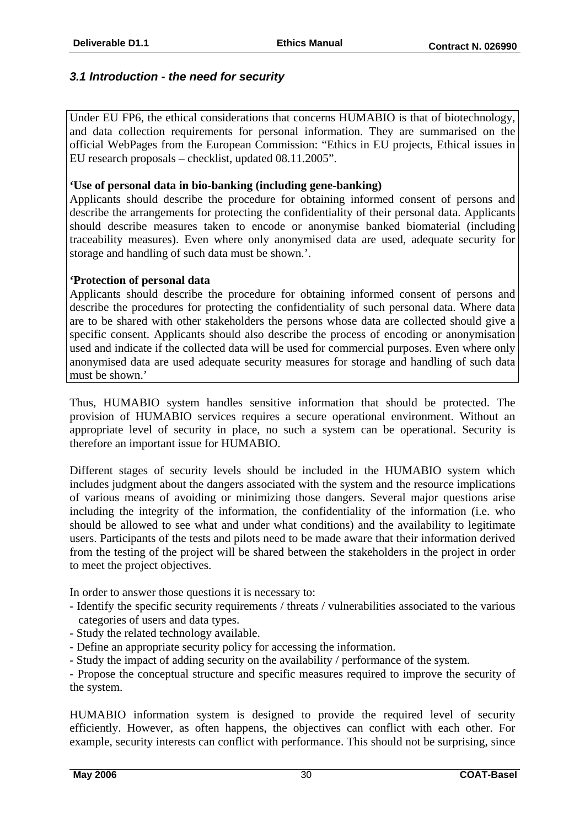### *3.1 Introduction - the need for security*

Under EU FP6, the ethical considerations that concerns HUMABIO is that of biotechnology, and data collection requirements for personal information. They are summarised on the official WebPages from the European Commission: "Ethics in EU projects, Ethical issues in EU research proposals – checklist, updated 08.11.2005".

#### **'Use of personal data in bio-banking (including gene-banking)**

Applicants should describe the procedure for obtaining informed consent of persons and describe the arrangements for protecting the confidentiality of their personal data. Applicants should describe measures taken to encode or anonymise banked biomaterial (including traceability measures). Even where only anonymised data are used, adequate security for storage and handling of such data must be shown.'.

#### **'Protection of personal data**

Applicants should describe the procedure for obtaining informed consent of persons and describe the procedures for protecting the confidentiality of such personal data. Where data are to be shared with other stakeholders the persons whose data are collected should give a specific consent. Applicants should also describe the process of encoding or anonymisation used and indicate if the collected data will be used for commercial purposes. Even where only anonymised data are used adequate security measures for storage and handling of such data must be shown.'

Thus, HUMABIO system handles sensitive information that should be protected. The provision of HUMABIO services requires a secure operational environment. Without an appropriate level of security in place, no such a system can be operational. Security is therefore an important issue for HUMABIO.

Different stages of security levels should be included in the HUMABIO system which includes judgment about the dangers associated with the system and the resource implications of various means of avoiding or minimizing those dangers. Several major questions arise including the integrity of the information, the confidentiality of the information (i.e. who should be allowed to see what and under what conditions) and the availability to legitimate users. Participants of the tests and pilots need to be made aware that their information derived from the testing of the project will be shared between the stakeholders in the project in order to meet the project objectives.

In order to answer those questions it is necessary to:

- Identify the specific security requirements / threats / vulnerabilities associated to the various categories of users and data types.
- Study the related technology available.
- Define an appropriate security policy for accessing the information.
- Study the impact of adding security on the availability / performance of the system.

- Propose the conceptual structure and specific measures required to improve the security of the system.

HUMABIO information system is designed to provide the required level of security efficiently. However, as often happens, the objectives can conflict with each other. For example, security interests can conflict with performance. This should not be surprising, since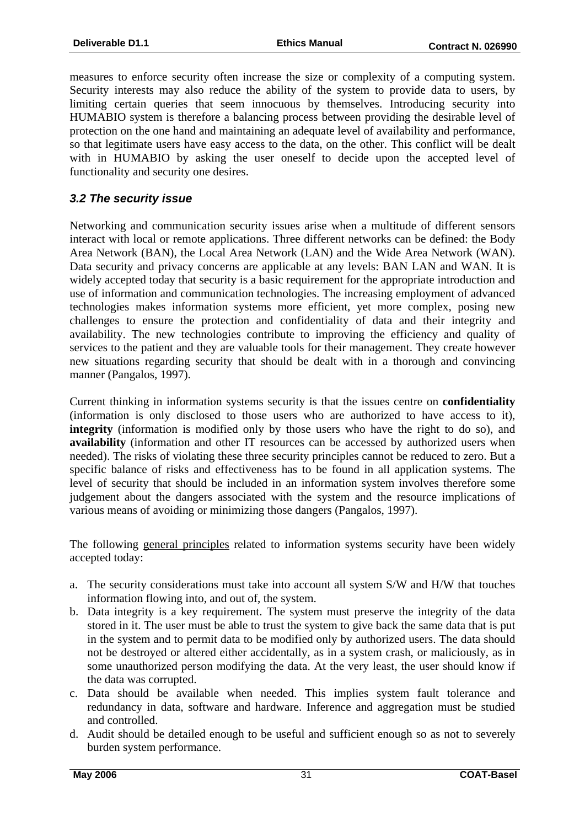measures to enforce security often increase the size or complexity of a computing system. Security interests may also reduce the ability of the system to provide data to users, by limiting certain queries that seem innocuous by themselves. Introducing security into HUMABIO system is therefore a balancing process between providing the desirable level of protection on the one hand and maintaining an adequate level of availability and performance, so that legitimate users have easy access to the data, on the other. This conflict will be dealt with in HUMABIO by asking the user oneself to decide upon the accepted level of functionality and security one desires.

### *3.2 The security issue*

Networking and communication security issues arise when a multitude of different sensors interact with local or remote applications. Three different networks can be defined: the Body Area Network (BAN), the Local Area Network (LAN) and the Wide Area Network (WAN). Data security and privacy concerns are applicable at any levels: BAN LAN and WAN. It is widely accepted today that security is a basic requirement for the appropriate introduction and use of information and communication technologies. The increasing employment of advanced technologies makes information systems more efficient, yet more complex, posing new challenges to ensure the protection and confidentiality of data and their integrity and availability. The new technologies contribute to improving the efficiency and quality of services to the patient and they are valuable tools for their management. They create however new situations regarding security that should be dealt with in a thorough and convincing manner (Pangalos, 1997).

Current thinking in information systems security is that the issues centre on **confidentiality** (information is only disclosed to those users who are authorized to have access to it), **integrity** (information is modified only by those users who have the right to do so), and **availability** (information and other IT resources can be accessed by authorized users when needed). The risks of violating these three security principles cannot be reduced to zero. But a specific balance of risks and effectiveness has to be found in all application systems. The level of security that should be included in an information system involves therefore some judgement about the dangers associated with the system and the resource implications of various means of avoiding or minimizing those dangers (Pangalos, 1997).

The following general principles related to information systems security have been widely accepted today:

- a. The security considerations must take into account all system S/W and H/W that touches information flowing into, and out of, the system.
- b. Data integrity is a key requirement. The system must preserve the integrity of the data stored in it. The user must be able to trust the system to give back the same data that is put in the system and to permit data to be modified only by authorized users. The data should not be destroyed or altered either accidentally, as in a system crash, or maliciously, as in some unauthorized person modifying the data. At the very least, the user should know if the data was corrupted.
- c. Data should be available when needed. This implies system fault tolerance and redundancy in data, software and hardware. Inference and aggregation must be studied and controlled.
- d. Audit should be detailed enough to be useful and sufficient enough so as not to severely burden system performance.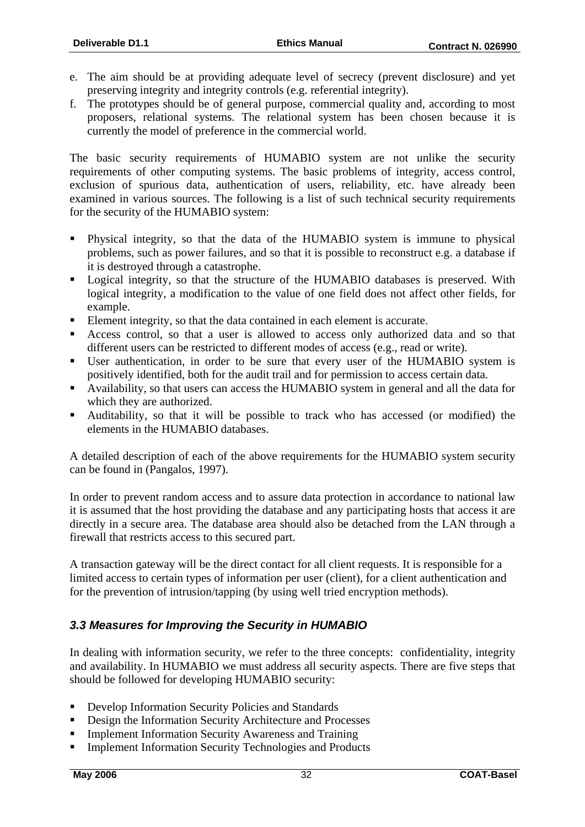- e. The aim should be at providing adequate level of secrecy (prevent disclosure) and yet preserving integrity and integrity controls (e.g. referential integrity).
- f. The prototypes should be of general purpose, commercial quality and, according to most proposers, relational systems. The relational system has been chosen because it is currently the model of preference in the commercial world.

The basic security requirements of HUMABIO system are not unlike the security requirements of other computing systems. The basic problems of integrity, access control, exclusion of spurious data, authentication of users, reliability, etc. have already been examined in various sources. The following is a list of such technical security requirements for the security of the HUMABIO system:

- Physical integrity, so that the data of the HUMABIO system is immune to physical problems, such as power failures, and so that it is possible to reconstruct e.g. a database if it is destroyed through a catastrophe.
- **Exercise 1** Logical integrity, so that the structure of the HUMABIO databases is preserved. With logical integrity, a modification to the value of one field does not affect other fields, for example.
- Element integrity, so that the data contained in each element is accurate.
- Access control, so that a user is allowed to access only authorized data and so that different users can be restricted to different modes of access (e.g., read or write).
- User authentication, in order to be sure that every user of the HUMABIO system is positively identified, both for the audit trail and for permission to access certain data.
- Availability, so that users can access the HUMABIO system in general and all the data for which they are authorized.
- Auditability, so that it will be possible to track who has accessed (or modified) the elements in the HUMABIO databases.

A detailed description of each of the above requirements for the HUMABIO system security can be found in (Pangalos, 1997).

In order to prevent random access and to assure data protection in accordance to national law it is assumed that the host providing the database and any participating hosts that access it are directly in a secure area. The database area should also be detached from the LAN through a firewall that restricts access to this secured part.

A transaction gateway will be the direct contact for all client requests. It is responsible for a limited access to certain types of information per user (client), for a client authentication and for the prevention of intrusion/tapping (by using well tried encryption methods).

# *3.3 Measures for Improving the Security in HUMABIO*

In dealing with information security, we refer to the three concepts: confidentiality, integrity and availability. In HUMABIO we must address all security aspects. There are five steps that should be followed for developing HUMABIO security:

- **Develop Information Security Policies and Standards**
- Design the Information Security Architecture and Processes
- Implement Information Security Awareness and Training
- Implement Information Security Technologies and Products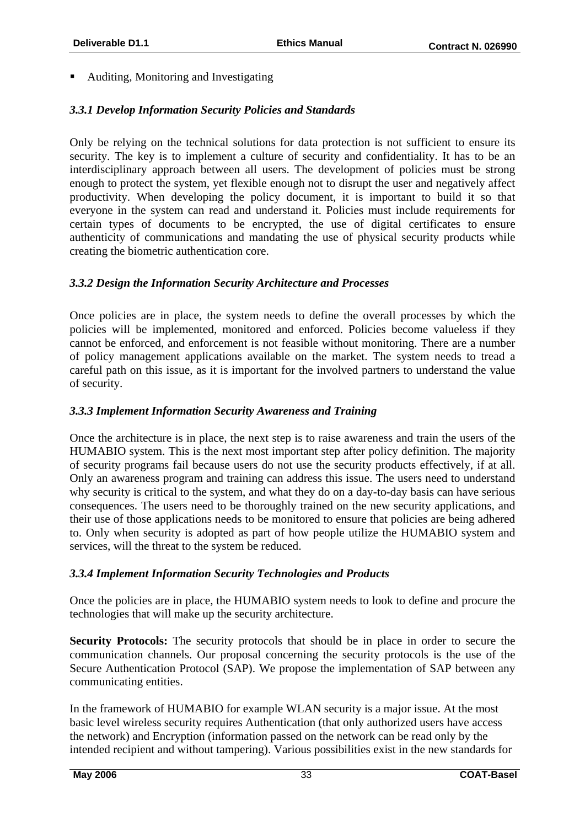■ Auditing, Monitoring and Investigating

# *3.3.1 Develop Information Security Policies and Standards*

Only be relying on the technical solutions for data protection is not sufficient to ensure its security. The key is to implement a culture of security and confidentiality. It has to be an interdisciplinary approach between all users. The development of policies must be strong enough to protect the system, yet flexible enough not to disrupt the user and negatively affect productivity. When developing the policy document, it is important to build it so that everyone in the system can read and understand it. Policies must include requirements for certain types of documents to be encrypted, the use of digital certificates to ensure authenticity of communications and mandating the use of physical security products while creating the biometric authentication core.

# *3.3.2 Design the Information Security Architecture and Processes*

Once policies are in place, the system needs to define the overall processes by which the policies will be implemented, monitored and enforced. Policies become valueless if they cannot be enforced, and enforcement is not feasible without monitoring. There are a number of policy management applications available on the market. The system needs to tread a careful path on this issue, as it is important for the involved partners to understand the value of security.

### *3.3.3 Implement Information Security Awareness and Training*

Once the architecture is in place, the next step is to raise awareness and train the users of the HUMABIO system. This is the next most important step after policy definition. The majority of security programs fail because users do not use the security products effectively, if at all. Only an awareness program and training can address this issue. The users need to understand why security is critical to the system, and what they do on a day-to-day basis can have serious consequences. The users need to be thoroughly trained on the new security applications, and their use of those applications needs to be monitored to ensure that policies are being adhered to. Only when security is adopted as part of how people utilize the HUMABIO system and services, will the threat to the system be reduced.

# *3.3.4 Implement Information Security Technologies and Products*

Once the policies are in place, the HUMABIO system needs to look to define and procure the technologies that will make up the security architecture.

**Security Protocols:** The security protocols that should be in place in order to secure the communication channels. Our proposal concerning the security protocols is the use of the Secure Authentication Protocol (SAP). We propose the implementation of SAP between any communicating entities.

In the framework of HUMABIO for example WLAN security is a major issue. At the most basic level wireless security requires Authentication (that only authorized users have access the network) and Encryption (information passed on the network can be read only by the intended recipient and without tampering). Various possibilities exist in the new standards for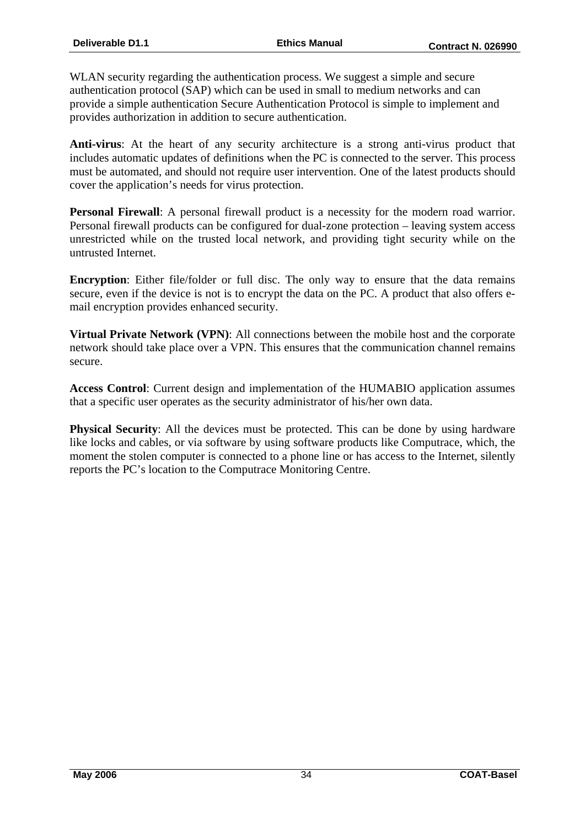WLAN security regarding the authentication process. We suggest a simple and secure authentication protocol (SAP) which can be used in small to medium networks and can provide a simple authentication Secure Authentication Protocol is simple to implement and provides authorization in addition to secure authentication.

**Anti-virus**: At the heart of any security architecture is a strong anti-virus product that includes automatic updates of definitions when the PC is connected to the server. This process must be automated, and should not require user intervention. One of the latest products should cover the application's needs for virus protection.

**Personal Firewall:** A personal firewall product is a necessity for the modern road warrior. Personal firewall products can be configured for dual-zone protection – leaving system access unrestricted while on the trusted local network, and providing tight security while on the untrusted Internet.

**Encryption**: Either file/folder or full disc. The only way to ensure that the data remains secure, even if the device is not is to encrypt the data on the PC. A product that also offers email encryption provides enhanced security.

**Virtual Private Network (VPN)**: All connections between the mobile host and the corporate network should take place over a VPN. This ensures that the communication channel remains secure.

**Access Control**: Current design and implementation of the HUMABIO application assumes that a specific user operates as the security administrator of his/her own data.

**Physical Security:** All the devices must be protected. This can be done by using hardware like locks and cables, or via software by using software products like Computrace, which, the moment the stolen computer is connected to a phone line or has access to the Internet, silently reports the PC's location to the Computrace Monitoring Centre.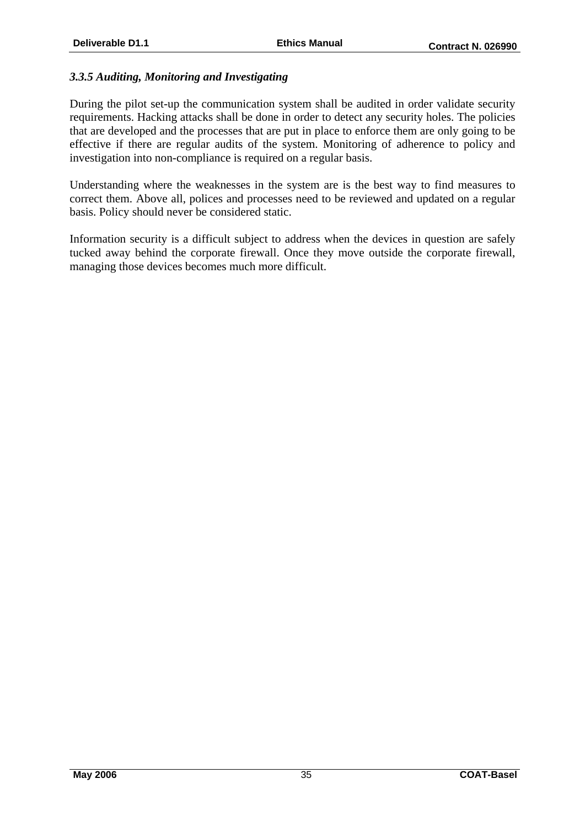#### *3.3.5 Auditing, Monitoring and Investigating*

During the pilot set-up the communication system shall be audited in order validate security requirements. Hacking attacks shall be done in order to detect any security holes. The policies that are developed and the processes that are put in place to enforce them are only going to be effective if there are regular audits of the system. Monitoring of adherence to policy and investigation into non-compliance is required on a regular basis.

Understanding where the weaknesses in the system are is the best way to find measures to correct them. Above all, polices and processes need to be reviewed and updated on a regular basis. Policy should never be considered static.

Information security is a difficult subject to address when the devices in question are safely tucked away behind the corporate firewall. Once they move outside the corporate firewall, managing those devices becomes much more difficult.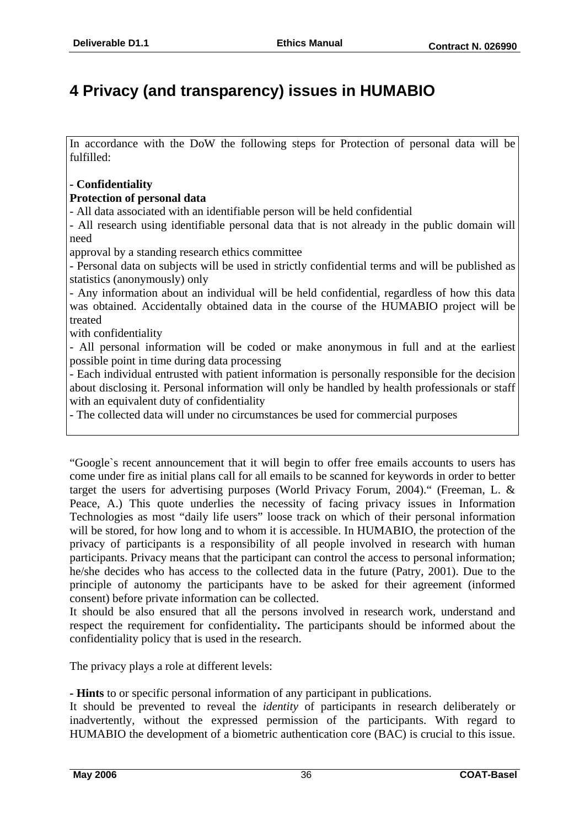# **4 Privacy (and transparency) issues in HUMABIO**

In accordance with the DoW the following steps for Protection of personal data will be fulfilled:

#### **- Confidentiality**

#### **Protection of personal data**

- All data associated with an identifiable person will be held confidential

- All research using identifiable personal data that is not already in the public domain will need

approval by a standing research ethics committee

- Personal data on subjects will be used in strictly confidential terms and will be published as statistics (anonymously) only

- Any information about an individual will be held confidential, regardless of how this data was obtained. Accidentally obtained data in the course of the HUMABIO project will be treated

with confidentiality

- All personal information will be coded or make anonymous in full and at the earliest possible point in time during data processing

- Each individual entrusted with patient information is personally responsible for the decision about disclosing it. Personal information will only be handled by health professionals or staff with an equivalent duty of confidentiality

- The collected data will under no circumstances be used for commercial purposes

"Google`s recent announcement that it will begin to offer free emails accounts to users has come under fire as initial plans call for all emails to be scanned for keywords in order to better target the users for advertising purposes (World Privacy Forum, 2004)." (Freeman, L. & Peace, A.) This quote underlies the necessity of facing privacy issues in Information Technologies as most "daily life users" loose track on which of their personal information will be stored, for how long and to whom it is accessible. In HUMABIO, the protection of the privacy of participants is a responsibility of all people involved in research with human participants. Privacy means that the participant can control the access to personal information; he/she decides who has access to the collected data in the future (Patry, 2001). Due to the principle of autonomy the participants have to be asked for their agreement (informed consent) before private information can be collected.

It should be also ensured that all the persons involved in research work, understand and respect the requirement for confidentiality**.** The participants should be informed about the confidentiality policy that is used in the research.

The privacy plays a role at different levels:

**- Hints** to or specific personal information of any participant in publications.

It should be prevented to reveal the *identity* of participants in research deliberately or inadvertently, without the expressed permission of the participants. With regard to HUMABIO the development of a biometric authentication core (BAC) is crucial to this issue.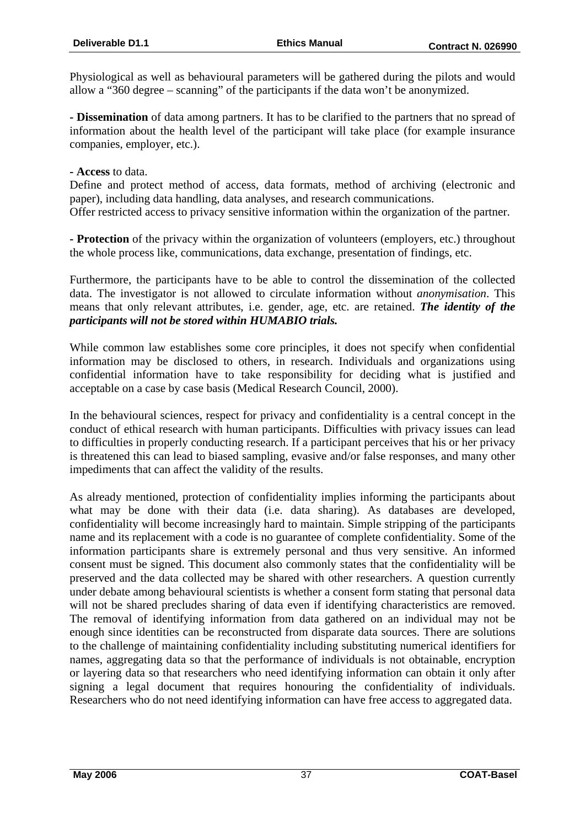Physiological as well as behavioural parameters will be gathered during the pilots and would allow a "360 degree – scanning" of the participants if the data won't be anonymized.

**- Dissemination** of data among partners. It has to be clarified to the partners that no spread of information about the health level of the participant will take place (for example insurance companies, employer, etc.).

**- Access** to data.

Define and protect method of access, data formats, method of archiving (electronic and paper), including data handling, data analyses, and research communications. Offer restricted access to privacy sensitive information within the organization of the partner.

**- Protection** of the privacy within the organization of volunteers (employers, etc.) throughout the whole process like, communications, data exchange, presentation of findings, etc.

Furthermore, the participants have to be able to control the dissemination of the collected data. The investigator is not allowed to circulate information without *anonymisation*. This means that only relevant attributes, i.e. gender, age, etc. are retained. *The identity of the participants will not be stored within HUMABIO trials.* 

While common law establishes some core principles, it does not specify when confidential information may be disclosed to others, in research. Individuals and organizations using confidential information have to take responsibility for deciding what is justified and acceptable on a case by case basis (Medical Research Council, 2000).

In the behavioural sciences, respect for privacy and confidentiality is a central concept in the conduct of ethical research with human participants. Difficulties with privacy issues can lead to difficulties in properly conducting research. If a participant perceives that his or her privacy is threatened this can lead to biased sampling, evasive and/or false responses, and many other impediments that can affect the validity of the results.

As already mentioned, protection of confidentiality implies informing the participants about what may be done with their data (i.e. data sharing). As databases are developed, confidentiality will become increasingly hard to maintain. Simple stripping of the participants name and its replacement with a code is no guarantee of complete confidentiality. Some of the information participants share is extremely personal and thus very sensitive. An informed consent must be signed. This document also commonly states that the confidentiality will be preserved and the data collected may be shared with other researchers. A question currently under debate among behavioural scientists is whether a consent form stating that personal data will not be shared precludes sharing of data even if identifying characteristics are removed. The removal of identifying information from data gathered on an individual may not be enough since identities can be reconstructed from disparate data sources. There are solutions to the challenge of maintaining confidentiality including substituting numerical identifiers for names, aggregating data so that the performance of individuals is not obtainable, encryption or layering data so that researchers who need identifying information can obtain it only after signing a legal document that requires honouring the confidentiality of individuals. Researchers who do not need identifying information can have free access to aggregated data.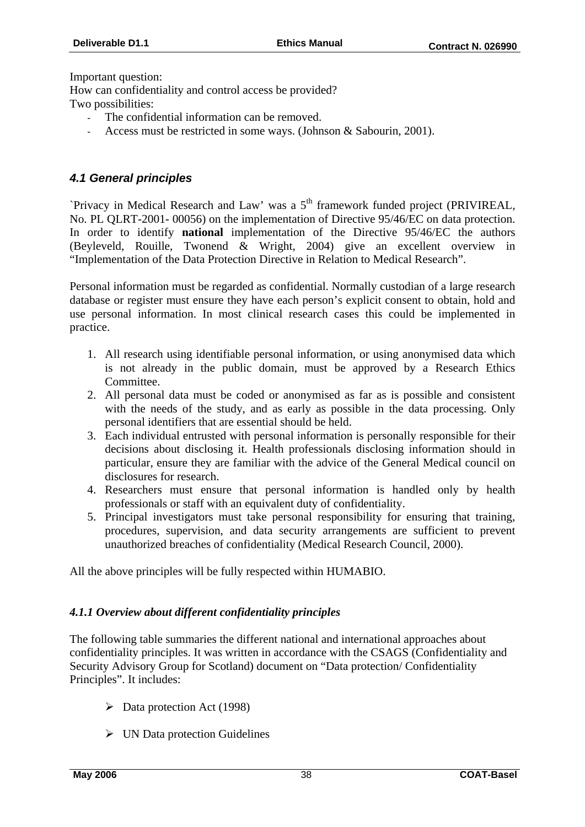Important question:

How can confidentiality and control access be provided? Two possibilities:

- The confidential information can be removed.
- Access must be restricted in some ways. (Johnson & Sabourin, 2001).

#### *4.1 General principles*

`Privacy in Medical Research and Law' was a 5<sup>th</sup> framework funded project (PRIVIREAL, No. PL QLRT-2001- 00056) on the implementation of Directive 95/46/EC on data protection. In order to identify **national** implementation of the Directive 95/46/EC the authors (Beyleveld, Rouille, Twonend & Wright, 2004) give an excellent overview in "Implementation of the Data Protection Directive in Relation to Medical Research".

Personal information must be regarded as confidential. Normally custodian of a large research database or register must ensure they have each person's explicit consent to obtain, hold and use personal information. In most clinical research cases this could be implemented in practice.

- 1. All research using identifiable personal information, or using anonymised data which is not already in the public domain, must be approved by a Research Ethics Committee.
- 2. All personal data must be coded or anonymised as far as is possible and consistent with the needs of the study, and as early as possible in the data processing. Only personal identifiers that are essential should be held.
- 3. Each individual entrusted with personal information is personally responsible for their decisions about disclosing it. Health professionals disclosing information should in particular, ensure they are familiar with the advice of the General Medical council on disclosures for research.
- 4. Researchers must ensure that personal information is handled only by health professionals or staff with an equivalent duty of confidentiality.
- 5. Principal investigators must take personal responsibility for ensuring that training, procedures, supervision, and data security arrangements are sufficient to prevent unauthorized breaches of confidentiality (Medical Research Council, 2000).

All the above principles will be fully respected within HUMABIO.

#### *4.1.1 Overview about different confidentiality principles*

The following table summaries the different national and international approaches about confidentiality principles. It was written in accordance with the CSAGS (Confidentiality and Security Advisory Group for Scotland) document on "Data protection/ Confidentiality Principles". It includes:

- $\triangleright$  Data protection Act (1998)
- $\triangleright$  UN Data protection Guidelines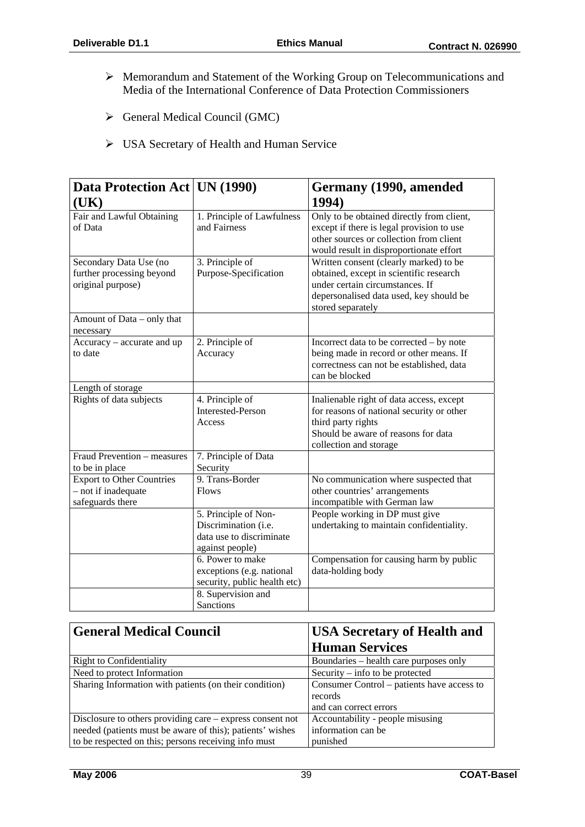- ¾ Memorandum and Statement of the Working Group on Telecommunications and Media of the International Conference of Data Protection Commissioners
- ¾ General Medical Council (GMC)
- ¾ USA Secretary of Health and Human Service

| Data Protection Act   UN (1990)                                             |                                                                                             | Germany (1990, amended                                                                                                                                                               |
|-----------------------------------------------------------------------------|---------------------------------------------------------------------------------------------|--------------------------------------------------------------------------------------------------------------------------------------------------------------------------------------|
| (UK)                                                                        |                                                                                             | 1994)                                                                                                                                                                                |
| Fair and Lawful Obtaining<br>of Data                                        | 1. Principle of Lawfulness<br>and Fairness                                                  | Only to be obtained directly from client,<br>except if there is legal provision to use<br>other sources or collection from client<br>would result in disproportionate effort         |
| Secondary Data Use (no<br>further processing beyond<br>original purpose)    | 3. Principle of<br>Purpose-Specification                                                    | Written consent (clearly marked) to be<br>obtained, except in scientific research<br>under certain circumstances. If<br>depersonalised data used, key should be<br>stored separately |
| Amount of Data – only that<br>necessary                                     |                                                                                             |                                                                                                                                                                                      |
| Accuracy – accurate and up<br>to date                                       | 2. Principle of<br>Accuracy                                                                 | Incorrect data to be corrected - by note<br>being made in record or other means. If<br>correctness can not be established, data<br>can be blocked                                    |
| Length of storage                                                           |                                                                                             |                                                                                                                                                                                      |
| Rights of data subjects                                                     | 4. Principle of<br><b>Interested-Person</b><br>Access                                       | Inalienable right of data access, except<br>for reasons of national security or other<br>third party rights<br>Should be aware of reasons for data<br>collection and storage         |
| Fraud Prevention - measures<br>to be in place                               | 7. Principle of Data<br>Security                                                            |                                                                                                                                                                                      |
| <b>Export to Other Countries</b><br>- not if inadequate<br>safeguards there | 9. Trans-Border<br>Flows                                                                    | No communication where suspected that<br>other countries' arrangements<br>incompatible with German law                                                                               |
|                                                                             | 5. Principle of Non-<br>Discrimination (i.e.<br>data use to discriminate<br>against people) | People working in DP must give<br>undertaking to maintain confidentiality.                                                                                                           |
|                                                                             | 6. Power to make<br>exceptions (e.g. national<br>security, public health etc)               | Compensation for causing harm by public<br>data-holding body                                                                                                                         |
|                                                                             | 8. Supervision and<br>Sanctions                                                             |                                                                                                                                                                                      |

| <b>General Medical Council</b>                              | <b>USA Secretary of Health and</b>         |
|-------------------------------------------------------------|--------------------------------------------|
|                                                             | <b>Human Services</b>                      |
| <b>Right to Confidentiality</b>                             | Boundaries – health care purposes only     |
| Need to protect Information                                 | Security $-$ info to be protected          |
| Sharing Information with patients (on their condition)      | Consumer Control – patients have access to |
|                                                             | records                                    |
|                                                             | and can correct errors                     |
| Disclosure to others providing care $-$ express consent not | Accountability - people misusing           |
| needed (patients must be aware of this); patients' wishes   | information can be                         |
| to be respected on this; persons receiving info must        | punished                                   |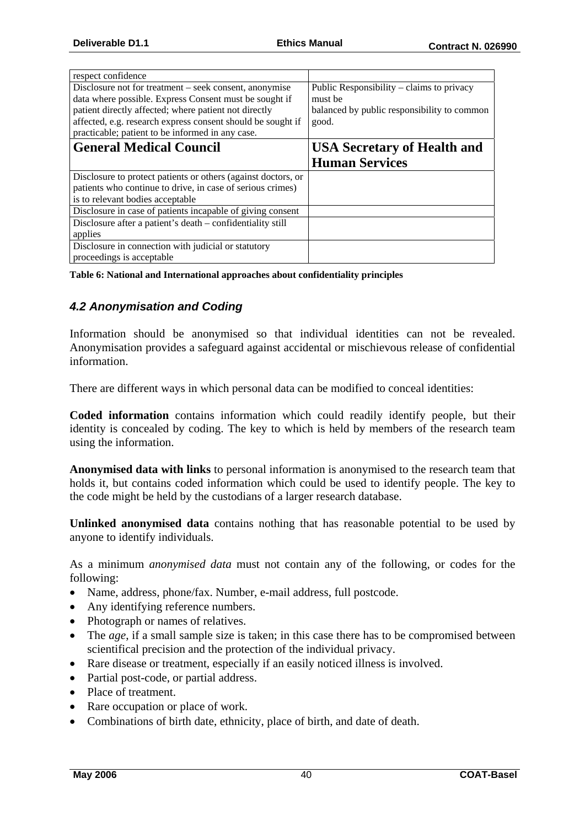| respect confidence                                            |                                             |
|---------------------------------------------------------------|---------------------------------------------|
| Disclosure not for treatment – seek consent, anonymise        | Public Responsibility $-$ claims to privacy |
| data where possible. Express Consent must be sought if        | must be                                     |
| patient directly affected; where patient not directly         | balanced by public responsibility to common |
| affected, e.g. research express consent should be sought if   | good.                                       |
| practicable; patient to be informed in any case.              |                                             |
| <b>General Medical Council</b>                                | <b>USA Secretary of Health and</b>          |
|                                                               | <b>Human Services</b>                       |
| Disclosure to protect patients or others (against doctors, or |                                             |
| patients who continue to drive, in case of serious crimes)    |                                             |
| is to relevant bodies acceptable                              |                                             |
| Disclosure in case of patients incapable of giving consent    |                                             |
| Disclosure after a patient's death – confidentiality still    |                                             |
| applies                                                       |                                             |
| Disclosure in connection with judicial or statutory           |                                             |
| proceedings is acceptable.                                    |                                             |

**Table 6: National and International approaches about confidentiality principles** 

#### *4.2 Anonymisation and Coding*

Information should be anonymised so that individual identities can not be revealed. Anonymisation provides a safeguard against accidental or mischievous release of confidential information.

There are different ways in which personal data can be modified to conceal identities:

**Coded information** contains information which could readily identify people, but their identity is concealed by coding. The key to which is held by members of the research team using the information.

**Anonymised data with links** to personal information is anonymised to the research team that holds it, but contains coded information which could be used to identify people. The key to the code might be held by the custodians of a larger research database.

**Unlinked anonymised data** contains nothing that has reasonable potential to be used by anyone to identify individuals.

As a minimum *anonymised data* must not contain any of the following, or codes for the following:

- Name, address, phone/fax. Number, e-mail address, full postcode.
- Any identifying reference numbers.
- Photograph or names of relatives.
- The *age*, if a small sample size is taken; in this case there has to be compromised between scientifical precision and the protection of the individual privacy.
- Rare disease or treatment, especially if an easily noticed illness is involved.
- Partial post-code, or partial address.
- Place of treatment.
- Rare occupation or place of work.
- Combinations of birth date, ethnicity, place of birth, and date of death.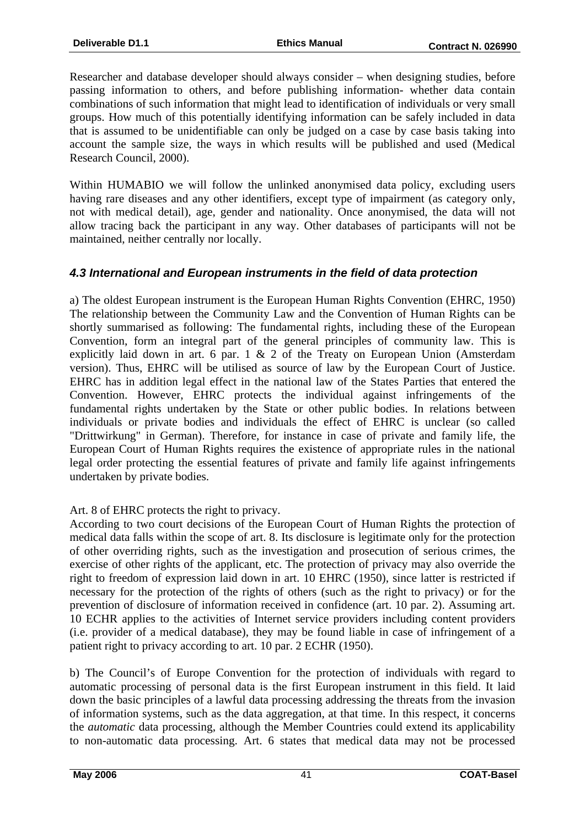Researcher and database developer should always consider – when designing studies, before passing information to others, and before publishing information- whether data contain combinations of such information that might lead to identification of individuals or very small groups. How much of this potentially identifying information can be safely included in data that is assumed to be unidentifiable can only be judged on a case by case basis taking into account the sample size, the ways in which results will be published and used (Medical Research Council, 2000).

Within HUMABIO we will follow the unlinked anonymised data policy, excluding users having rare diseases and any other identifiers, except type of impairment (as category only, not with medical detail), age, gender and nationality. Once anonymised, the data will not allow tracing back the participant in any way. Other databases of participants will not be maintained, neither centrally nor locally.

#### *4.3 International and European instruments in the field of data protection*

a) The oldest European instrument is the European Human Rights Convention (EHRC, 1950) The relationship between the Community Law and the Convention of Human Rights can be shortly summarised as following: The fundamental rights, including these of the European Convention, form an integral part of the general principles of community law. This is explicitly laid down in art. 6 par. 1 & 2 of the Treaty on European Union (Amsterdam version). Thus, EHRC will be utilised as source of law by the European Court of Justice. EHRC has in addition legal effect in the national law of the States Parties that entered the Convention. However, EHRC protects the individual against infringements of the fundamental rights undertaken by the State or other public bodies. In relations between individuals or private bodies and individuals the effect of EHRC is unclear (so called "Drittwirkung" in German). Therefore, for instance in case of private and family life, the European Court of Human Rights requires the existence of appropriate rules in the national legal order protecting the essential features of private and family life against infringements undertaken by private bodies.

Art. 8 of EHRC protects the right to privacy.

According to two court decisions of the European Court of Human Rights the protection of medical data falls within the scope of art. 8. Its disclosure is legitimate only for the protection of other overriding rights, such as the investigation and prosecution of serious crimes, the exercise of other rights of the applicant, etc. The protection of privacy may also override the right to freedom of expression laid down in art. 10 EHRC (1950), since latter is restricted if necessary for the protection of the rights of others (such as the right to privacy) or for the prevention of disclosure of information received in confidence (art. 10 par. 2). Assuming art. 10 ECHR applies to the activities of Internet service providers including content providers (i.e. provider of a medical database), they may be found liable in case of infringement of a patient right to privacy according to art. 10 par. 2 ECHR (1950).

b) The Council's of Europe Convention for the protection of individuals with regard to automatic processing of personal data is the first European instrument in this field. It laid down the basic principles of a lawful data processing addressing the threats from the invasion of information systems, such as the data aggregation, at that time. In this respect, it concerns the *automatic* data processing, although the Member Countries could extend its applicability to non-automatic data processing. Art. 6 states that medical data may not be processed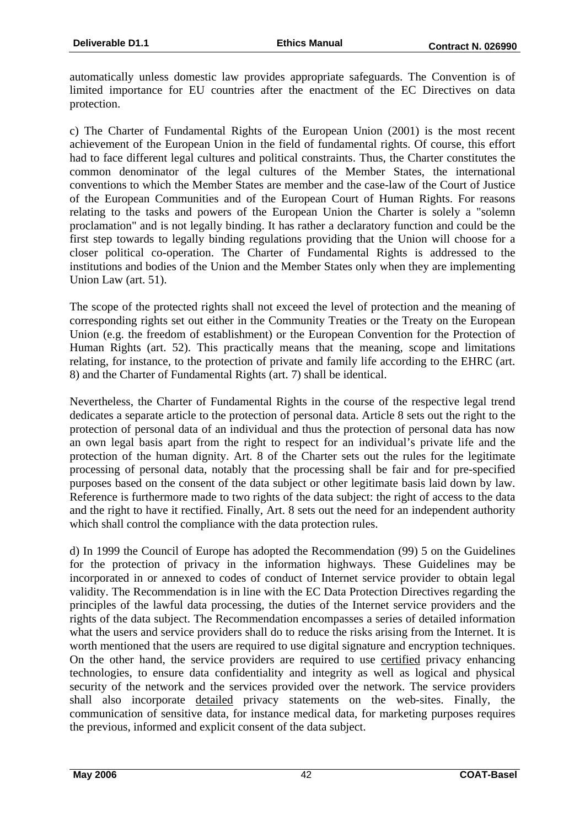automatically unless domestic law provides appropriate safeguards. The Convention is of limited importance for EU countries after the enactment of the EC Directives on data protection.

c) The Charter of Fundamental Rights of the European Union (2001) is the most recent achievement of the European Union in the field of fundamental rights. Of course, this effort had to face different legal cultures and political constraints. Thus, the Charter constitutes the common denominator of the legal cultures of the Member States, the international conventions to which the Member States are member and the case-law of the Court of Justice of the European Communities and of the European Court of Human Rights. For reasons relating to the tasks and powers of the European Union the Charter is solely a "solemn proclamation" and is not legally binding. It has rather a declaratory function and could be the first step towards to legally binding regulations providing that the Union will choose for a closer political co-operation. The Charter of Fundamental Rights is addressed to the institutions and bodies of the Union and the Member States only when they are implementing Union Law (art. 51).

The scope of the protected rights shall not exceed the level of protection and the meaning of corresponding rights set out either in the Community Treaties or the Treaty on the European Union (e.g. the freedom of establishment) or the European Convention for the Protection of Human Rights (art. 52). This practically means that the meaning, scope and limitations relating, for instance, to the protection of private and family life according to the EHRC (art. 8) and the Charter of Fundamental Rights (art. 7) shall be identical.

Nevertheless, the Charter of Fundamental Rights in the course of the respective legal trend dedicates a separate article to the protection of personal data. Article 8 sets out the right to the protection of personal data of an individual and thus the protection of personal data has now an own legal basis apart from the right to respect for an individual's private life and the protection of the human dignity. Art. 8 of the Charter sets out the rules for the legitimate processing of personal data, notably that the processing shall be fair and for pre-specified purposes based on the consent of the data subject or other legitimate basis laid down by law. Reference is furthermore made to two rights of the data subject: the right of access to the data and the right to have it rectified. Finally, Art. 8 sets out the need for an independent authority which shall control the compliance with the data protection rules.

d) In 1999 the Council of Europe has adopted the Recommendation (99) 5 on the Guidelines for the protection of privacy in the information highways. These Guidelines may be incorporated in or annexed to codes of conduct of Internet service provider to obtain legal validity. The Recommendation is in line with the EC Data Protection Directives regarding the principles of the lawful data processing, the duties of the Internet service providers and the rights of the data subject. The Recommendation encompasses a series of detailed information what the users and service providers shall do to reduce the risks arising from the Internet. It is worth mentioned that the users are required to use digital signature and encryption techniques. On the other hand, the service providers are required to use certified privacy enhancing technologies, to ensure data confidentiality and integrity as well as logical and physical security of the network and the services provided over the network. The service providers shall also incorporate detailed privacy statements on the web-sites. Finally, the communication of sensitive data, for instance medical data, for marketing purposes requires the previous, informed and explicit consent of the data subject.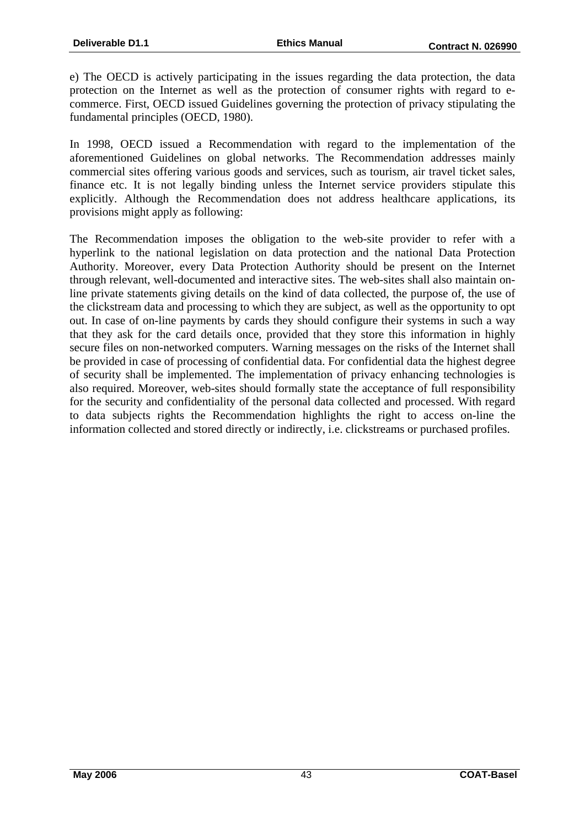e) The OECD is actively participating in the issues regarding the data protection, the data protection on the Internet as well as the protection of consumer rights with regard to ecommerce. First, OECD issued Guidelines governing the protection of privacy stipulating the fundamental principles (OECD, 1980).

In 1998, OECD issued a Recommendation with regard to the implementation of the aforementioned Guidelines on global networks. The Recommendation addresses mainly commercial sites offering various goods and services, such as tourism, air travel ticket sales, finance etc. It is not legally binding unless the Internet service providers stipulate this explicitly. Although the Recommendation does not address healthcare applications, its provisions might apply as following:

The Recommendation imposes the obligation to the web-site provider to refer with a hyperlink to the national legislation on data protection and the national Data Protection Authority. Moreover, every Data Protection Authority should be present on the Internet through relevant, well-documented and interactive sites. The web-sites shall also maintain online private statements giving details on the kind of data collected, the purpose of, the use of the clickstream data and processing to which they are subject, as well as the opportunity to opt out. In case of on-line payments by cards they should configure their systems in such a way that they ask for the card details once, provided that they store this information in highly secure files on non-networked computers. Warning messages on the risks of the Internet shall be provided in case of processing of confidential data. For confidential data the highest degree of security shall be implemented. The implementation of privacy enhancing technologies is also required. Moreover, web-sites should formally state the acceptance of full responsibility for the security and confidentiality of the personal data collected and processed. With regard to data subjects rights the Recommendation highlights the right to access on-line the information collected and stored directly or indirectly, i.e. clickstreams or purchased profiles.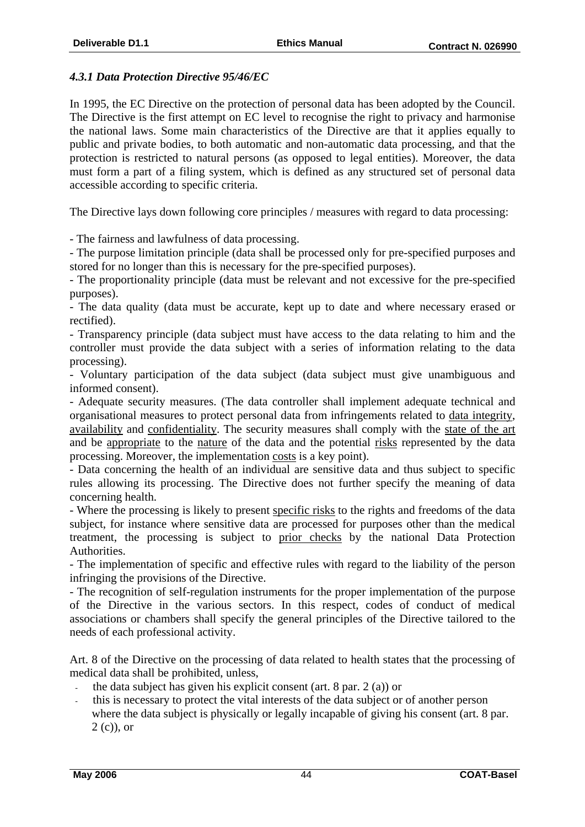#### *4.3.1 Data Protection Directive 95/46/EC*

In 1995, the EC Directive on the protection of personal data has been adopted by the Council. The Directive is the first attempt on EC level to recognise the right to privacy and harmonise the national laws. Some main characteristics of the Directive are that it applies equally to public and private bodies, to both automatic and non-automatic data processing, and that the protection is restricted to natural persons (as opposed to legal entities). Moreover, the data must form a part of a filing system, which is defined as any structured set of personal data accessible according to specific criteria.

The Directive lays down following core principles / measures with regard to data processing:

- The fairness and lawfulness of data processing.

- The purpose limitation principle (data shall be processed only for pre-specified purposes and stored for no longer than this is necessary for the pre-specified purposes).

- The proportionality principle (data must be relevant and not excessive for the pre-specified purposes).

- The data quality (data must be accurate, kept up to date and where necessary erased or rectified).

- Transparency principle (data subject must have access to the data relating to him and the controller must provide the data subject with a series of information relating to the data processing).

- Voluntary participation of the data subject (data subject must give unambiguous and informed consent).

- Adequate security measures. (The data controller shall implement adequate technical and organisational measures to protect personal data from infringements related to data integrity, availability and confidentiality. The security measures shall comply with the state of the art and be appropriate to the nature of the data and the potential risks represented by the data processing. Moreover, the implementation costs is a key point).

- Data concerning the health of an individual are sensitive data and thus subject to specific rules allowing its processing. The Directive does not further specify the meaning of data concerning health.

- Where the processing is likely to present specific risks to the rights and freedoms of the data subject, for instance where sensitive data are processed for purposes other than the medical treatment, the processing is subject to prior checks by the national Data Protection Authorities.

- The implementation of specific and effective rules with regard to the liability of the person infringing the provisions of the Directive.

- The recognition of self-regulation instruments for the proper implementation of the purpose of the Directive in the various sectors. In this respect, codes of conduct of medical associations or chambers shall specify the general principles of the Directive tailored to the needs of each professional activity.

Art. 8 of the Directive on the processing of data related to health states that the processing of medical data shall be prohibited, unless,

- the data subject has given his explicit consent (art.  $8$  par.  $2$  (a)) or
- this is necessary to protect the vital interests of the data subject or of another person where the data subject is physically or legally incapable of giving his consent (art. 8 par. 2 (c)), or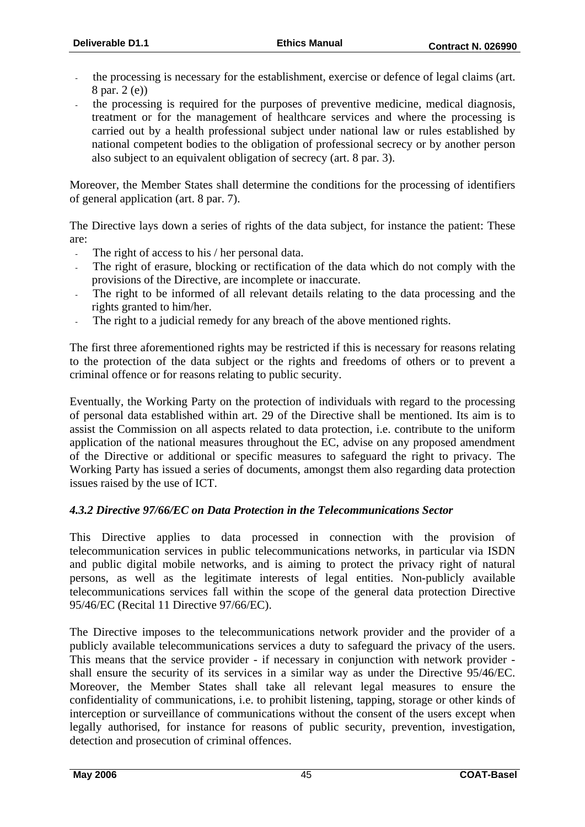- the processing is necessary for the establishment, exercise or defence of legal claims (art. 8 par. 2 (e))
- the processing is required for the purposes of preventive medicine, medical diagnosis, treatment or for the management of healthcare services and where the processing is carried out by a health professional subject under national law or rules established by national competent bodies to the obligation of professional secrecy or by another person also subject to an equivalent obligation of secrecy (art. 8 par. 3).

Moreover, the Member States shall determine the conditions for the processing of identifiers of general application (art. 8 par. 7).

The Directive lays down a series of rights of the data subject, for instance the patient: These are:

- The right of access to his / her personal data.
- The right of erasure, blocking or rectification of the data which do not comply with the provisions of the Directive, are incomplete or inaccurate.
- The right to be informed of all relevant details relating to the data processing and the rights granted to him/her.
- The right to a judicial remedy for any breach of the above mentioned rights.

The first three aforementioned rights may be restricted if this is necessary for reasons relating to the protection of the data subject or the rights and freedoms of others or to prevent a criminal offence or for reasons relating to public security.

Eventually, the Working Party on the protection of individuals with regard to the processing of personal data established within art. 29 of the Directive shall be mentioned. Its aim is to assist the Commission on all aspects related to data protection, i.e. contribute to the uniform application of the national measures throughout the EC, advise on any proposed amendment of the Directive or additional or specific measures to safeguard the right to privacy. The Working Party has issued a series of documents, amongst them also regarding data protection issues raised by the use of ICT.

#### *4.3.2 Directive 97/66/EC on Data Protection in the Telecommunications Sector*

This Directive applies to data processed in connection with the provision of telecommunication services in public telecommunications networks, in particular via ISDN and public digital mobile networks, and is aiming to protect the privacy right of natural persons, as well as the legitimate interests of legal entities. Non-publicly available telecommunications services fall within the scope of the general data protection Directive 95/46/EC (Recital 11 Directive 97/66/EC).

The Directive imposes to the telecommunications network provider and the provider of a publicly available telecommunications services a duty to safeguard the privacy of the users. This means that the service provider - if necessary in conjunction with network provider shall ensure the security of its services in a similar way as under the Directive 95/46/EC. Moreover, the Member States shall take all relevant legal measures to ensure the confidentiality of communications, i.e. to prohibit listening, tapping, storage or other kinds of interception or surveillance of communications without the consent of the users except when legally authorised, for instance for reasons of public security, prevention, investigation, detection and prosecution of criminal offences.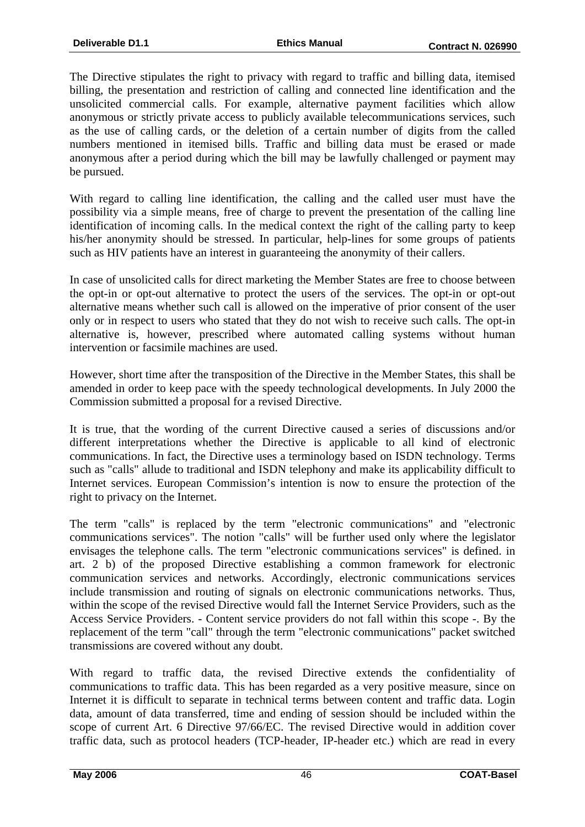The Directive stipulates the right to privacy with regard to traffic and billing data, itemised billing, the presentation and restriction of calling and connected line identification and the unsolicited commercial calls. For example, alternative payment facilities which allow anonymous or strictly private access to publicly available telecommunications services, such as the use of calling cards, or the deletion of a certain number of digits from the called numbers mentioned in itemised bills. Traffic and billing data must be erased or made anonymous after a period during which the bill may be lawfully challenged or payment may be pursued.

With regard to calling line identification, the calling and the called user must have the possibility via a simple means, free of charge to prevent the presentation of the calling line identification of incoming calls. In the medical context the right of the calling party to keep his/her anonymity should be stressed. In particular, help-lines for some groups of patients such as HIV patients have an interest in guaranteeing the anonymity of their callers.

In case of unsolicited calls for direct marketing the Member States are free to choose between the opt-in or opt-out alternative to protect the users of the services. The opt-in or opt-out alternative means whether such call is allowed on the imperative of prior consent of the user only or in respect to users who stated that they do not wish to receive such calls. The opt-in alternative is, however, prescribed where automated calling systems without human intervention or facsimile machines are used.

However, short time after the transposition of the Directive in the Member States, this shall be amended in order to keep pace with the speedy technological developments. In July 2000 the Commission submitted a proposal for a revised Directive.

It is true, that the wording of the current Directive caused a series of discussions and/or different interpretations whether the Directive is applicable to all kind of electronic communications. In fact, the Directive uses a terminology based on ISDN technology. Terms such as "calls" allude to traditional and ISDN telephony and make its applicability difficult to Internet services. European Commission's intention is now to ensure the protection of the right to privacy on the Internet.

The term "calls" is replaced by the term "electronic communications" and "electronic communications services". The notion "calls" will be further used only where the legislator envisages the telephone calls. The term "electronic communications services" is defined. in art. 2 b) of the proposed Directive establishing a common framework for electronic communication services and networks. Accordingly, electronic communications services include transmission and routing of signals on electronic communications networks. Thus, within the scope of the revised Directive would fall the Internet Service Providers, such as the Access Service Providers. - Content service providers do not fall within this scope -. By the replacement of the term "call" through the term "electronic communications" packet switched transmissions are covered without any doubt.

With regard to traffic data, the revised Directive extends the confidentiality of communications to traffic data. This has been regarded as a very positive measure, since on Internet it is difficult to separate in technical terms between content and traffic data. Login data, amount of data transferred, time and ending of session should be included within the scope of current Art. 6 Directive 97/66/EC. The revised Directive would in addition cover traffic data, such as protocol headers (TCP-header, IP-header etc.) which are read in every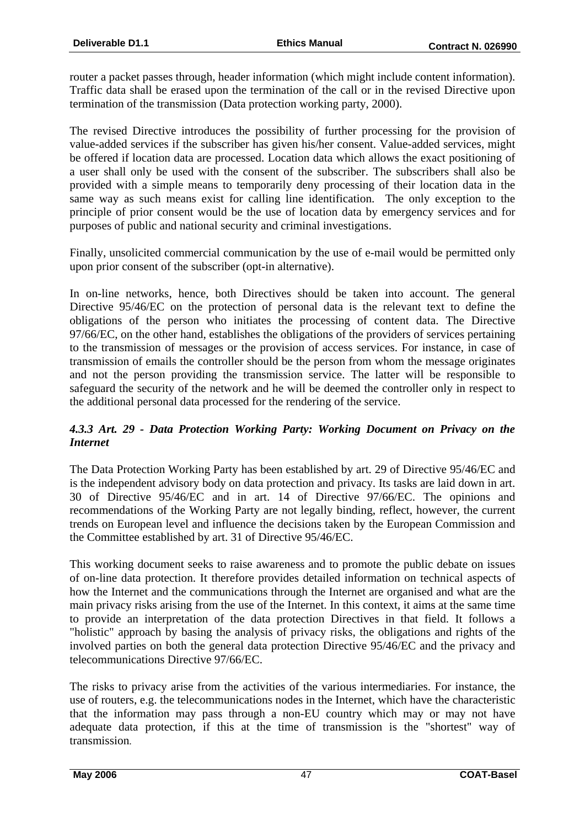router a packet passes through, header information (which might include content information). Traffic data shall be erased upon the termination of the call or in the revised Directive upon termination of the transmission (Data protection working party, 2000).

The revised Directive introduces the possibility of further processing for the provision of value-added services if the subscriber has given his/her consent. Value-added services, might be offered if location data are processed. Location data which allows the exact positioning of a user shall only be used with the consent of the subscriber. The subscribers shall also be provided with a simple means to temporarily deny processing of their location data in the same way as such means exist for calling line identification. The only exception to the principle of prior consent would be the use of location data by emergency services and for purposes of public and national security and criminal investigations.

Finally, unsolicited commercial communication by the use of e-mail would be permitted only upon prior consent of the subscriber (opt-in alternative).

In on-line networks, hence, both Directives should be taken into account. The general Directive 95/46/EC on the protection of personal data is the relevant text to define the obligations of the person who initiates the processing of content data. The Directive 97/66/EC, on the other hand, establishes the obligations of the providers of services pertaining to the transmission of messages or the provision of access services. For instance, in case of transmission of emails the controller should be the person from whom the message originates and not the person providing the transmission service. The latter will be responsible to safeguard the security of the network and he will be deemed the controller only in respect to the additional personal data processed for the rendering of the service.

#### *4.3.3 Art. 29 - Data Protection Working Party: Working Document on Privacy on the Internet*

The Data Protection Working Party has been established by art. 29 of Directive 95/46/EC and is the independent advisory body on data protection and privacy. Its tasks are laid down in art. 30 of Directive 95/46/EC and in art. 14 of Directive 97/66/EC. The opinions and recommendations of the Working Party are not legally binding, reflect, however, the current trends on European level and influence the decisions taken by the European Commission and the Committee established by art. 31 of Directive 95/46/EC.

This working document seeks to raise awareness and to promote the public debate on issues of on-line data protection. It therefore provides detailed information on technical aspects of how the Internet and the communications through the Internet are organised and what are the main privacy risks arising from the use of the Internet. In this context, it aims at the same time to provide an interpretation of the data protection Directives in that field. It follows a "holistic" approach by basing the analysis of privacy risks, the obligations and rights of the involved parties on both the general data protection Directive 95/46/EC and the privacy and telecommunications Directive 97/66/EC.

The risks to privacy arise from the activities of the various intermediaries. For instance, the use of routers, e.g. the telecommunications nodes in the Internet, which have the characteristic that the information may pass through a non-EU country which may or may not have adequate data protection, if this at the time of transmission is the "shortest" way of transmission.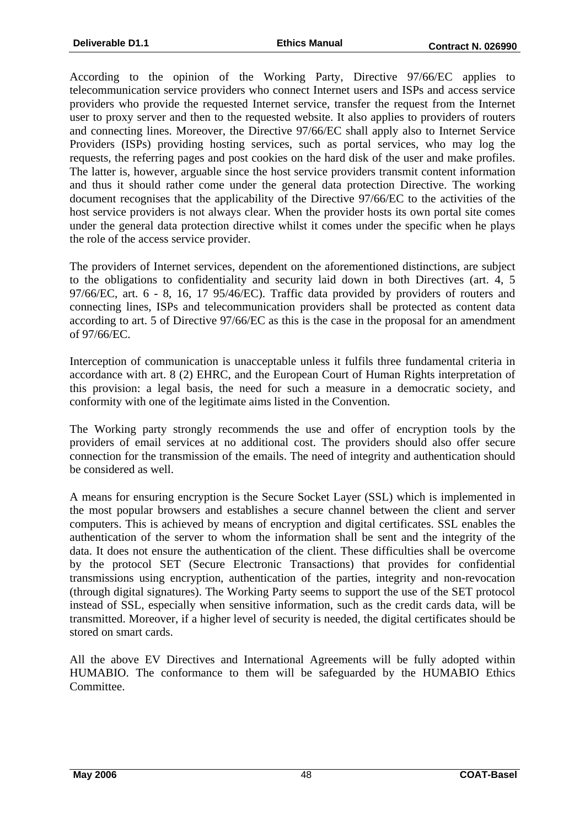According to the opinion of the Working Party, Directive 97/66/EC applies to telecommunication service providers who connect Internet users and ISPs and access service providers who provide the requested Internet service, transfer the request from the Internet user to proxy server and then to the requested website. It also applies to providers of routers and connecting lines. Moreover, the Directive 97/66/EC shall apply also to Internet Service Providers (ISPs) providing hosting services, such as portal services, who may log the requests, the referring pages and post cookies on the hard disk of the user and make profiles. The latter is, however, arguable since the host service providers transmit content information and thus it should rather come under the general data protection Directive. The working document recognises that the applicability of the Directive 97/66/EC to the activities of the host service providers is not always clear. When the provider hosts its own portal site comes under the general data protection directive whilst it comes under the specific when he plays the role of the access service provider.

The providers of Internet services, dependent on the aforementioned distinctions, are subject to the obligations to confidentiality and security laid down in both Directives (art. 4, 5 97/66/EC, art. 6 - 8, 16, 17 95/46/EC). Traffic data provided by providers of routers and connecting lines, ISPs and telecommunication providers shall be protected as content data according to art. 5 of Directive 97/66/EC as this is the case in the proposal for an amendment of 97/66/EC.

Interception of communication is unacceptable unless it fulfils three fundamental criteria in accordance with art. 8 (2) EHRC, and the European Court of Human Rights interpretation of this provision: a legal basis, the need for such a measure in a democratic society, and conformity with one of the legitimate aims listed in the Convention.

The Working party strongly recommends the use and offer of encryption tools by the providers of email services at no additional cost. The providers should also offer secure connection for the transmission of the emails. The need of integrity and authentication should be considered as well.

A means for ensuring encryption is the Secure Socket Layer (SSL) which is implemented in the most popular browsers and establishes a secure channel between the client and server computers. This is achieved by means of encryption and digital certificates. SSL enables the authentication of the server to whom the information shall be sent and the integrity of the data. It does not ensure the authentication of the client. These difficulties shall be overcome by the protocol SET (Secure Electronic Transactions) that provides for confidential transmissions using encryption, authentication of the parties, integrity and non-revocation (through digital signatures). The Working Party seems to support the use of the SET protocol instead of SSL, especially when sensitive information, such as the credit cards data, will be transmitted. Moreover, if a higher level of security is needed, the digital certificates should be stored on smart cards.

All the above EV Directives and International Agreements will be fully adopted within HUMABIO. The conformance to them will be safeguarded by the HUMABIO Ethics Committee.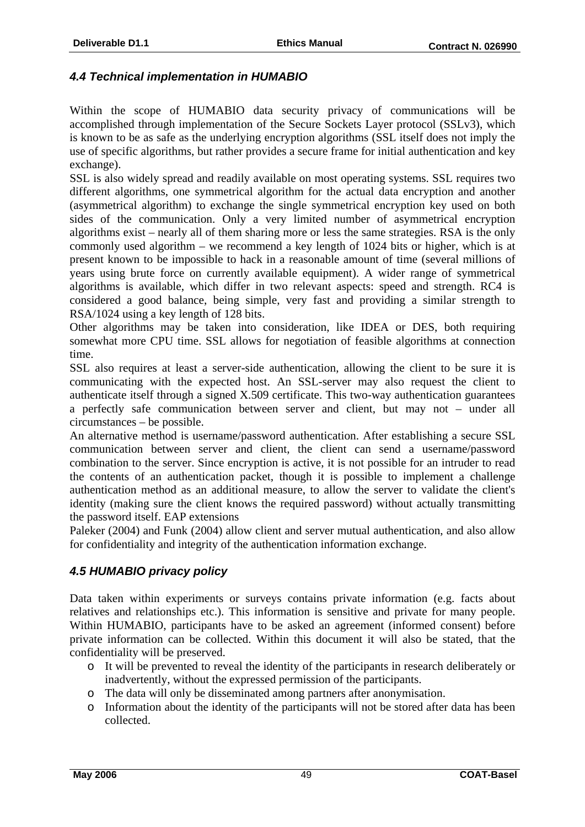#### *4.4 Technical implementation in HUMABIO*

Within the scope of HUMABIO data security privacy of communications will be accomplished through implementation of the Secure Sockets Layer protocol (SSLv3), which is known to be as safe as the underlying encryption algorithms (SSL itself does not imply the use of specific algorithms, but rather provides a secure frame for initial authentication and key exchange).

SSL is also widely spread and readily available on most operating systems. SSL requires two different algorithms, one symmetrical algorithm for the actual data encryption and another (asymmetrical algorithm) to exchange the single symmetrical encryption key used on both sides of the communication. Only a very limited number of asymmetrical encryption algorithms exist – nearly all of them sharing more or less the same strategies. RSA is the only commonly used algorithm – we recommend a key length of 1024 bits or higher, which is at present known to be impossible to hack in a reasonable amount of time (several millions of years using brute force on currently available equipment). A wider range of symmetrical algorithms is available, which differ in two relevant aspects: speed and strength. RC4 is considered a good balance, being simple, very fast and providing a similar strength to RSA/1024 using a key length of 128 bits.

Other algorithms may be taken into consideration, like IDEA or DES, both requiring somewhat more CPU time. SSL allows for negotiation of feasible algorithms at connection time.

SSL also requires at least a server-side authentication, allowing the client to be sure it is communicating with the expected host. An SSL-server may also request the client to authenticate itself through a signed X.509 certificate. This two-way authentication guarantees a perfectly safe communication between server and client, but may not – under all circumstances – be possible.

An alternative method is username/password authentication. After establishing a secure SSL communication between server and client, the client can send a username/password combination to the server. Since encryption is active, it is not possible for an intruder to read the contents of an authentication packet, though it is possible to implement a challenge authentication method as an additional measure, to allow the server to validate the client's identity (making sure the client knows the required password) without actually transmitting the password itself. EAP extensions

Paleker (2004) and Funk (2004) allow client and server mutual authentication, and also allow for confidentiality and integrity of the authentication information exchange.

#### *4.5 HUMABIO privacy policy*

Data taken within experiments or surveys contains private information (e.g. facts about relatives and relationships etc.). This information is sensitive and private for many people. Within HUMABIO, participants have to be asked an agreement (informed consent) before private information can be collected. Within this document it will also be stated, that the confidentiality will be preserved.

- o It will be prevented to reveal the identity of the participants in research deliberately or inadvertently, without the expressed permission of the participants.
- o The data will only be disseminated among partners after anonymisation.
- o Information about the identity of the participants will not be stored after data has been collected.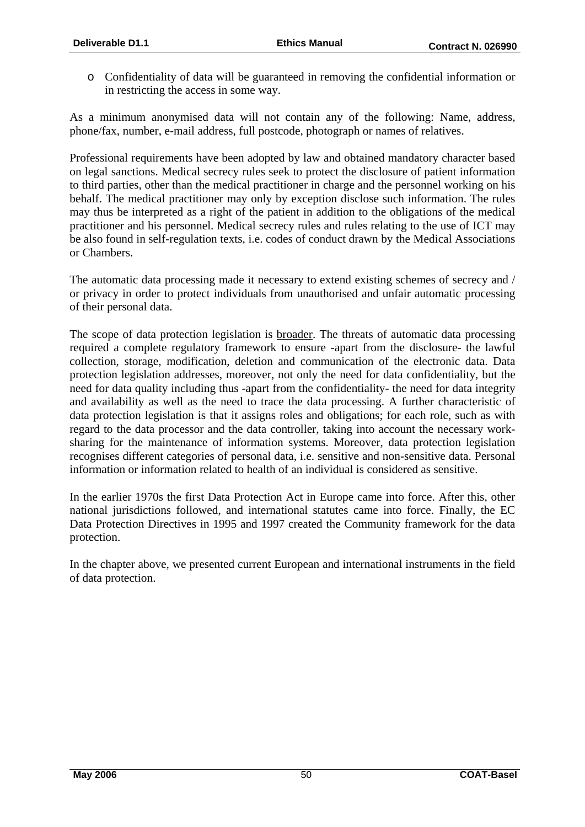o Confidentiality of data will be guaranteed in removing the confidential information or in restricting the access in some way.

As a minimum anonymised data will not contain any of the following: Name, address, phone/fax, number, e-mail address, full postcode, photograph or names of relatives.

Professional requirements have been adopted by law and obtained mandatory character based on legal sanctions. Medical secrecy rules seek to protect the disclosure of patient information to third parties, other than the medical practitioner in charge and the personnel working on his behalf. The medical practitioner may only by exception disclose such information. The rules may thus be interpreted as a right of the patient in addition to the obligations of the medical practitioner and his personnel. Medical secrecy rules and rules relating to the use of ICT may be also found in self-regulation texts, i.e. codes of conduct drawn by the Medical Associations or Chambers.

The automatic data processing made it necessary to extend existing schemes of secrecy and / or privacy in order to protect individuals from unauthorised and unfair automatic processing of their personal data.

The scope of data protection legislation is broader. The threats of automatic data processing required a complete regulatory framework to ensure -apart from the disclosure- the lawful collection, storage, modification, deletion and communication of the electronic data. Data protection legislation addresses, moreover, not only the need for data confidentiality, but the need for data quality including thus -apart from the confidentiality- the need for data integrity and availability as well as the need to trace the data processing. A further characteristic of data protection legislation is that it assigns roles and obligations; for each role, such as with regard to the data processor and the data controller, taking into account the necessary worksharing for the maintenance of information systems. Moreover, data protection legislation recognises different categories of personal data, i.e. sensitive and non-sensitive data. Personal information or information related to health of an individual is considered as sensitive.

In the earlier 1970s the first Data Protection Act in Europe came into force. After this, other national jurisdictions followed, and international statutes came into force. Finally, the EC Data Protection Directives in 1995 and 1997 created the Community framework for the data protection.

In the chapter above, we presented current European and international instruments in the field of data protection.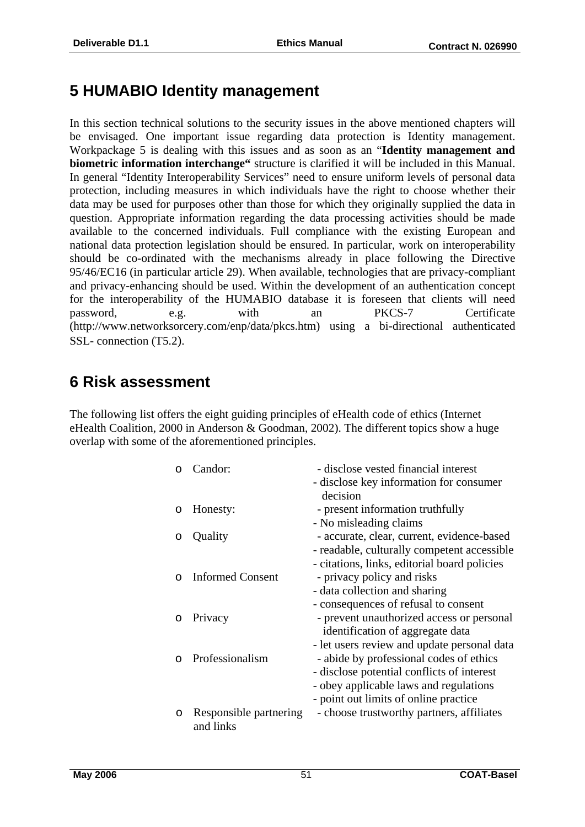## **5 HUMABIO Identity management**

In this section technical solutions to the security issues in the above mentioned chapters will be envisaged. One important issue regarding data protection is Identity management. Workpackage 5 is dealing with this issues and as soon as an "**Identity management and biometric information interchange"** structure is clarified it will be included in this Manual. In general "Identity Interoperability Services" need to ensure uniform levels of personal data protection, including measures in which individuals have the right to choose whether their data may be used for purposes other than those for which they originally supplied the data in question. Appropriate information regarding the data processing activities should be made available to the concerned individuals. Full compliance with the existing European and national data protection legislation should be ensured. In particular, work on interoperability should be co-ordinated with the mechanisms already in place following the Directive 95/46/EC16 (in particular article 29). When available, technologies that are privacy-compliant and privacy-enhancing should be used. Within the development of an authentication concept for the interoperability of the HUMABIO database it is foreseen that clients will need password, e.g. with an PKCS-7 Certificate (http://www.networksorcery.com/enp/data/pkcs.htm) using a bi-directional authenticated SSL- connection (T5.2).

## **6 Risk assessment**

The following list offers the eight guiding principles of eHealth code of ethics (Internet eHealth Coalition, 2000 in Anderson & Goodman, 2002). The different topics show a huge overlap with some of the aforementioned principles.

| ∩        | Candor:                | - disclose vested financial interest         |
|----------|------------------------|----------------------------------------------|
|          |                        | - disclose key information for consumer      |
|          |                        | decision                                     |
| $\circ$  | Honesty:               | - present information truthfully             |
|          |                        | - No misleading claims                       |
| O        | Quality                | - accurate, clear, current, evidence-based   |
|          |                        | - readable, culturally competent accessible  |
|          |                        | - citations, links, editorial board policies |
| $\Omega$ | Informed Consent       | - privacy policy and risks                   |
|          |                        | - data collection and sharing                |
|          |                        | - consequences of refusal to consent         |
| O        | Privacy                | - prevent unauthorized access or personal    |
|          |                        | identification of aggregate data             |
|          |                        | - let users review and update personal data  |
| $\cap$   | Professionalism        | - abide by professional codes of ethics      |
|          |                        | - disclose potential conflicts of interest   |
|          |                        | - obey applicable laws and regulations       |
|          |                        | - point out limits of online practice        |
| O        | Responsible partnering | - choose trustworthy partners, affiliates    |
|          | and links              |                                              |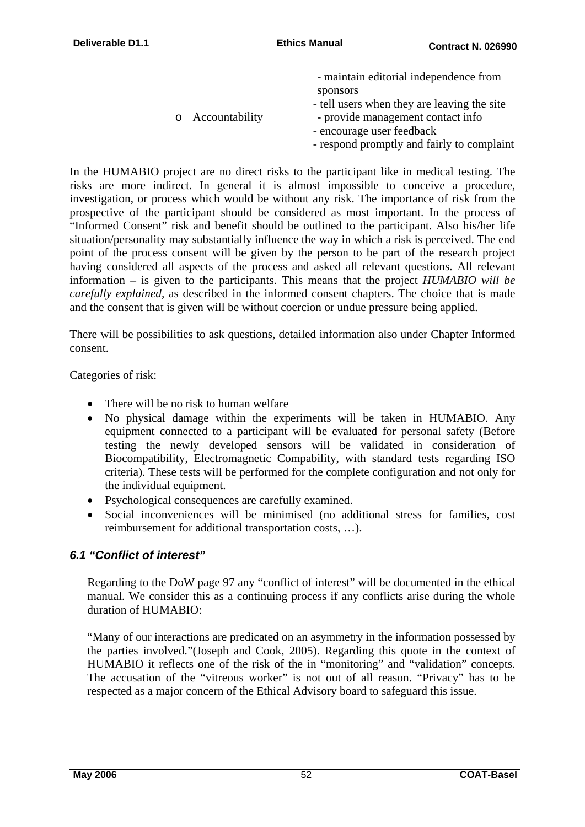|                  | - maintain editorial independence from      |
|------------------|---------------------------------------------|
|                  | sponsors                                    |
|                  | - tell users when they are leaving the site |
| o Accountability | - provide management contact info           |
|                  | - encourage user feedback                   |
|                  | - respond promptly and fairly to complaint  |

In the HUMABIO project are no direct risks to the participant like in medical testing. The risks are more indirect. In general it is almost impossible to conceive a procedure, investigation, or process which would be without any risk. The importance of risk from the prospective of the participant should be considered as most important. In the process of "Informed Consent" risk and benefit should be outlined to the participant. Also his/her life situation/personality may substantially influence the way in which a risk is perceived. The end point of the process consent will be given by the person to be part of the research project having considered all aspects of the process and asked all relevant questions. All relevant information – is given to the participants. This means that the project *HUMABIO will be carefully explained,* as described in the informed consent chapters. The choice that is made and the consent that is given will be without coercion or undue pressure being applied.

There will be possibilities to ask questions, detailed information also under Chapter Informed consent.

Categories of risk:

- There will be no risk to human welfare
- No physical damage within the experiments will be taken in HUMABIO. Any equipment connected to a participant will be evaluated for personal safety (Before testing the newly developed sensors will be validated in consideration of Biocompatibility, Electromagnetic Compability, with standard tests regarding ISO criteria). These tests will be performed for the complete configuration and not only for the individual equipment.
- Psychological consequences are carefully examined.
- Social inconveniences will be minimised (no additional stress for families, cost reimbursement for additional transportation costs, …).

#### *6.1 "Conflict of interest"*

Regarding to the DoW page 97 any "conflict of interest" will be documented in the ethical manual. We consider this as a continuing process if any conflicts arise during the whole duration of HUMABIO:

"Many of our interactions are predicated on an asymmetry in the information possessed by the parties involved."(Joseph and Cook, 2005). Regarding this quote in the context of HUMABIO it reflects one of the risk of the in "monitoring" and "validation" concepts. The accusation of the "vitreous worker" is not out of all reason. "Privacy" has to be respected as a major concern of the Ethical Advisory board to safeguard this issue.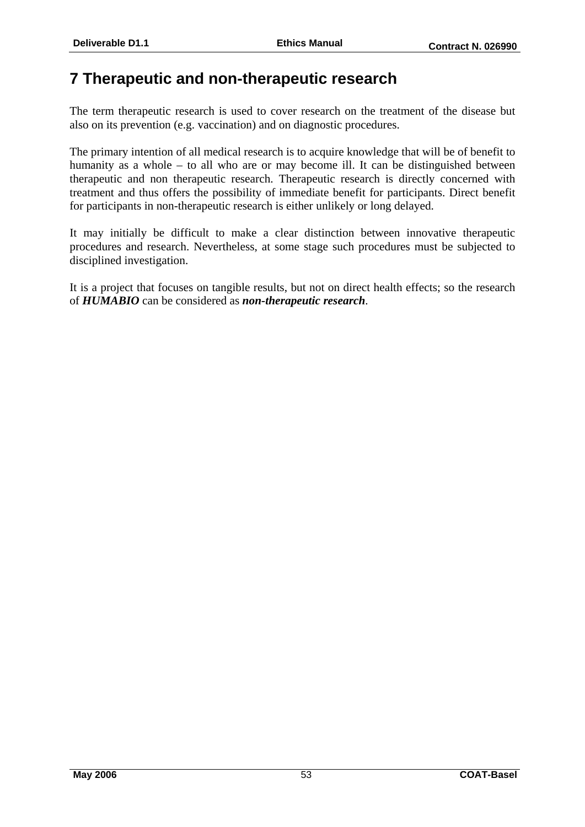## **7 Therapeutic and non-therapeutic research**

The term therapeutic research is used to cover research on the treatment of the disease but also on its prevention (e.g. vaccination) and on diagnostic procedures.

The primary intention of all medical research is to acquire knowledge that will be of benefit to humanity as a whole – to all who are or may become ill. It can be distinguished between therapeutic and non therapeutic research. Therapeutic research is directly concerned with treatment and thus offers the possibility of immediate benefit for participants. Direct benefit for participants in non-therapeutic research is either unlikely or long delayed.

It may initially be difficult to make a clear distinction between innovative therapeutic procedures and research. Nevertheless, at some stage such procedures must be subjected to disciplined investigation.

It is a project that focuses on tangible results, but not on direct health effects; so the research of *HUMABIO* can be considered as *non-therapeutic research*.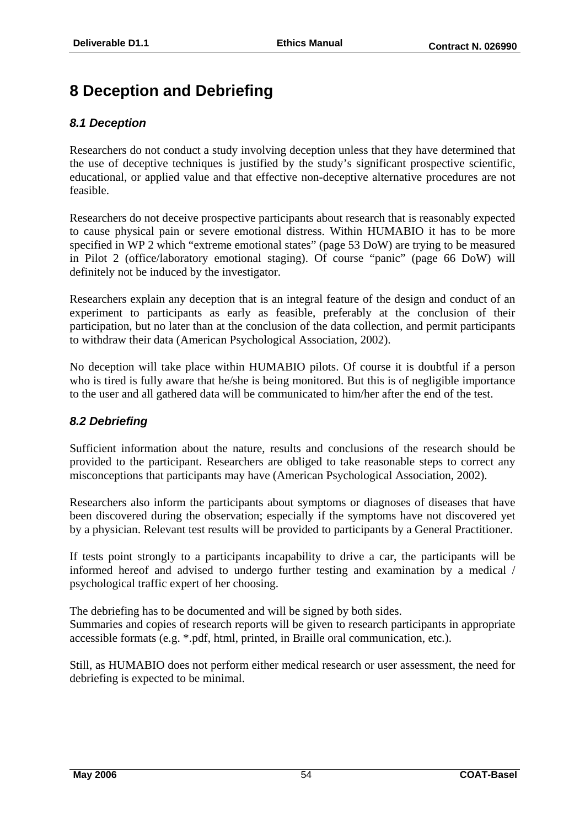## **8 Deception and Debriefing**

#### *8.1 Deception*

Researchers do not conduct a study involving deception unless that they have determined that the use of deceptive techniques is justified by the study's significant prospective scientific, educational, or applied value and that effective non-deceptive alternative procedures are not feasible.

Researchers do not deceive prospective participants about research that is reasonably expected to cause physical pain or severe emotional distress. Within HUMABIO it has to be more specified in WP 2 which "extreme emotional states" (page 53 DoW) are trying to be measured in Pilot 2 (office/laboratory emotional staging). Of course "panic" (page 66 DoW) will definitely not be induced by the investigator.

Researchers explain any deception that is an integral feature of the design and conduct of an experiment to participants as early as feasible, preferably at the conclusion of their participation, but no later than at the conclusion of the data collection, and permit participants to withdraw their data (American Psychological Association, 2002).

No deception will take place within HUMABIO pilots. Of course it is doubtful if a person who is tired is fully aware that he/she is being monitored. But this is of negligible importance to the user and all gathered data will be communicated to him/her after the end of the test.

#### *8.2 Debriefing*

Sufficient information about the nature, results and conclusions of the research should be provided to the participant. Researchers are obliged to take reasonable steps to correct any misconceptions that participants may have (American Psychological Association, 2002).

Researchers also inform the participants about symptoms or diagnoses of diseases that have been discovered during the observation; especially if the symptoms have not discovered yet by a physician. Relevant test results will be provided to participants by a General Practitioner.

If tests point strongly to a participants incapability to drive a car, the participants will be informed hereof and advised to undergo further testing and examination by a medical / psychological traffic expert of her choosing.

The debriefing has to be documented and will be signed by both sides. Summaries and copies of research reports will be given to research participants in appropriate accessible formats (e.g. \*.pdf, html, printed, in Braille oral communication, etc.).

Still, as HUMABIO does not perform either medical research or user assessment, the need for debriefing is expected to be minimal.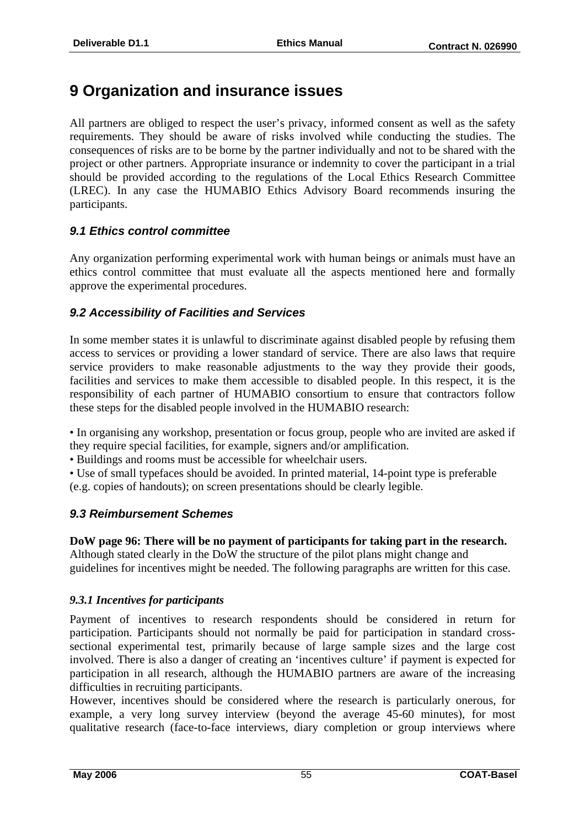## **9 Organization and insurance issues**

All partners are obliged to respect the user's privacy, informed consent as well as the safety requirements. They should be aware of risks involved while conducting the studies. The consequences of risks are to be borne by the partner individually and not to be shared with the project or other partners. Appropriate insurance or indemnity to cover the participant in a trial should be provided according to the regulations of the Local Ethics Research Committee (LREC). In any case the HUMABIO Ethics Advisory Board recommends insuring the participants.

#### *9.1 Ethics control committee*

Any organization performing experimental work with human beings or animals must have an ethics control committee that must evaluate all the aspects mentioned here and formally approve the experimental procedures.

#### *9.2 Accessibility of Facilities and Services*

In some member states it is unlawful to discriminate against disabled people by refusing them access to services or providing a lower standard of service. There are also laws that require service providers to make reasonable adjustments to the way they provide their goods, facilities and services to make them accessible to disabled people. In this respect, it is the responsibility of each partner of HUMABIO consortium to ensure that contractors follow these steps for the disabled people involved in the HUMABIO research:

• In organising any workshop, presentation or focus group, people who are invited are asked if they require special facilities, for example, signers and/or amplification.

• Buildings and rooms must be accessible for wheelchair users.

• Use of small typefaces should be avoided. In printed material, 14-point type is preferable (e.g. copies of handouts); on screen presentations should be clearly legible.

#### *9.3 Reimbursement Schemes*

**DoW page 96: There will be no payment of participants for taking part in the research.**  Although stated clearly in the DoW the structure of the pilot plans might change and guidelines for incentives might be needed. The following paragraphs are written for this case.

#### *9.3.1 Incentives for participants*

Payment of incentives to research respondents should be considered in return for participation. Participants should not normally be paid for participation in standard crosssectional experimental test, primarily because of large sample sizes and the large cost involved. There is also a danger of creating an 'incentives culture' if payment is expected for participation in all research, although the HUMABIO partners are aware of the increasing difficulties in recruiting participants.

However, incentives should be considered where the research is particularly onerous, for example, a very long survey interview (beyond the average 45-60 minutes), for most qualitative research (face-to-face interviews, diary completion or group interviews where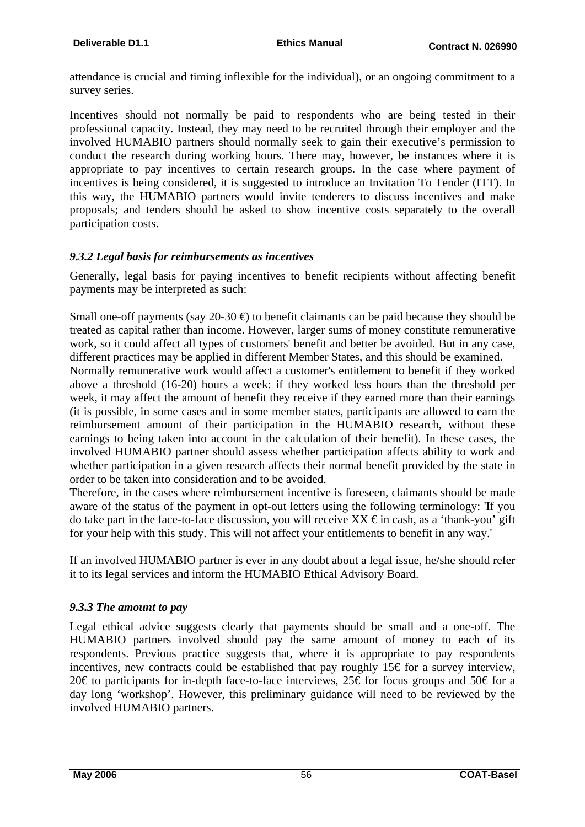attendance is crucial and timing inflexible for the individual), or an ongoing commitment to a survey series.

Incentives should not normally be paid to respondents who are being tested in their professional capacity. Instead, they may need to be recruited through their employer and the involved HUMABIO partners should normally seek to gain their executive's permission to conduct the research during working hours. There may, however, be instances where it is appropriate to pay incentives to certain research groups. In the case where payment of incentives is being considered, it is suggested to introduce an Invitation To Tender (ITT). In this way, the HUMABIO partners would invite tenderers to discuss incentives and make proposals; and tenders should be asked to show incentive costs separately to the overall participation costs.

#### *9.3.2 Legal basis for reimbursements as incentives*

Generally, legal basis for paying incentives to benefit recipients without affecting benefit payments may be interpreted as such:

Small one-off payments (say 20-30  $\oplus$  to benefit claimants can be paid because they should be treated as capital rather than income. However, larger sums of money constitute remunerative work, so it could affect all types of customers' benefit and better be avoided. But in any case, different practices may be applied in different Member States, and this should be examined.

Normally remunerative work would affect a customer's entitlement to benefit if they worked above a threshold (16-20) hours a week: if they worked less hours than the threshold per week, it may affect the amount of benefit they receive if they earned more than their earnings (it is possible, in some cases and in some member states, participants are allowed to earn the reimbursement amount of their participation in the HUMABIO research, without these earnings to being taken into account in the calculation of their benefit). In these cases, the involved HUMABIO partner should assess whether participation affects ability to work and whether participation in a given research affects their normal benefit provided by the state in order to be taken into consideration and to be avoided.

Therefore, in the cases where reimbursement incentive is foreseen, claimants should be made aware of the status of the payment in opt-out letters using the following terminology: 'If you do take part in the face-to-face discussion, you will receive  $XX \text{ } \infty$  in cash, as a 'thank-you' gift for your help with this study. This will not affect your entitlements to benefit in any way.'

If an involved HUMABIO partner is ever in any doubt about a legal issue, he/she should refer it to its legal services and inform the HUMABIO Ethical Advisory Board.

#### *9.3.3 The amount to pay*

Legal ethical advice suggests clearly that payments should be small and a one-off. The HUMABIO partners involved should pay the same amount of money to each of its respondents. Previous practice suggests that, where it is appropriate to pay respondents incentives, new contracts could be established that pay roughly 15€ for a survey interview, 20€ to participants for in-depth face-to-face interviews, 25€ for focus groups and 50€ for a day long 'workshop'. However, this preliminary guidance will need to be reviewed by the involved HUMABIO partners.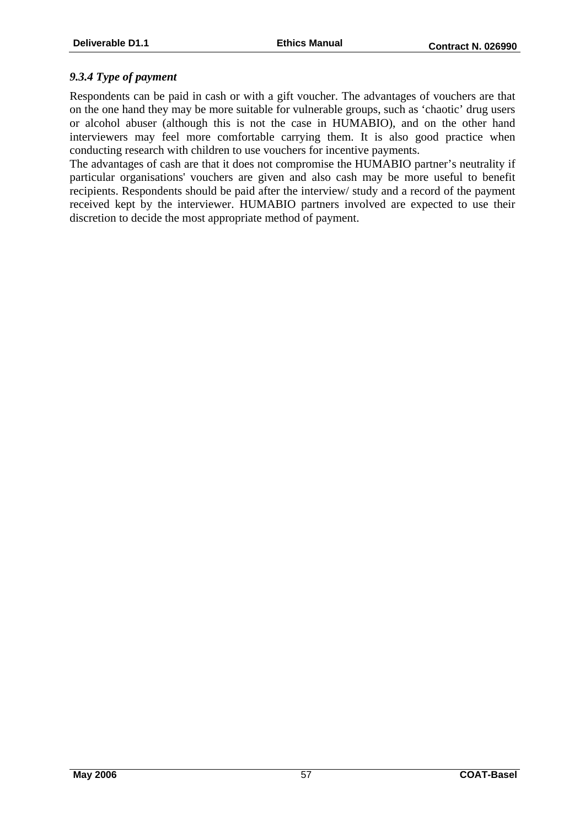#### *9.3.4 Type of payment*

Respondents can be paid in cash or with a gift voucher. The advantages of vouchers are that on the one hand they may be more suitable for vulnerable groups, such as 'chaotic' drug users or alcohol abuser (although this is not the case in HUMABIO), and on the other hand interviewers may feel more comfortable carrying them. It is also good practice when conducting research with children to use vouchers for incentive payments.

The advantages of cash are that it does not compromise the HUMABIO partner's neutrality if particular organisations' vouchers are given and also cash may be more useful to benefit recipients. Respondents should be paid after the interview/ study and a record of the payment received kept by the interviewer. HUMABIO partners involved are expected to use their discretion to decide the most appropriate method of payment.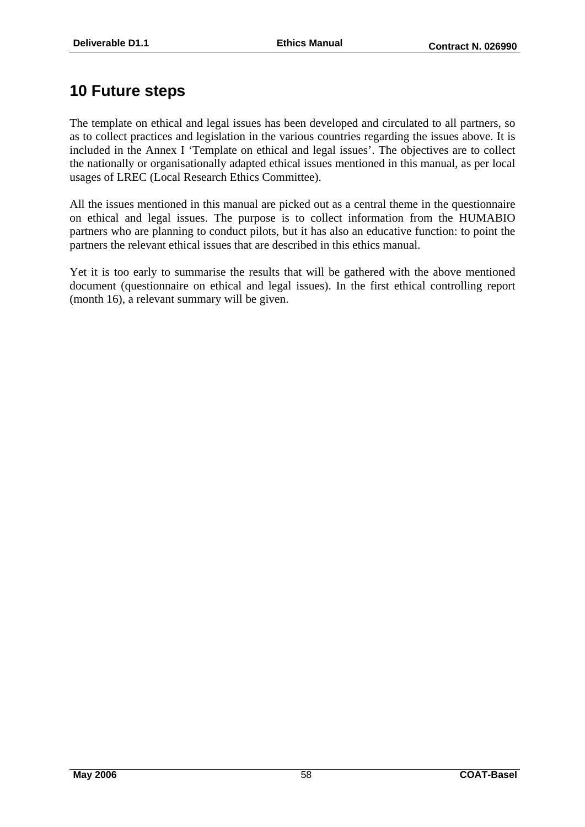## **10 Future steps**

The template on ethical and legal issues has been developed and circulated to all partners, so as to collect practices and legislation in the various countries regarding the issues above. It is included in the Annex I 'Template on ethical and legal issues'. The objectives are to collect the nationally or organisationally adapted ethical issues mentioned in this manual, as per local usages of LREC (Local Research Ethics Committee).

All the issues mentioned in this manual are picked out as a central theme in the questionnaire on ethical and legal issues. The purpose is to collect information from the HUMABIO partners who are planning to conduct pilots, but it has also an educative function: to point the partners the relevant ethical issues that are described in this ethics manual.

Yet it is too early to summarise the results that will be gathered with the above mentioned document (questionnaire on ethical and legal issues). In the first ethical controlling report (month 16), a relevant summary will be given.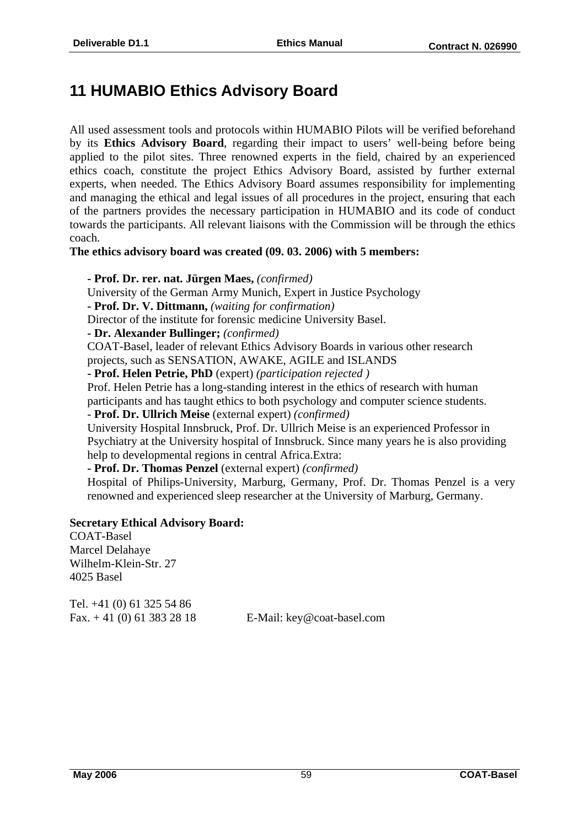## **11 HUMABIO Ethics Advisory Board**

All used assessment tools and protocols within HUMABIO Pilots will be verified beforehand by its **Ethics Advisory Board**, regarding their impact to users' well-being before being applied to the pilot sites. Three renowned experts in the field, chaired by an experienced ethics coach, constitute the project Ethics Advisory Board, assisted by further external experts, when needed. The Ethics Advisory Board assumes responsibility for implementing and managing the ethical and legal issues of all procedures in the project, ensuring that each of the partners provides the necessary participation in HUMABIO and its code of conduct towards the participants. All relevant liaisons with the Commission will be through the ethics coach.

**The ethics advisory board was created (09. 03. 2006) with 5 members:** 

**- Prof. Dr. rer. nat. Jürgen Maes,** *(confirmed)* 

University of the German Army Munich, Expert in Justice Psychology

**- Prof. Dr. V. Dittmann,** *(waiting for confirmation)*

Director of the institute for forensic medicine University Basel.

**- Dr. Alexander Bullinger;** *(confirmed)* 

COAT-Basel, leader of relevant Ethics Advisory Boards in various other research projects, such as SENSATION, AWAKE, AGILE and ISLANDS

**- Prof. Helen Petrie, PhD** (expert) *(participation rejected )*

Prof. Helen Petrie has a long-standing interest in the ethics of research with human

participants and has taught ethics to both psychology and computer science students.

- **Prof. Dr. Ullrich Meise** (external expert) *(confirmed)*

University Hospital Innsbruck, Prof. Dr. Ullrich Meise is an experienced Professor in Psychiatry at the University hospital of Innsbruck. Since many years he is also providing help to developmental regions in central Africa.Extra:

**- Prof. Dr. Thomas Penzel** (external expert) *(confirmed)* 

Hospital of Philips-University, Marburg, Germany, Prof. Dr. Thomas Penzel is a very renowned and experienced sleep researcher at the University of Marburg, Germany.

#### **Secretary Ethical Advisory Board:**

COAT-Basel Marcel Delahaye Wilhelm-Klein-Str. 27 4025 Basel

Tel. +41 (0) 61 325 54 86

Fax. + 41 (0) 61 383 28 18 E-Mail: key@coat-basel.com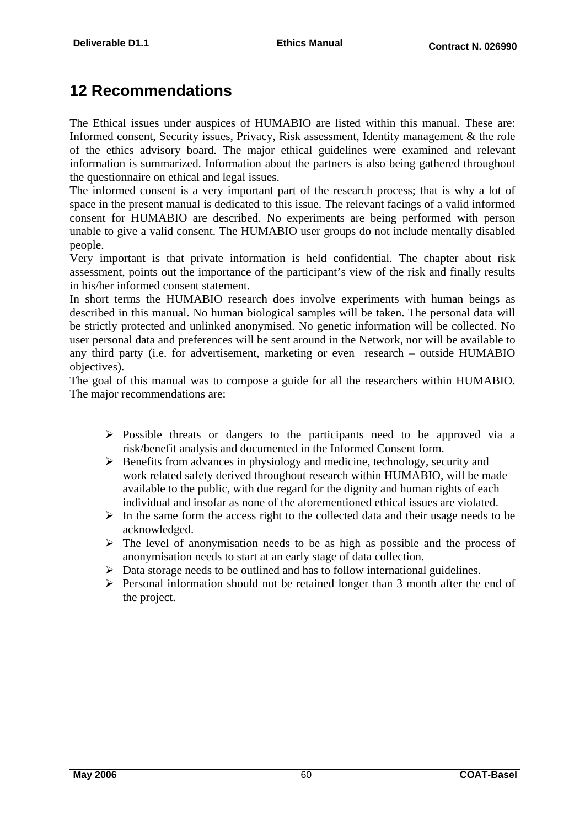## **12 Recommendations**

The Ethical issues under auspices of HUMABIO are listed within this manual. These are: Informed consent, Security issues, Privacy, Risk assessment, Identity management & the role of the ethics advisory board. The major ethical guidelines were examined and relevant information is summarized. Information about the partners is also being gathered throughout the questionnaire on ethical and legal issues.

The informed consent is a very important part of the research process; that is why a lot of space in the present manual is dedicated to this issue. The relevant facings of a valid informed consent for HUMABIO are described. No experiments are being performed with person unable to give a valid consent. The HUMABIO user groups do not include mentally disabled people.

Very important is that private information is held confidential. The chapter about risk assessment, points out the importance of the participant's view of the risk and finally results in his/her informed consent statement.

In short terms the HUMABIO research does involve experiments with human beings as described in this manual. No human biological samples will be taken. The personal data will be strictly protected and unlinked anonymised. No genetic information will be collected. No user personal data and preferences will be sent around in the Network, nor will be available to any third party (i.e. for advertisement, marketing or even research – outside HUMABIO objectives).

The goal of this manual was to compose a guide for all the researchers within HUMABIO. The major recommendations are:

- $\triangleright$  Possible threats or dangers to the participants need to be approved via a risk/benefit analysis and documented in the Informed Consent form.
- $\triangleright$  Benefits from advances in physiology and medicine, technology, security and work related safety derived throughout research within HUMABIO, will be made available to the public, with due regard for the dignity and human rights of each individual and insofar as none of the aforementioned ethical issues are violated.
- $\triangleright$  In the same form the access right to the collected data and their usage needs to be acknowledged.
- $\triangleright$  The level of anonymisation needs to be as high as possible and the process of anonymisation needs to start at an early stage of data collection.
- $\triangleright$  Data storage needs to be outlined and has to follow international guidelines.
- $\triangleright$  Personal information should not be retained longer than 3 month after the end of the project.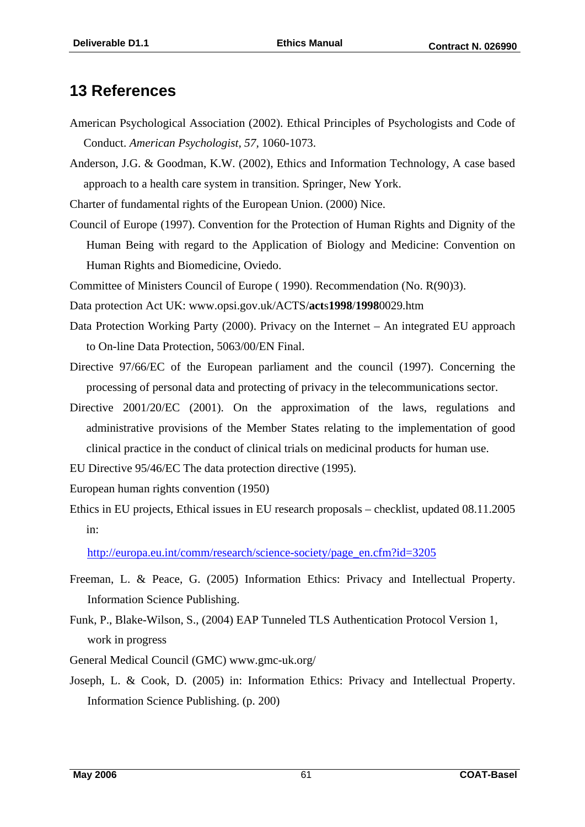## **13 References**

- American Psychological Association (2002). Ethical Principles of Psychologists and Code of Conduct. *American Psychologist, 57,* 1060-1073.
- Anderson, J.G. & Goodman, K.W. (2002), Ethics and Information Technology, A case based approach to a health care system in transition. Springer, New York.

Charter of fundamental rights of the European Union. (2000) Nice.

Council of Europe (1997). Convention for the Protection of Human Rights and Dignity of the Human Being with regard to the Application of Biology and Medicine: Convention on Human Rights and Biomedicine, Oviedo.

Committee of Ministers Council of Europe ( 1990). Recommendation (No. R(90)3).

- Data protection Act UK: www.opsi.gov.uk/ACTS/**act**s**1998**/**1998**0029.htm
- Data Protection Working Party (2000). Privacy on the Internet An integrated EU approach to On-line Data Protection, 5063/00/EN Final.
- Directive 97/66/EC of the European parliament and the council (1997). Concerning the processing of personal data and protecting of privacy in the telecommunications sector.
- Directive 2001/20/EC (2001). On the approximation of the laws, regulations and administrative provisions of the Member States relating to the implementation of good clinical practice in the conduct of clinical trials on medicinal products for human use.
- EU Directive 95/46/EC The data protection directive (1995).
- European human rights convention (1950)
- Ethics in EU projects, Ethical issues in EU research proposals checklist, updated 08.11.2005 in:

http://europa.eu.int/comm/research/science-society/page\_en.cfm?id=3205

- Freeman, L. & Peace, G. (2005) Information Ethics: Privacy and Intellectual Property. Information Science Publishing.
- Funk, P., Blake-Wilson, S., (2004) EAP Tunneled TLS Authentication Protocol Version 1, work in progress
- General Medical Council (GMC) www.gmc-uk.org/
- Joseph, L. & Cook, D. (2005) in: Information Ethics: Privacy and Intellectual Property. Information Science Publishing. (p. 200)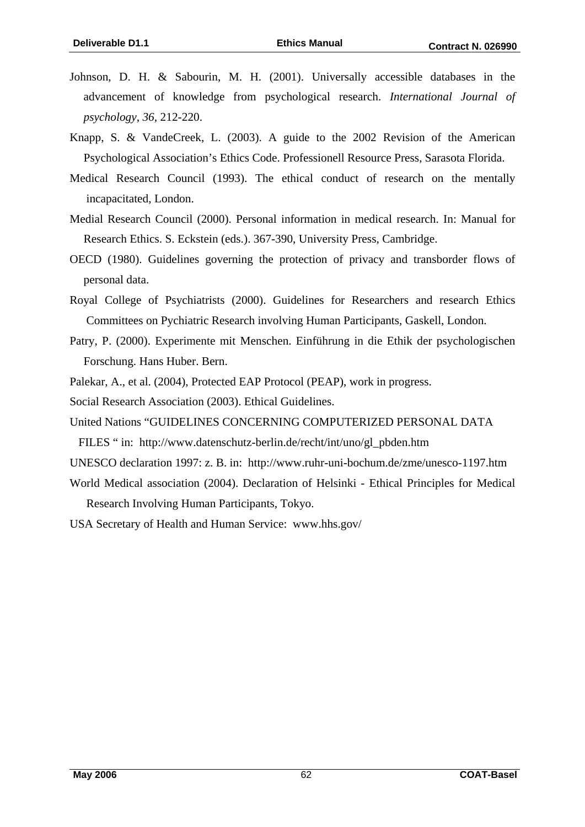- Johnson, D. H. & Sabourin, M. H. (2001). Universally accessible databases in the advancement of knowledge from psychological research. *International Journal of psychology, 36,* 212-220.
- Knapp, S. & VandeCreek, L. (2003). A guide to the 2002 Revision of the American Psychological Association's Ethics Code. Professionell Resource Press, Sarasota Florida.
- Medical Research Council (1993). The ethical conduct of research on the mentally incapacitated, London.
- Medial Research Council (2000). Personal information in medical research. In: Manual for Research Ethics. S. Eckstein (eds.). 367-390, University Press, Cambridge.
- OECD (1980). Guidelines governing the protection of privacy and transborder flows of personal data.
- Royal College of Psychiatrists (2000). Guidelines for Researchers and research Ethics Committees on Pychiatric Research involving Human Participants, Gaskell, London.
- Patry, P. (2000). Experimente mit Menschen. Einführung in die Ethik der psychologischen Forschung. Hans Huber. Bern.
- Palekar, A., et al. (2004), Protected EAP Protocol (PEAP), work in progress.
- Social Research Association (2003). Ethical Guidelines.
- United Nations "GUIDELINES CONCERNING COMPUTERIZED PERSONAL DATA FILES " in: http://www.datenschutz-berlin.de/recht/int/uno/gl\_pbden.htm
- UNESCO declaration 1997: z. B. in: http://www.ruhr-uni-bochum.de/zme/unesco-1197.htm
- World Medical association (2004). Declaration of Helsinki Ethical Principles for Medical Research Involving Human Participants, Tokyo.
- USA Secretary of Health and Human Service: www.hhs.gov/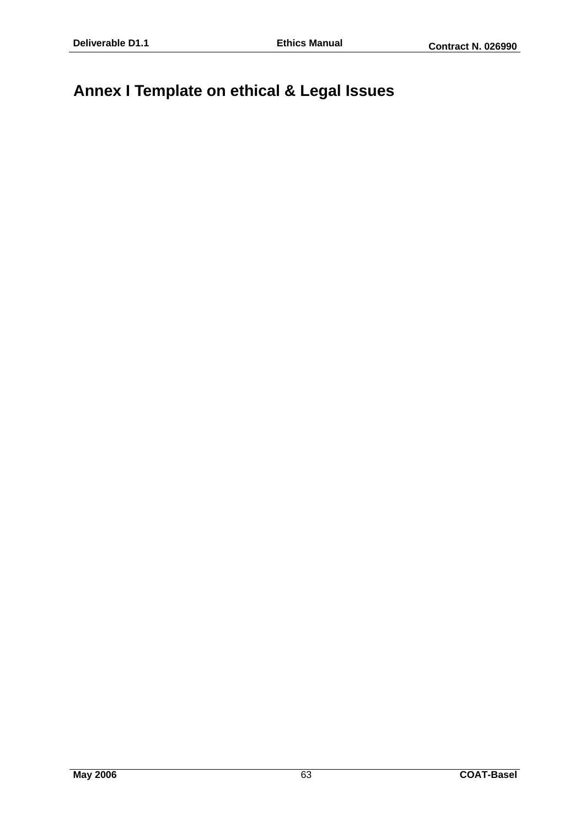## **Annex I Template on ethical & Legal Issues**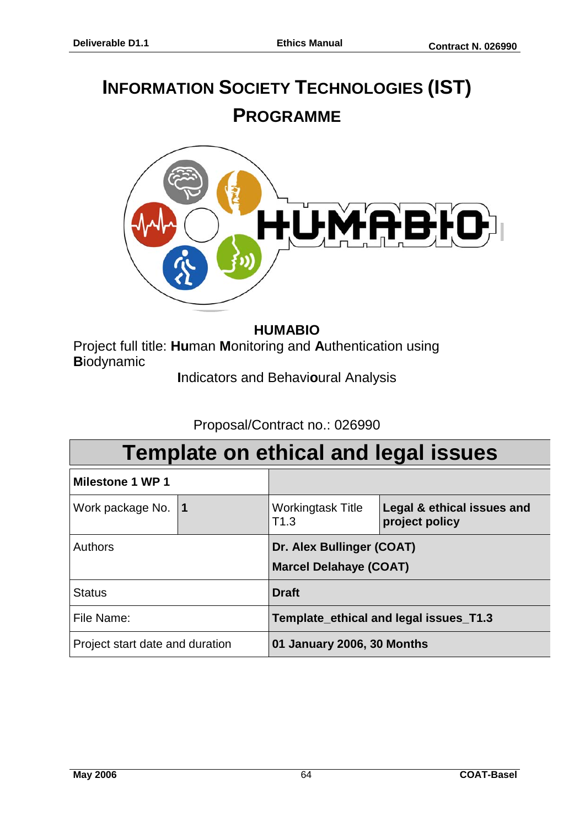# **INFORMATION SOCIETY TECHNOLOGIES (IST) PROGRAMME**



#### **HUMABIO**

Project full title: **Hu**man **M**onitoring and **A**uthentication using **B**iodynamic

**I**ndicators and Behavi**o**ural Analysis

#### Proposal/Contract no.: 026990

|                                 |                                                            | <b>Template on ethical and legal issues</b>  |  |  |  |  |  |  |  |
|---------------------------------|------------------------------------------------------------|----------------------------------------------|--|--|--|--|--|--|--|
| <b>Milestone 1 WP 1</b>         |                                                            |                                              |  |  |  |  |  |  |  |
| Work package No. 1              | <b>Workingtask Title</b><br>T1.3                           | Legal & ethical issues and<br>project policy |  |  |  |  |  |  |  |
| Authors                         | Dr. Alex Bullinger (COAT)<br><b>Marcel Delahaye (COAT)</b> |                                              |  |  |  |  |  |  |  |
| <b>Status</b>                   | <b>Draft</b>                                               |                                              |  |  |  |  |  |  |  |
| File Name:                      | Template ethical and legal issues T1.3                     |                                              |  |  |  |  |  |  |  |
| Project start date and duration | 01 January 2006, 30 Months                                 |                                              |  |  |  |  |  |  |  |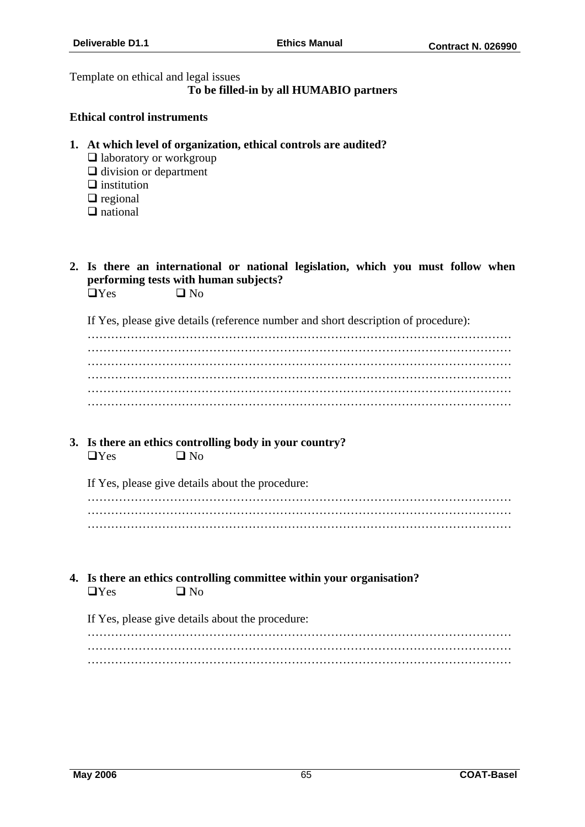Template on ethical and legal issues

#### **To be filled-in by all HUMABIO partners**

#### **Ethical control instruments**

- **1. At which level of organization, ethical controls are audited?** 
	- $\Box$  laboratory or workgroup
	- $\Box$  division or department
	- $\Box$  institution
	- $\Box$  regional
	- $\Box$  national
- **2. Is there an international or national legislation, which you must follow when performing tests with human subjects?**   $\Box$  Yes  $\Box$  No

If Yes, please give details (reference number and short description of procedure):

……………………………………………………………………………………………… ……………………………………………………………………………………………… ……………………………………………………………………………………………… ……………………………………………………………………………………………… ……………………………………………………………………………………………… ………………………………………………………………………………………………

**3. Is there an ethics controlling body in your country?**   $\Box$  Yes  $\Box$  No

If Yes, please give details about the procedure:

**4. Is there an ethics controlling committee within your organisation?**   $\Box$  Yes  $\Box$  No

If Yes, please give details about the procedure: ………………………………………………………………………………………………

……………………………………………………………………………………………… ………………………………………………………………………………………………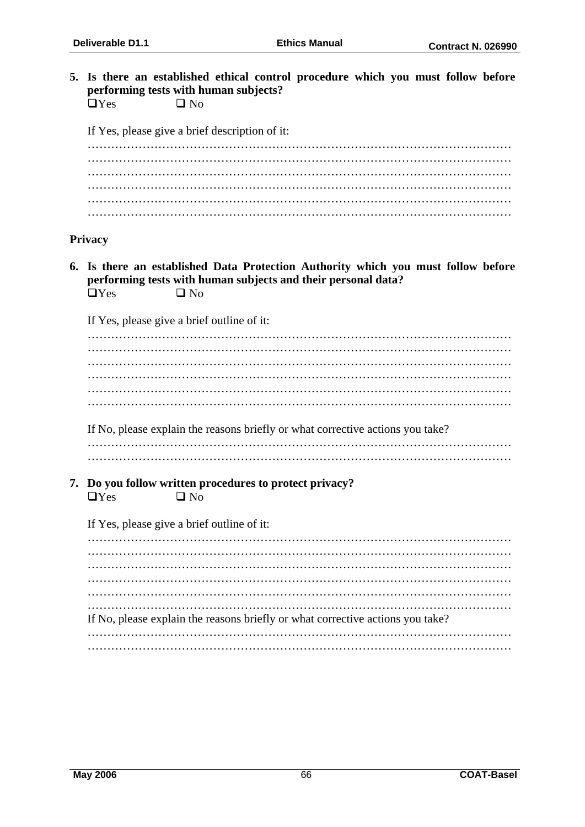**5. Is there an established ethical control procedure which you must follow before performing tests with human subjects?**   $\Box$  Yes  $\Box$  No

If Yes, please give a brief description of it:

#### **Privacy**

**6. Is there an established Data Protection Authority which you must follow before performing tests with human subjects and their personal data?**   $\Box$  Yes  $\Box$  No

If Yes, please give a brief outline of it:

If No, please explain the reasons briefly or what corrective actions you take?

……………………………………………………………………………………………… ………………………………………………………………………………………………

**7. Do you follow written procedures to protect privacy?**   $\Box$ Yes  $\Box$  No

If Yes, please give a brief outline of it:

……………………………………………………………………………………………… ……………………………………………………………………………………………… ……………………………………………………………………………………………… ……………………………………………………………………………………………… ……………………………………………………………………………………………… ……………………………………………………………………………………………… If No, please explain the reasons briefly or what corrective actions you take? ……………………………………………………………………………………………… ………………………………………………………………………………………………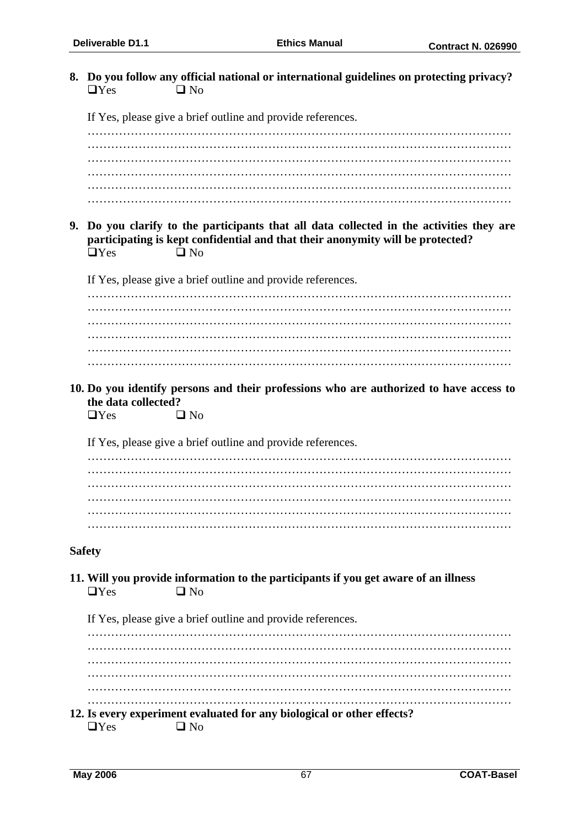**8. Do you follow any official national or international guidelines on protecting privacy?**   $\Box$  Yes  $\Box$  No If Yes, please give a brief outline and provide references. ……………………………………………………………………………………………… ……………………………………………………………………………………………… ……………………………………………………………………………………………… ……………………………………………………………………………………………… ……………………………………………………………………………………………… ……………………………………………………………………………………………… **9. Do you clarify to the participants that all data collected in the activities they are participating is kept confidential and that their anonymity will be protected?**   $\Box$  Yes  $\Box$  No If Yes, please give a brief outline and provide references. ……………………………………………………………………………………………… ……………………………………………………………………………………………… ……………………………………………………………………………………………… ……………………………………………………………………………………………… ……………………………………………………………………………………………… ……………………………………………………………………………………………… **10. Do you identify persons and their professions who are authorized to have access to the data collected?**   $\Box$ Yes  $\Box$  No If Yes, please give a brief outline and provide references. ……………………………………………………………………………………………… ……………………………………………………………………………………………… ……………………………………………………………………………………………… ……………………………………………………………………………………………… ……………………………………………………………………………………………… ……………………………………………………………………………………………… **Safety 11. Will you provide information to the participants if you get aware of an illness**   $\Box$  Yes  $\Box$  No If Yes, please give a brief outline and provide references. ……………………………………………………………………………………………… ……………………………………………………………………………………………… ……………………………………………………………………………………………… ……………………………………………………………………………………………… ……………………………………………………………………………………………… ……………………………………………………………………………………………… **12. Is every experiment evaluated for any biological or other effects?**   $\Box$  Yes  $\Box$  No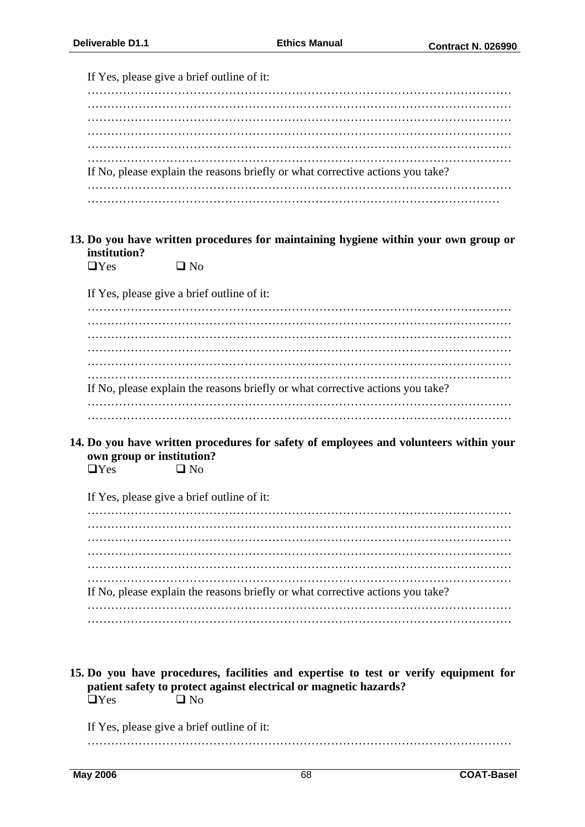|                           | If Yes, please give a brief outline of it:                                            |
|---------------------------|---------------------------------------------------------------------------------------|
|                           |                                                                                       |
|                           |                                                                                       |
|                           |                                                                                       |
|                           |                                                                                       |
|                           |                                                                                       |
|                           | If No, please explain the reasons briefly or what corrective actions you take?        |
|                           |                                                                                       |
| institution?              | 13. Do you have written procedures for maintaining hygiene within your own group or   |
| $\Box$ Yes                | $\Box$ No                                                                             |
|                           | If Yes, please give a brief outline of it:                                            |
|                           |                                                                                       |
|                           |                                                                                       |
|                           |                                                                                       |
|                           |                                                                                       |
|                           |                                                                                       |
|                           | If No, please explain the reasons briefly or what corrective actions you take?        |
|                           |                                                                                       |
|                           |                                                                                       |
|                           |                                                                                       |
|                           | 14. Do you have written procedures for safety of employees and volunteers within your |
| own group or institution? |                                                                                       |
| $\Box$ Yes                | $\square$ No                                                                          |
|                           |                                                                                       |
|                           | If Yes, please give a brief outline of it:                                            |
|                           |                                                                                       |
|                           |                                                                                       |
|                           |                                                                                       |
|                           |                                                                                       |
|                           |                                                                                       |
|                           | If No, please explain the reasons briefly or what corrective actions you take?        |
|                           |                                                                                       |
|                           |                                                                                       |
|                           |                                                                                       |
|                           | 15. Do you have procedures, facilities and expertise to test or verify equipment for  |
| $\Box$ Yes                | patient safety to protect against electrical or magnetic hazards?<br>$\square$ No     |
|                           |                                                                                       |
|                           | If Yes, please give a brief outline of it:                                            |

………………………………………………………………………………………………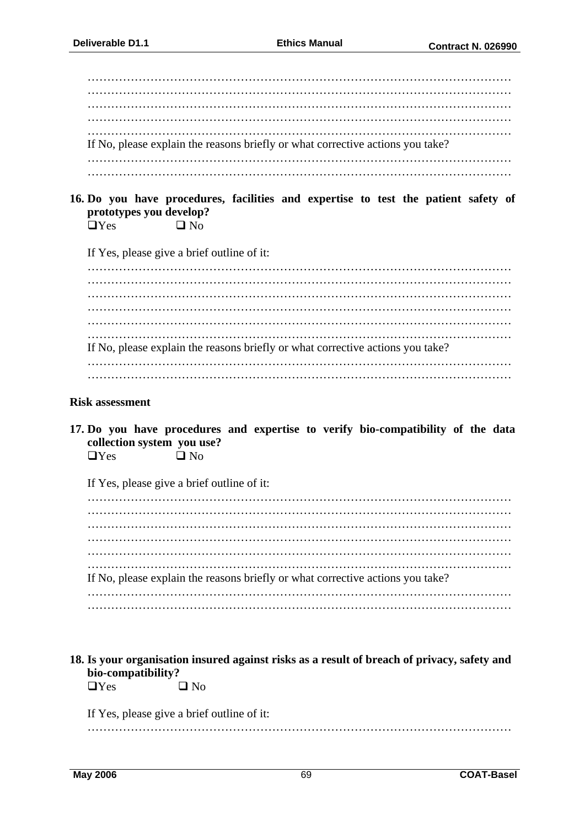| If No, please explain the reasons briefly or what corrective actions you take? |
|--------------------------------------------------------------------------------|
|                                                                                |
|                                                                                |

**16. Do you have procedures, facilities and expertise to test the patient safety of prototypes you develop?** 

 $\Box$  Yes  $\Box$  No

If Yes, please give a brief outline of it:

……………………………………………………………………………………………… ……………………………………………………………………………………………… ……………………………………………………………………………………………… ……………………………………………………………………………………………… ……………………………………………………………………………………………… ……………………………………………………………………………………………… If No, please explain the reasons briefly or what corrective actions you take? ……………………………………………………………………………………………… ………………………………………………………………………………………………

#### **Risk assessment**

**17. Do you have procedures and expertise to verify bio-compatibility of the data collection system you use?** 

 $\Box$  Yes  $\Box$  No

If Yes, please give a brief outline of it:

……………………………………………………………………………………………… ……………………………………………………………………………………………… ……………………………………………………………………………………………… ……………………………………………………………………………………………… ……………………………………………………………………………………………… ……………………………………………………………………………………………… If No, please explain the reasons briefly or what corrective actions you take? ……………………………………………………………………………………………… ………………………………………………………………………………………………

#### **18. Is your organisation insured against risks as a result of breach of privacy, safety and bio-compatibility?**

 $\Box$ Yes  $\Box$  No

If Yes, please give a brief outline of it:

………………………………………………………………………………………………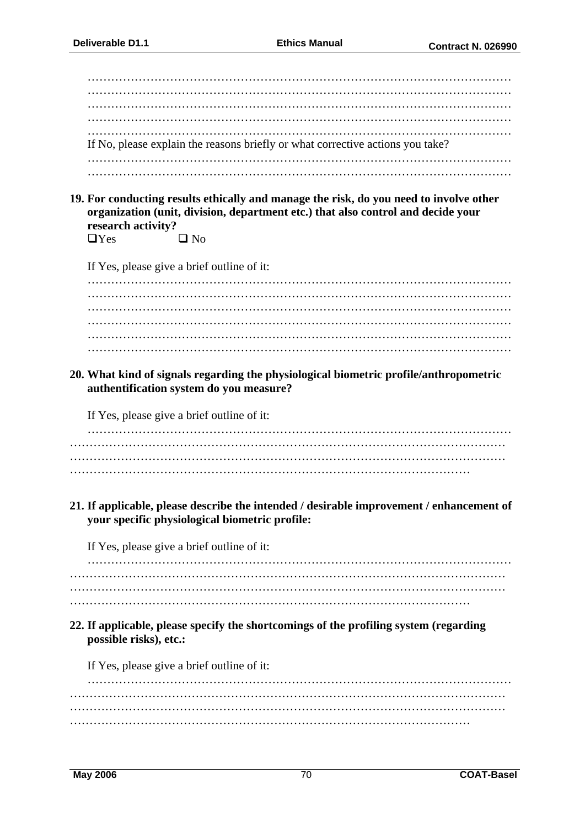| If No, please explain the reasons briefly or what corrective actions you take? |
|--------------------------------------------------------------------------------|
|                                                                                |
|                                                                                |

**19. For conducting results ethically and manage the risk, do you need to involve other organization (unit, division, department etc.) that also control and decide your research activity?** 

 $\Box$  Yes  $\Box$  No

If Yes, please give a brief outline of it:

……………………………………………………………………………………………… ……………………………………………………………………………………………… ……………………………………………………………………………………………… ……………………………………………………………………………………………… ……………………………………………………………………………………………… ………………………………………………………………………………………………

**20. What kind of signals regarding the physiological biometric profile/anthropometric authentification system do you measure?**

If Yes, please give a brief outline of it:

……………………………………………………………………………………………… ………………………………………………………………………………………………… ………………………………………………………………………………………………… …………………………………………………………………………………………

**21. If applicable, please describe the intended / desirable improvement / enhancement of your specific physiological biometric profile:** 

If Yes, please give a brief outline of it:

……………………………………………………………………………………………… ………………………………………………………………………………………………… ………………………………………………………………………………………………… …………………………………………………………………………………………

**22. If applicable, please specify the shortcomings of the profiling system (regarding possible risks), etc.:** 

If Yes, please give a brief outline of it:

……………………………………………………………………………………………… ………………………………………………………………………………………………… ………………………………………………………………………………………………… …………………………………………………………………………………………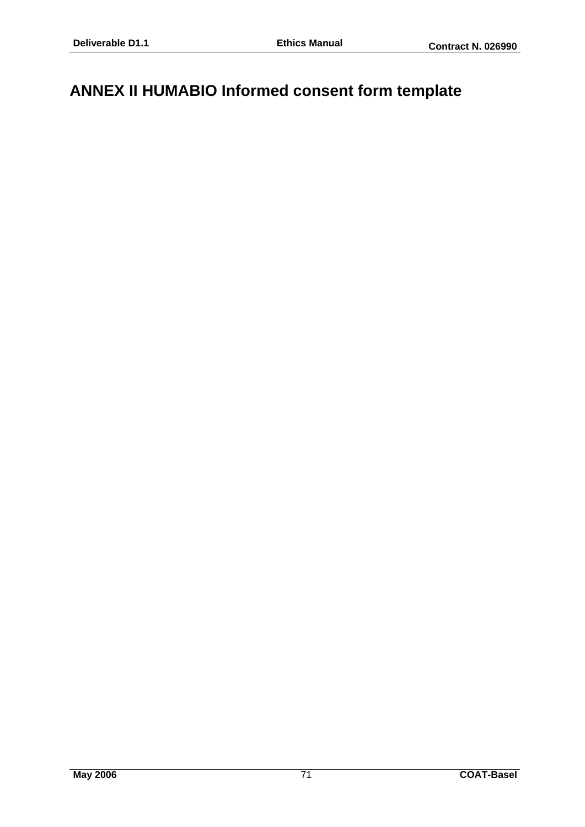## **ANNEX II HUMABIO Informed consent form template**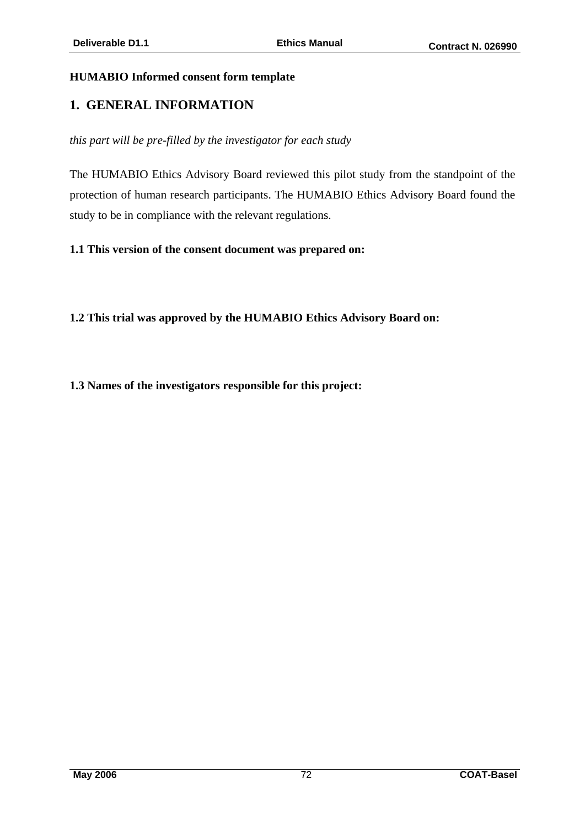#### **HUMABIO Informed consent form template**

#### **1. GENERAL INFORMATION**

*this part will be pre-filled by the investigator for each study* 

The HUMABIO Ethics Advisory Board reviewed this pilot study from the standpoint of the protection of human research participants. The HUMABIO Ethics Advisory Board found the study to be in compliance with the relevant regulations.

**1.1 This version of the consent document was prepared on:** 

**1.2 This trial was approved by the HUMABIO Ethics Advisory Board on:** 

**1.3 Names of the investigators responsible for this project:**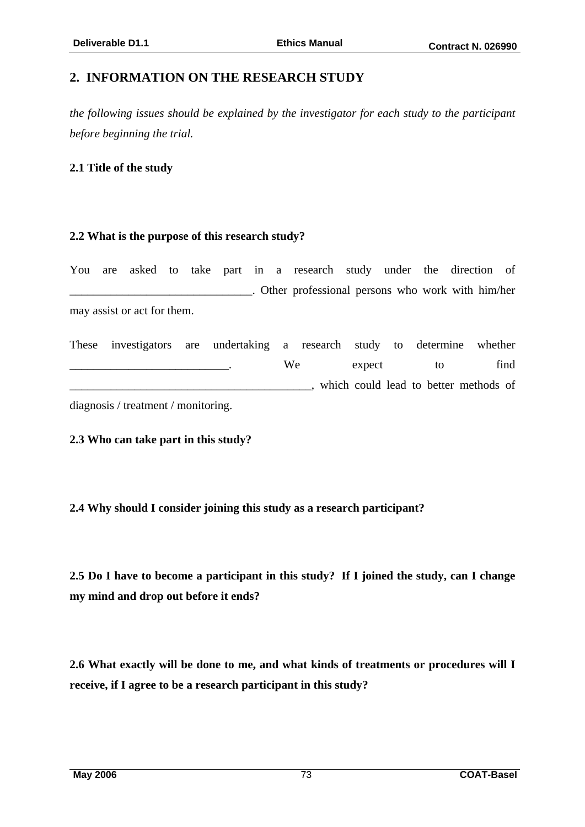## **2. INFORMATION ON THE RESEARCH STUDY**

*the following issues should be explained by the investigator for each study to the participant before beginning the trial.* 

#### **2.1 Title of the study**

#### **2.2 What is the purpose of this research study?**

|  |                             |  |  | You are asked to take part in a research study under the direction of |  |  |  |
|--|-----------------------------|--|--|-----------------------------------------------------------------------|--|--|--|
|  |                             |  |  | . Other professional persons who work with him/her                    |  |  |  |
|  | may assist or act for them. |  |  |                                                                       |  |  |  |

These investigators are undertaking a research study to determine whether \_\_\_\_\_\_\_\_\_\_\_\_\_\_\_\_\_\_\_\_\_\_\_\_\_\_\_. We expect to find \_\_\_\_\_\_\_\_\_\_\_\_\_\_\_\_\_\_\_\_\_\_\_\_\_\_\_\_\_\_\_\_\_\_\_\_\_\_\_\_\_, which could lead to better methods of diagnosis / treatment / monitoring.

**2.3 Who can take part in this study?** 

#### **2.4 Why should I consider joining this study as a research participant?**

**2.5 Do I have to become a participant in this study? If I joined the study, can I change my mind and drop out before it ends?**

**2.6 What exactly will be done to me, and what kinds of treatments or procedures will I receive, if I agree to be a research participant in this study?**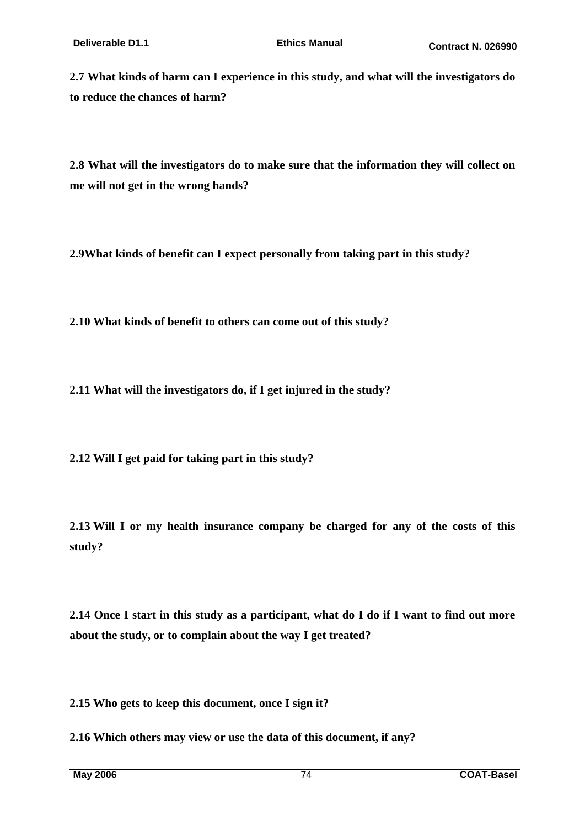**2.7 What kinds of harm can I experience in this study, and what will the investigators do to reduce the chances of harm?** 

**2.8 What will the investigators do to make sure that the information they will collect on me will not get in the wrong hands?** 

**2.9What kinds of benefit can I expect personally from taking part in this study?**

**2.10 What kinds of benefit to others can come out of this study?**

**2.11 What will the investigators do, if I get injured in the study?**

**2.12 Will I get paid for taking part in this study?**

**2.13 Will I or my health insurance company be charged for any of the costs of this study?** 

**2.14 Once I start in this study as a participant, what do I do if I want to find out more about the study, or to complain about the way I get treated?**

**2.15 Who gets to keep this document, once I sign it?** 

**2.16 Which others may view or use the data of this document, if any?**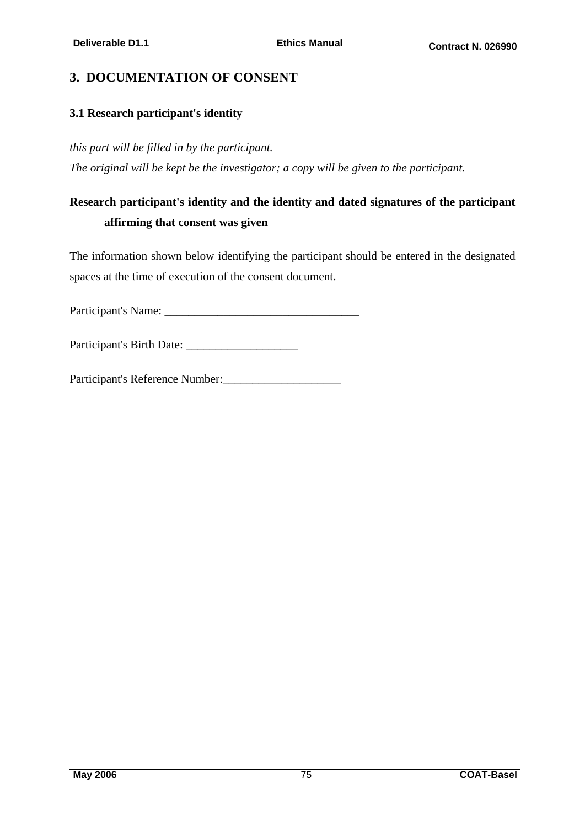## **3. DOCUMENTATION OF CONSENT**

#### **3.1 Research participant's identity**

*this part will be filled in by the participant.* 

*The original will be kept be the investigator; a copy will be given to the participant.* 

# **Research participant's identity and the identity and dated signatures of the participant affirming that consent was given**

The information shown below identifying the participant should be entered in the designated spaces at the time of execution of the consent document.

Participant's Name: \_\_\_\_\_\_\_\_\_\_\_\_\_\_\_\_\_\_\_\_\_\_\_\_\_\_\_\_\_\_\_\_\_

Participant's Birth Date: \_\_\_\_\_\_\_\_\_\_\_\_\_\_\_\_\_\_\_

Participant's Reference Number:\_\_\_\_\_\_\_\_\_\_\_\_\_\_\_\_\_\_\_\_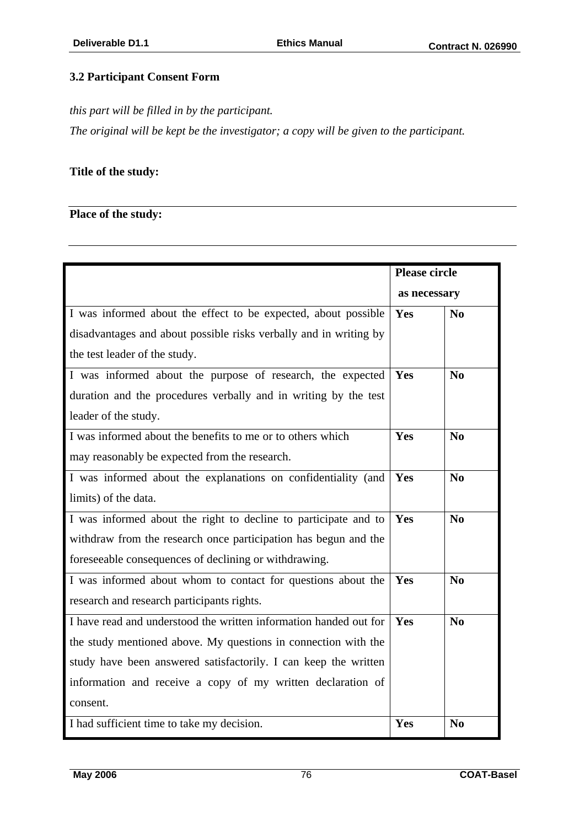### **3.2 Participant Consent Form**

*this part will be filled in by the participant.* 

*The original will be kept be the investigator; a copy will be given to the participant.* 

### **Title of the study:**

### **Place of the study:**

|                                                                   | <b>Please circle</b> |                        |  |
|-------------------------------------------------------------------|----------------------|------------------------|--|
|                                                                   | as necessary         |                        |  |
| I was informed about the effect to be expected, about possible    | Yes                  | $\mathbf{N}\mathbf{0}$ |  |
| disadvantages and about possible risks verbally and in writing by |                      |                        |  |
| the test leader of the study.                                     |                      |                        |  |
| I was informed about the purpose of research, the expected        | Yes                  | No                     |  |
| duration and the procedures verbally and in writing by the test   |                      |                        |  |
| leader of the study.                                              |                      |                        |  |
| I was informed about the benefits to me or to others which        | Yes                  | N <sub>0</sub>         |  |
| may reasonably be expected from the research.                     |                      |                        |  |
| I was informed about the explanations on confidentiality (and     | Yes                  | N <sub>0</sub>         |  |
| limits) of the data.                                              |                      |                        |  |
| I was informed about the right to decline to participate and to   | Yes                  | No                     |  |
| withdraw from the research once participation has begun and the   |                      |                        |  |
| foreseeable consequences of declining or withdrawing.             |                      |                        |  |
| I was informed about whom to contact for questions about the      | Yes                  | N <sub>0</sub>         |  |
| research and research participants rights.                        |                      |                        |  |
| I have read and understood the written information handed out for | Yes                  | N <sub>0</sub>         |  |
| the study mentioned above. My questions in connection with the    |                      |                        |  |
| study have been answered satisfactorily. I can keep the written   |                      |                        |  |
| information and receive a copy of my written declaration of       |                      |                        |  |
| consent.                                                          |                      |                        |  |
| I had sufficient time to take my decision.                        | Yes                  | N <sub>0</sub>         |  |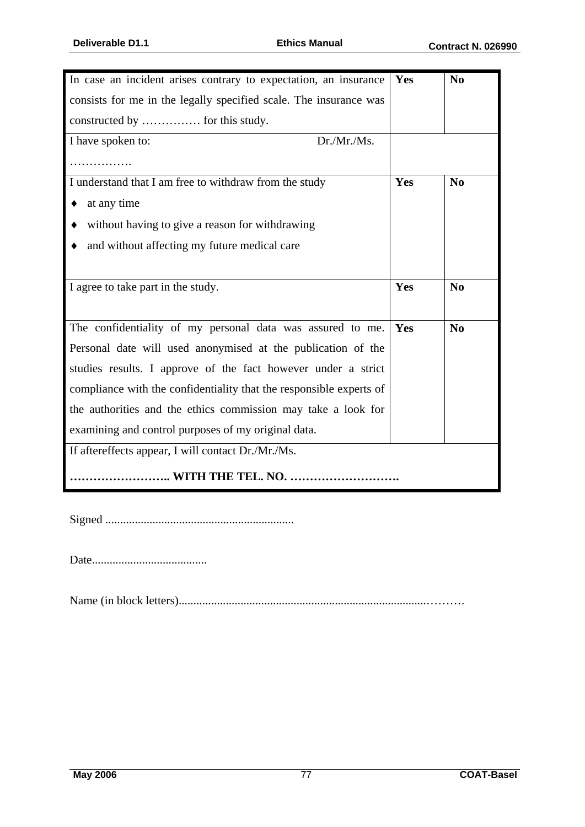| In case an incident arises contrary to expectation, an insurance    | Yes | N <sub>0</sub> |  |  |
|---------------------------------------------------------------------|-----|----------------|--|--|
| consists for me in the legally specified scale. The insurance was   |     |                |  |  |
| constructed by  for this study.                                     |     |                |  |  |
| Dr./Mr./Ms.<br>I have spoken to:                                    |     |                |  |  |
|                                                                     |     |                |  |  |
| I understand that I am free to withdraw from the study              | Yes | No             |  |  |
| at any time                                                         |     |                |  |  |
| without having to give a reason for withdrawing                     |     |                |  |  |
| and without affecting my future medical care                        |     |                |  |  |
|                                                                     |     |                |  |  |
| I agree to take part in the study.                                  | Yes | N <sub>0</sub> |  |  |
|                                                                     |     |                |  |  |
| The confidentiality of my personal data was assured to me.          | Yes | N <sub>0</sub> |  |  |
| Personal date will used anonymised at the publication of the        |     |                |  |  |
| studies results. I approve of the fact however under a strict       |     |                |  |  |
| compliance with the confidentiality that the responsible experts of |     |                |  |  |
| the authorities and the ethics commission may take a look for       |     |                |  |  |
| examining and control purposes of my original data.                 |     |                |  |  |
| If aftereffects appear, I will contact Dr./Mr./Ms.                  |     |                |  |  |
| <b>WITH THE TEL. NO. </b>                                           |     |                |  |  |

Signed ................................................................

Date.......................................

Name (in block letters)....................................................................................……….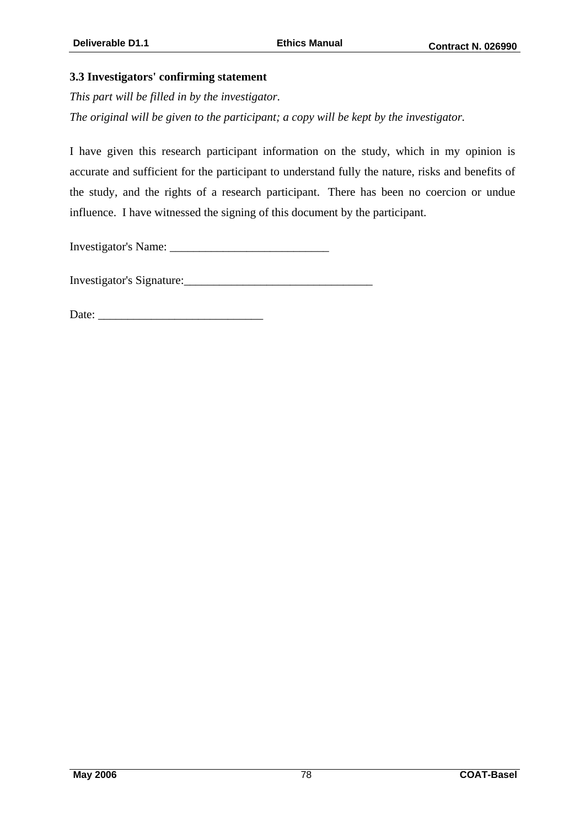#### **3.3 Investigators' confirming statement**

*This part will be filled in by the investigator.* 

*The original will be given to the participant; a copy will be kept by the investigator.* 

I have given this research participant information on the study, which in my opinion is accurate and sufficient for the participant to understand fully the nature, risks and benefits of the study, and the rights of a research participant. There has been no coercion or undue influence. I have witnessed the signing of this document by the participant.

Investigator's Name: \_\_\_\_\_\_\_\_\_\_\_\_\_\_\_\_\_\_\_\_\_\_\_\_\_\_\_

Investigator's Signature:

Date: \_\_\_\_\_\_\_\_\_\_\_\_\_\_\_\_\_\_\_\_\_\_\_\_\_\_\_\_